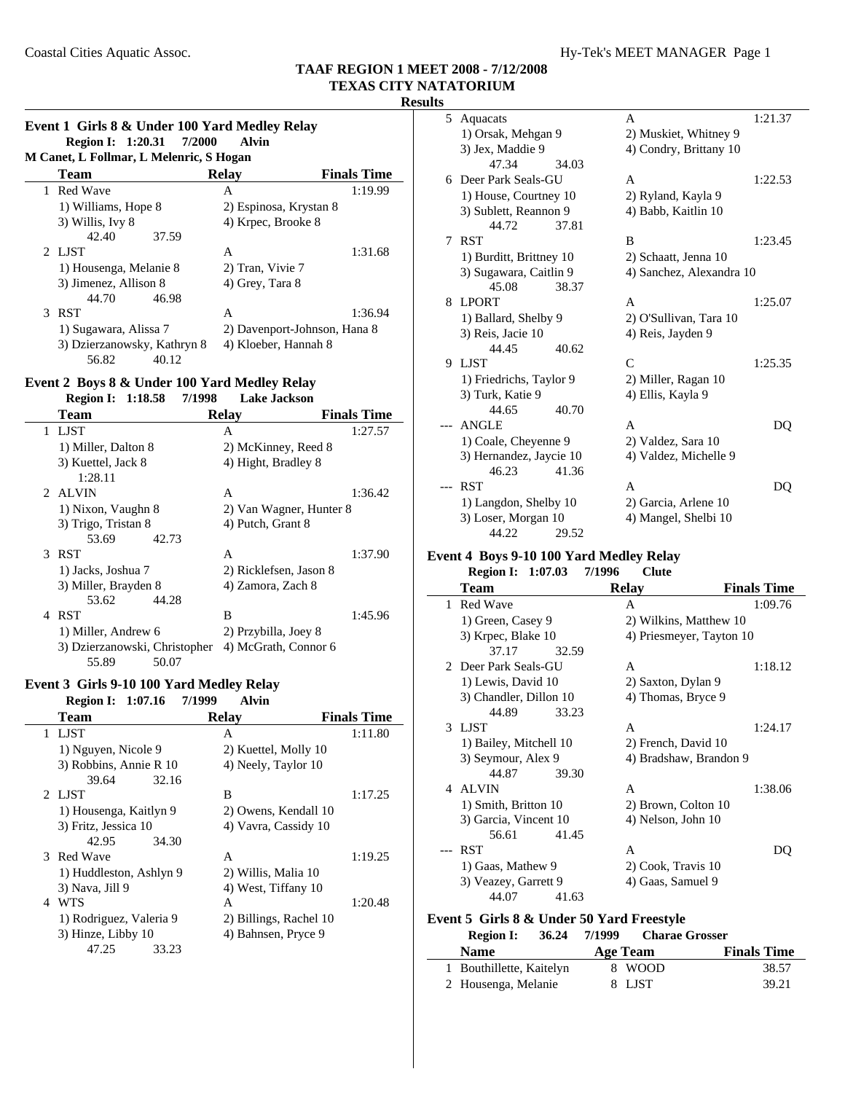### **Results**

### **Event 1 Girls 8 & Under 100 Yard Medley Relay Region I: 1:20.31 7/2000 Alvin**

| M Canet, L Follmar, L Melenric, S Hogan |                             |                              |                    |  |  |
|-----------------------------------------|-----------------------------|------------------------------|--------------------|--|--|
|                                         | Team                        | <b>Relay</b>                 | <b>Finals Time</b> |  |  |
|                                         | 1 Red Wave                  | A                            | 1:19.99            |  |  |
|                                         | 1) Williams, Hope 8         | 2) Espinosa, Krystan 8       |                    |  |  |
|                                         | 3) Willis, Ivy 8            | 4) Krpec, Brooke 8           |                    |  |  |
|                                         | 42.40<br>37.59              |                              |                    |  |  |
|                                         | 2 LJST                      | A                            | 1:31.68            |  |  |
|                                         | 1) Housenga, Melanie 8      | 2) Tran, Vivie 7             |                    |  |  |
|                                         | 3) Jimenez, Allison 8       | 4) Grey, Tara 8              |                    |  |  |
|                                         | 44.70<br>46.98              |                              |                    |  |  |
|                                         | 3 RST                       | A                            | 1:36.94            |  |  |
|                                         | 1) Sugawara, Alissa 7       | 2) Davenport-Johnson, Hana 8 |                    |  |  |
|                                         | 3) Dzierzanowsky, Kathryn 8 | 4) Kloeber, Hannah 8         |                    |  |  |
|                                         | 56.82<br>40.12              |                              |                    |  |  |

#### **Event 2 Boys 8 & Under 100 Yard Medley Relay Region I:** 1:18.58 7/1998 **Lake Jack**

| Region 1: 1:18.58             | 771998<br>Lake Jackson  |                    |
|-------------------------------|-------------------------|--------------------|
| Team                          | <b>Relay</b>            | <b>Finals Time</b> |
| <b>LIST</b><br>1              | A                       | 1:27.57            |
| 1) Miller, Dalton 8           | 2) McKinney, Reed 8     |                    |
| 3) Kuettel, Jack 8            | 4) Hight, Bradley 8     |                    |
| 1:28.11                       |                         |                    |
| 2 ALVIN                       | A                       | 1:36.42            |
| 1) Nixon, Vaughn 8            | 2) Van Wagner, Hunter 8 |                    |
| 3) Trigo, Tristan 8           | 4) Putch, Grant 8       |                    |
| 53.69<br>42.73                |                         |                    |
| <b>RST</b><br>3               | A                       | 1:37.90            |
| 1) Jacks, Joshua 7            | 2) Ricklefsen, Jason 8  |                    |
| 3) Miller, Brayden 8          | 4) Zamora, Zach 8       |                    |
| 53.62<br>44.28                |                         |                    |
| <b>RST</b><br>4               | B                       | 1:45.96            |
| 1) Miller, Andrew 6           | 2) Przybilla, Joey 8    |                    |
| 3) Dzierzanowski, Christopher | 4) McGrath, Connor 6    |                    |
| 50.07<br>55.89                |                         |                    |

#### **Event 3 Girls 9-10 100 Yard Medley Relay Region I:** 1:07.16 7/1999 Alvin

| <b>IVESION 1, 1.01.10</b> | ,,,,,,,<br>мин         |                    |
|---------------------------|------------------------|--------------------|
| <b>Team</b>               | <b>Relay</b>           | <b>Finals Time</b> |
| 1 LJST                    | A                      | 1:11.80            |
| 1) Nguyen, Nicole 9       | 2) Kuettel, Molly 10   |                    |
| 3) Robbins, Annie R 10    | 4) Neely, Taylor 10    |                    |
| 39.64<br>32.16            |                        |                    |
| 2 LJST                    | B                      | 1:17.25            |
| 1) Housenga, Kaitlyn 9    | 2) Owens, Kendall 10   |                    |
| 3) Fritz, Jessica 10      | 4) Vavra, Cassidy 10   |                    |
| 42.95<br>34.30            |                        |                    |
| <b>Red Wave</b><br>3      | A                      | 1:19.25            |
| 1) Huddleston, Ashlyn 9   | 2) Willis, Malia 10    |                    |
| 3) Nava, Jill 9           | 4) West, Tiffany 10    |                    |
| <b>WTS</b><br>4           | A                      | 1:20.48            |
| 1) Rodriguez, Valeria 9   | 2) Billings, Rachel 10 |                    |
| 3) Hinze, Libby 10        | 4) Bahnsen, Pryce 9    |                    |
| 47.25<br>33.23            |                        |                    |
|                           |                        |                    |

| 5  | Aquacats                |       | A                        | 1:21.37 |
|----|-------------------------|-------|--------------------------|---------|
|    | 1) Orsak, Mehgan 9      |       | 2) Muskiet, Whitney 9    |         |
|    | 3) Jex, Maddie 9        |       | 4) Condry, Brittany 10   |         |
|    | 47.34                   | 34.03 |                          |         |
|    | 6 Deer Park Seals-GU    |       | A                        | 1:22.53 |
|    | 1) House, Courtney 10   |       | 2) Ryland, Kayla 9       |         |
|    | 3) Sublett, Reannon 9   |       | 4) Babb, Kaitlin 10      |         |
|    | 44.72                   | 37.81 |                          |         |
| 7  | <b>RST</b>              |       | B                        | 1:23.45 |
|    | 1) Burditt, Brittney 10 |       | 2) Schaatt, Jenna 10     |         |
|    | 3) Sugawara, Caitlin 9  |       | 4) Sanchez, Alexandra 10 |         |
|    | 45.08                   | 38.37 |                          |         |
|    | 8 LPORT                 |       | A                        | 1:25.07 |
|    | 1) Ballard, Shelby 9    |       | 2) O'Sullivan, Tara 10   |         |
|    | 3) Reis, Jacie 10       |       | 4) Reis, Jayden 9        |         |
|    | 44.45                   | 40.62 |                          |         |
| 9. | LJST                    |       | C                        | 1:25.35 |
|    | 1) Friedrichs, Taylor 9 |       | 2) Miller, Ragan 10      |         |
|    | 3) Turk, Katie 9        |       | 4) Ellis, Kayla 9        |         |
|    | 44.65                   | 40.70 |                          |         |
|    | ANGLE                   |       | A                        | DO      |
|    | 1) Coale, Cheyenne 9    |       | 2) Valdez, Sara 10       |         |
|    | 3) Hernandez, Jaycie 10 |       | 4) Valdez, Michelle 9    |         |
|    | 46.23                   | 41.36 |                          |         |
|    | <b>RST</b>              |       | A                        | DO      |
|    | 1) Langdon, Shelby 10   |       | 2) Garcia, Arlene 10     |         |
|    | 3) Loser, Morgan 10     |       | 4) Mangel, Shelbi 10     |         |
|    | 44.22                   | 29.52 |                          |         |

# **Event 4 Boys 9-10 100 Yard Medley Relay**

| <b>Region I: 1:07.03</b>        | 7/1996<br><b>Clute</b>   |                    |
|---------------------------------|--------------------------|--------------------|
| Team                            | <b>Relay</b>             | <b>Finals Time</b> |
| <b>Red Wave</b><br>$\mathbf{1}$ | A                        | 1:09.76            |
| 1) Green, Casey 9               | 2) Wilkins, Matthew 10   |                    |
| 3) Krpec, Blake 10              | 4) Priesmeyer, Tayton 10 |                    |
| 37.17<br>32.59                  |                          |                    |
| 2 Deer Park Seals-GU            | A                        | 1:18.12            |
| 1) Lewis, David 10              | 2) Saxton, Dylan 9       |                    |
| 3) Chandler, Dillon 10          | 4) Thomas, Bryce 9       |                    |
| 44.89<br>33.23                  |                          |                    |
| 3 LJST                          | A                        | 1:24.17            |
| 1) Bailey, Mitchell 10          | 2) French, David 10      |                    |
| 3) Seymour, Alex 9              | 4) Bradshaw, Brandon 9   |                    |
| 44.87<br>39.30                  |                          |                    |
| 4 ALVIN                         | A                        | 1:38.06            |
| 1) Smith, Britton 10            | 2) Brown, Colton 10      |                    |
| 3) Garcia, Vincent 10           | 4) Nelson, John 10       |                    |
| 41.45<br>56.61                  |                          |                    |
| <b>RST</b><br>$---$             | A                        | DO                 |
| 1) Gaas, Mathew 9               | 2) Cook, Travis 10       |                    |
| 3) Veazey, Garrett 9            | 4) Gaas, Samuel 9        |                    |
| 44.07<br>41.63                  |                          |                    |

## **Event 5 Girls 8 & Under 50 Yard Freestyle**

| <b>Region I:</b><br>36.24 | 7/1999<br><b>Charae Grosser</b> |                    |
|---------------------------|---------------------------------|--------------------|
| <b>Name</b>               | Age Team                        | <b>Finals Time</b> |
| 1 Bouthillette, Kaitelyn  | 8 WOOD                          | 38.57              |
| 2 Housenga, Melanie       | 8 LJST                          | 39.21              |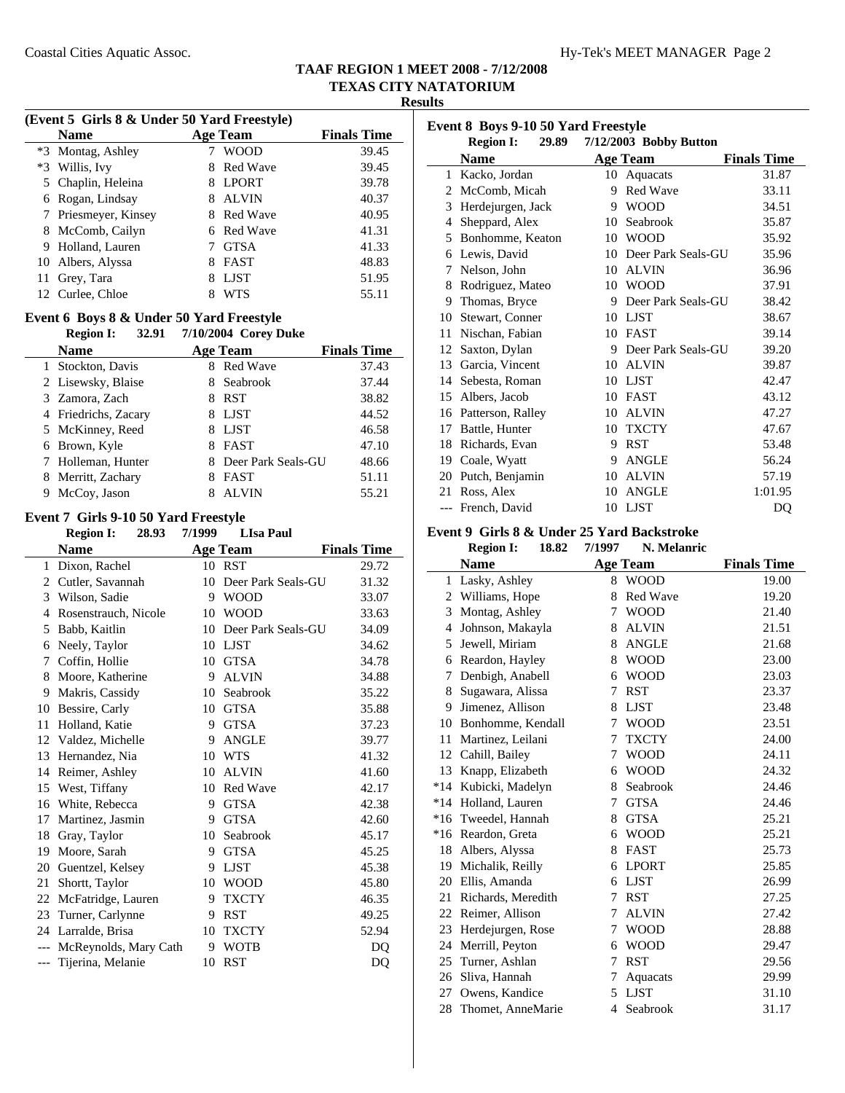à.

**Results**

#### **(Event 5 Girls 8 & Under 50 Yard Freestyle)**

|   | Name                 |   | <b>Age Team</b> | <b>Finals Time</b> |
|---|----------------------|---|-----------------|--------------------|
|   | *3 Montag, Ashley    |   | <b>WOOD</b>     | 39.45              |
|   | *3 Willis, Ivy       | 8 | <b>Red Wave</b> | 39.45              |
|   | 5 Chaplin, Heleina   | 8 | <b>LPORT</b>    | 39.78              |
| 6 | Rogan, Lindsay       |   | <b>ALVIN</b>    | 40.37              |
|   | 7 Priesmeyer, Kinsey |   | 8 Red Wave      | 40.95              |
|   | 8 McComb, Cailyn     |   | 6 Red Wave      | 41.31              |
|   | 9 Holland, Lauren    |   | <b>GTSA</b>     | 41.33              |
|   | 10 Albers, Alyssa    | 8 | <b>FAST</b>     | 48.83              |
|   | 11 Grey, Tara        | 8 | LJST            | 51.95              |
|   | 12 Curlee, Chloe     |   | WTS             | 55.11              |

# **Event 6 Boys 8 & Under 50 Yard Freestyle**

**Region I:** 32.91 7/10/2004 Corey Duke **Name Age Team Finals Time** 1 37.43 Stockton, Davis 8 Red Wave 2 Lisewsky, Blaise 8 Seabrook 37.44 3 38.82 Zamora, Zach 8 RST 4 52 44.52 Friedrichs, Zacary 8 LJST 5 McKinney, Reed 8 LJST 46.58 6 Brown, Kyle 8 FAST 47.10 7 Holleman, Hunter 8 Deer Park Seals-GU 48.66 8 Merritt, Zachary 8 FAST 51.11 9 McCoy, Jason 8 ALVIN 55.21

### **Event 7 Girls 9-10 50 Yard Freestyle**

|                          | <b>Region I:</b><br>28.93 | 7/1999 | <b>LIsa Paul</b>   |                    |
|--------------------------|---------------------------|--------|--------------------|--------------------|
|                          | <b>Name</b>               |        | Age Team           | <b>Finals Time</b> |
| 1                        | Dixon, Rachel             | 10     | <b>RST</b>         | 29.72              |
| 2                        | Cutler, Savannah          | 10     | Deer Park Seals-GU | 31.32              |
| 3                        | Wilson, Sadie             | 9      | <b>WOOD</b>        | 33.07              |
| $\overline{\mathcal{A}}$ | Rosenstrauch, Nicole      | 10     | <b>WOOD</b>        | 33.63              |
| 5                        | Babb, Kaitlin             | 10     | Deer Park Seals-GU | 34.09              |
| 6                        | Neely, Taylor             | 10     | LJST               | 34.62              |
| 7                        | Coffin, Hollie            | 10     | <b>GTSA</b>        | 34.78              |
| 8                        | Moore, Katherine          | 9      | <b>ALVIN</b>       | 34.88              |
| 9                        | Makris, Cassidy           | 10     | Seabrook           | 35.22              |
| 10                       | Bessire, Carly            | 10     | <b>GTSA</b>        | 35.88              |
| 11                       | Holland, Katie            | 9      | <b>GTSA</b>        | 37.23              |
| 12                       | Valdez, Michelle          | 9      | <b>ANGLE</b>       | 39.77              |
| 13                       | Hernandez, Nia            | 10     | <b>WTS</b>         | 41.32              |
| 14                       | Reimer, Ashley            | 10     | <b>ALVIN</b>       | 41.60              |
| 15                       | West, Tiffany             | 10     | <b>Red Wave</b>    | 42.17              |
| 16                       | White, Rebecca            | 9      | <b>GTSA</b>        | 42.38              |
| 17                       | Martinez, Jasmin          | 9      | <b>GTSA</b>        | 42.60              |
| 18                       | Gray, Taylor              | 10     | Seabrook           | 45.17              |
| 19                       | Moore, Sarah              | 9      | <b>GTSA</b>        | 45.25              |
| 20                       | Guentzel, Kelsey          | 9      | <b>LJST</b>        | 45.38              |
| 21                       | Shortt, Taylor            | 10     | <b>WOOD</b>        | 45.80              |
| 22                       | McFatridge, Lauren        | 9      | <b>TXCTY</b>       | 46.35              |
| 23                       | Turner, Carlynne          | 9      | <b>RST</b>         | 49.25              |
| 24                       | Larralde, Brisa           | 10     | <b>TXCTY</b>       | 52.94              |
| ---                      | McReynolds, Mary Cath     | 9      | <b>WOTB</b>        | D <sub>O</sub>     |
| ---                      | Tijerina, Melanie         | 10     | <b>RST</b>         | DQ                 |

| Event 8 Boys 9-10 50 Yard Freestyle |                                                     |    |                    |                    |  |  |  |
|-------------------------------------|-----------------------------------------------------|----|--------------------|--------------------|--|--|--|
|                                     | 7/12/2003 Bobby Button<br>29.89<br><b>Region I:</b> |    |                    |                    |  |  |  |
|                                     | <b>Name</b>                                         |    | <b>Age Team</b>    | <b>Finals Time</b> |  |  |  |
| 1                                   | Kacko, Jordan                                       | 10 | Aquacats           | 31.87              |  |  |  |
| 2                                   | McComb, Micah                                       | 9  | <b>Red Wave</b>    | 33.11              |  |  |  |
| 3                                   | Herdejurgen, Jack                                   | 9  | <b>WOOD</b>        | 34.51              |  |  |  |
| 4                                   | Sheppard, Alex                                      | 10 | Seabrook           | 35.87              |  |  |  |
| 5                                   | Bonhomme, Keaton                                    | 10 | <b>WOOD</b>        | 35.92              |  |  |  |
| 6                                   | Lewis, David                                        | 10 | Deer Park Seals-GU | 35.96              |  |  |  |
| 7                                   | Nelson, John                                        | 10 | <b>ALVIN</b>       | 36.96              |  |  |  |
| 8                                   | Rodriguez, Mateo                                    | 10 | <b>WOOD</b>        | 37.91              |  |  |  |
| 9                                   | Thomas, Bryce                                       | 9  | Deer Park Seals-GU | 38.42              |  |  |  |
| 10                                  | Stewart, Conner                                     | 10 | <b>LJST</b>        | 38.67              |  |  |  |
| 11                                  | Nischan, Fabian                                     | 10 | <b>FAST</b>        | 39.14              |  |  |  |
| 12                                  | Saxton, Dylan                                       | 9  | Deer Park Seals-GU | 39.20              |  |  |  |
| 13                                  | Garcia, Vincent                                     | 10 | <b>ALVIN</b>       | 39.87              |  |  |  |
| 14                                  | Sebesta, Roman                                      | 10 | <b>LJST</b>        | 42.47              |  |  |  |
| 15                                  | Albers, Jacob                                       | 10 | <b>FAST</b>        | 43.12              |  |  |  |
| 16                                  | Patterson, Ralley                                   | 10 | <b>ALVIN</b>       | 47.27              |  |  |  |
| 17                                  | Battle, Hunter                                      | 10 | <b>TXCTY</b>       | 47.67              |  |  |  |
| 18                                  | Richards, Evan                                      | 9  | <b>RST</b>         | 53.48              |  |  |  |
| 19                                  | Coale, Wyatt                                        | 9  | <b>ANGLE</b>       | 56.24              |  |  |  |
| 20                                  | Putch, Benjamin                                     | 10 | <b>ALVIN</b>       | 57.19              |  |  |  |
| 21                                  | Ross, Alex                                          | 10 | <b>ANGLE</b>       | 1:01.95            |  |  |  |
| $---$                               | French, David                                       | 10 | <b>LJST</b>        | DQ                 |  |  |  |

# **Event 9 Girls 8 & Under 25 Yard Backstroke**<br>**Period L. 18.82 7/1007** M. Malanti

|              | <b>Region I:</b><br>18.82 | 7/1997 | N. Melanric     |                    |
|--------------|---------------------------|--------|-----------------|--------------------|
|              | <b>Name</b>               |        | <b>Age Team</b> | <b>Finals Time</b> |
| $\mathbf{1}$ | Lasky, Ashley             | 8      | <b>WOOD</b>     | 19.00              |
|              | 2 Williams, Hope          | 8      | Red Wave        | 19.20              |
| 3            | Montag, Ashley            | 7      | <b>WOOD</b>     | 21.40              |
| 4            | Johnson, Makayla          | 8      | <b>ALVIN</b>    | 21.51              |
| 5            | Jewell, Miriam            | 8      | <b>ANGLE</b>    | 21.68              |
| 6            | Reardon, Hayley           | 8      | <b>WOOD</b>     | 23.00              |
| 7            | Denbigh, Anabell          | 6      | <b>WOOD</b>     | 23.03              |
| 8            | Sugawara, Alissa          | 7      | <b>RST</b>      | 23.37              |
| 9            | Jimenez, Allison          | 8      | <b>LJST</b>     | 23.48              |
| 10           | Bonhomme, Kendall         | 7      | <b>WOOD</b>     | 23.51              |
| 11           | Martinez, Leilani         | 7      | <b>TXCTY</b>    | 24.00              |
| 12           | Cahill, Bailey            | 7      | <b>WOOD</b>     | 24.11              |
| 13           | Knapp, Elizabeth          | 6      | <b>WOOD</b>     | 24.32              |
| $*14$        | Kubicki, Madelyn          | 8      | Seabrook        | 24.46              |
|              | *14 Holland, Lauren       | 7      | <b>GTSA</b>     | 24.46              |
|              | *16 Tweedel, Hannah       | 8      | <b>GTSA</b>     | 25.21              |
|              | *16 Reardon, Greta        | 6      | <b>WOOD</b>     | 25.21              |
| 18           | Albers, Alyssa            | 8      | <b>FAST</b>     | 25.73              |
|              | 19 Michalik, Reilly       | 6      | <b>LPORT</b>    | 25.85              |
| 20           | Ellis, Amanda             | 6      | <b>LJST</b>     | 26.99              |
| 21           | Richards, Meredith        | 7      | <b>RST</b>      | 27.25              |
| 22           | Reimer, Allison           | 7      | <b>ALVIN</b>    | 27.42              |
| 23           | Herdejurgen, Rose         | 7      | <b>WOOD</b>     | 28.88              |
| 24           | Merrill, Peyton           | 6      | <b>WOOD</b>     | 29.47              |
| 25           | Turner, Ashlan            | 7      | <b>RST</b>      | 29.56              |
| 26           | Sliva, Hannah             | 7      | Aquacats        | 29.99              |
| 27           | Owens, Kandice            | 5      | <b>LJST</b>     | 31.10              |
| 28           | Thomet, AnneMarie         | 4      | Seabrook        | 31.17              |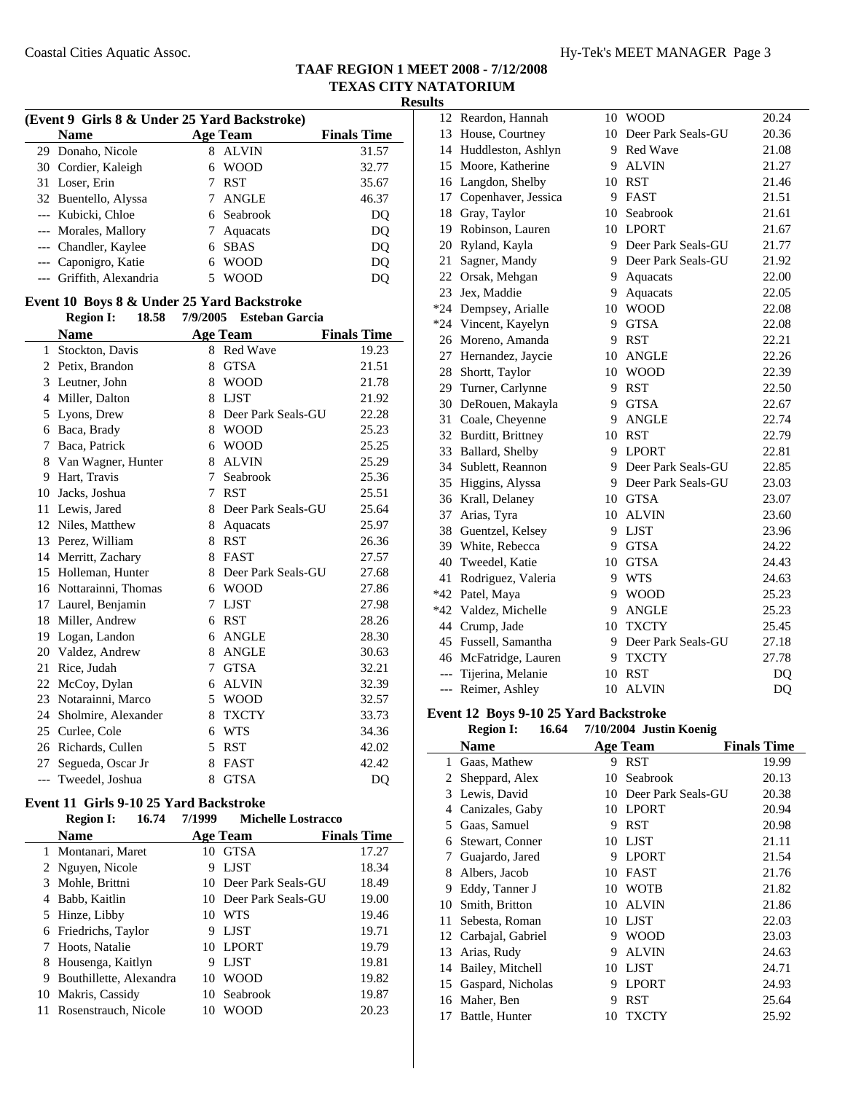| (Event 9 Girls 8 & Under 25 Yard Backstroke) |                                            |             |                         |                    |
|----------------------------------------------|--------------------------------------------|-------------|-------------------------|--------------------|
|                                              | <b>Name</b>                                |             | <b>Age Team</b>         | <b>Finals Time</b> |
|                                              | 29 Donaho, Nicole                          | 8           | <b>ALVIN</b>            | 31.57              |
|                                              | 30 Cordier, Kaleigh                        | 6           | <b>WOOD</b>             | 32.77              |
| 31                                           | Loser, Erin                                | 7           | <b>RST</b>              | 35.67              |
|                                              | 32 Buentello, Alyssa                       |             | 7 ANGLE                 | 46.37              |
|                                              | --- Kubicki, Chloe                         |             | 6 Seabrook              | DQ                 |
|                                              | --- Morales, Mallory                       | $7^{\circ}$ | Aquacats                | <b>DQ</b>          |
|                                              | --- Chandler, Kaylee                       |             | 6 SBAS                  | DQ                 |
|                                              | --- Caponigro, Katie                       |             | 6 WOOD                  | <b>DQ</b>          |
| ---                                          | Griffith, Alexandria                       | 5           | <b>WOOD</b>             | DQ                 |
|                                              | Event 10 Boys 8 & Under 25 Yard Backstroke |             |                         |                    |
|                                              | <b>Region I:</b><br>18.58                  |             | 7/9/2005 Esteban Garcia |                    |
|                                              | <b>Name</b>                                |             | <b>Age Team</b>         | <b>Finals Time</b> |
| 1                                            | Stockton, Davis                            |             | 8 Red Wave              | 19.23              |
|                                              | 2 Petix, Brandon                           | 8           | <b>GTSA</b>             | 21.51              |
| 3                                            | Leutner, John                              |             | 8 WOOD                  | 21.78              |
| $\overline{4}$                               | Miller, Dalton                             | 8           | <b>LJST</b>             | 21.92              |
| 5                                            | Lyons, Drew                                | 8           | Deer Park Seals-GU      | 22.28              |
|                                              | 6 Baca, Brady                              | 8           | <b>WOOD</b>             | 25.23              |
| 7                                            | Baca, Patrick                              |             | 6 WOOD                  | 25.25              |
| 8                                            | Van Wagner, Hunter                         | 8           | <b>ALVIN</b>            | 25.29              |
| 9                                            | Hart, Travis                               | $\tau$      | Seabrook                | 25.36              |
| 10                                           | Jacks, Joshua                              |             | 7 RST                   | 25.51              |
| 11                                           | Lewis, Jared                               |             | 8 Deer Park Seals-GU    | 25.64              |
| 12                                           | Niles, Matthew                             |             | 8 Aquacats              | 25.97              |
| 13                                           | Perez, William                             |             | 8 RST                   | 26.36              |
| 14                                           | Merritt, Zachary                           | 8           | <b>FAST</b>             | 27.57              |
| 15                                           | Holleman, Hunter                           |             | 8 Deer Park Seals-GU    | 27.68              |
| 16                                           | Nottarainni, Thomas                        |             | 6 WOOD                  | 27.86              |
| 17                                           | Laurel, Benjamin                           |             | 7 LJST                  | 27.98              |
| 18                                           | Miller, Andrew                             | 6           | RST                     | 28.26              |
| 19                                           | Logan, Landon                              |             | 6 ANGLE                 | 28.30              |
| 20                                           | Valdez, Andrew                             | 8           | ANGLE                   | 30.63              |
| 21                                           | Rice, Judah                                | $7^{\circ}$ | <b>GTSA</b>             | 32.21              |
| 22                                           | McCoy, Dylan                               |             | 6 ALVIN                 | 32.39              |
| 23                                           | Notarainni, Marco                          |             | 5 WOOD                  | 32.57              |
| 24                                           | Sholmire, Alexander                        | 8           | TXCTY                   | 33.73              |
|                                              | 25 Curlee, Cole                            |             | 6 WTS                   | 34.36              |
| 26                                           | Richards, Cullen                           | 5           | <b>RST</b>              | 42.02              |
| 27                                           | Segueda, Oscar Jr                          | 8           | <b>FAST</b>             | 42.42              |
|                                              | --- Tweedel, Joshua                        | 8           | <b>GTSA</b>             | DQ                 |

#### **Event 11 Girls 9-10 25 Yard Backstroke**

|   | 16.74<br><b>Region I:</b> | 7/1999 | <b>Michelle Lostracco</b> |                    |  |
|---|---------------------------|--------|---------------------------|--------------------|--|
|   | <b>Name</b>               |        | Age Team                  | <b>Finals Time</b> |  |
|   | 1 Montanari, Maret        | 10     | <b>GTSA</b>               | 17.27              |  |
|   | 2 Nguyen, Nicole          | 9      | <b>LIST</b>               | 18.34              |  |
|   | 3 Mohle, Brittni          |        | 10 Deer Park Seals-GU     | 18.49              |  |
| 4 | Babb, Kaitlin             | 10     | Deer Park Seals-GU        | 19.00              |  |
|   | 5 Hinze, Libby            | 10     | <b>WTS</b>                | 19.46              |  |
| 6 | Friedrichs, Taylor        | 9      | <b>LIST</b>               | 19.71              |  |
|   | Hoots, Natalie            | 10     | <b>LPORT</b>              | 19.79              |  |
| 8 | Housenga, Kaitlyn         | 9      | <b>LIST</b>               | 19.81              |  |
| 9 | Bouthillette, Alexandra   | 10     | <b>WOOD</b>               | 19.82              |  |
|   | 10 Makris, Cassidy        | 10     | Seabrook                  | 19.87              |  |
|   | Rosenstrauch, Nicole      | 10     | WOOD                      | 20.23              |  |
|   |                           |        |                           |                    |  |

| 12             | Reardon, Hannah       | 10 | <b>WOOD</b>          | 20.24 |
|----------------|-----------------------|----|----------------------|-------|
| 13             | House, Courtney       | 10 | Deer Park Seals-GU   | 20.36 |
| 14             | Huddleston, Ashlyn    | 9  | Red Wave             | 21.08 |
| 15             | Moore, Katherine      | 9  | <b>ALVIN</b>         | 21.27 |
| 16             | Langdon, Shelby       | 10 | <b>RST</b>           | 21.46 |
| 17             | Copenhaver, Jessica   | 9  | <b>FAST</b>          | 21.51 |
| 18             | Gray, Taylor          | 10 | Seabrook             | 21.61 |
| 19             | Robinson, Lauren      | 10 | <b>LPORT</b>         | 21.67 |
| 20             | Ryland, Kayla         | 9  | Deer Park Seals-GU   | 21.77 |
| 21             | Sagner, Mandy         | 9  | Deer Park Seals-GU   | 21.92 |
| 22             | Orsak, Mehgan         | 9  | Aquacats             | 22.00 |
| 23             | Jex, Maddie           | 9  | Aquacats             | 22.05 |
|                | *24 Dempsey, Arialle  | 10 | <b>WOOD</b>          | 22.08 |
|                | *24 Vincent, Kayelyn  | 9  | <b>GTSA</b>          | 22.08 |
|                | 26 Moreno, Amanda     | 9  | <b>RST</b>           | 22.21 |
| 27             | Hernandez, Jaycie     | 10 | <b>ANGLE</b>         | 22.26 |
| 28             | Shortt, Taylor        | 10 | <b>WOOD</b>          | 22.39 |
|                | 29 Turner, Carlynne   | 9  | <b>RST</b>           | 22.50 |
| 30             | DeRouen, Makayla      | 9  | <b>GTSA</b>          | 22.67 |
| 31             | Coale, Cheyenne       | 9  | <b>ANGLE</b>         | 22.74 |
|                | 32 Burditt, Brittney  |    | 10 RST               | 22.79 |
| 33             | Ballard, Shelby       | 9  | <b>LPORT</b>         | 22.81 |
| 34             | Sublett, Reannon      | 9  | Deer Park Seals-GU   | 22.85 |
|                | 35 Higgins, Alyssa    |    | 9 Deer Park Seals-GU | 23.03 |
|                | 36 Krall, Delaney     |    | 10 GTSA              | 23.07 |
| 37             | Arias, Tyra           |    | 10 ALVIN             | 23.60 |
| 38             | Guentzel, Kelsey      | 9  | LJST                 | 23.96 |
|                | 39 White, Rebecca     | 9  | <b>GTSA</b>          | 24.22 |
| 40             | Tweedel, Katie        | 10 | <b>GTSA</b>          | 24.43 |
| 41             | Rodriguez, Valeria    | 9  | <b>WTS</b>           | 24.63 |
|                | *42 Patel, Maya       | 9  | <b>WOOD</b>          | 25.23 |
|                | *42 Valdez, Michelle  | 9  | <b>ANGLE</b>         | 25.23 |
|                | 44 Crump, Jade        | 10 | <b>TXCTY</b>         | 25.45 |
|                | 45 Fussell, Samantha  | 9. | Deer Park Seals-GU   | 27.18 |
|                | 46 McFatridge, Lauren | 9  | <b>TXCTY</b>         | 27.78 |
| $---$          | Tijerina, Melanie     | 10 | <b>RST</b>           | DQ    |
| $\overline{a}$ | Reimer, Ashley        | 10 | <b>ALVIN</b>         | DQ    |

### **Event 12 Boys 9-10 25 Yard Backstroke**

 $\overline{\phantom{a}}$ 

|    | 16.64<br><b>Region I:</b> |    | 7/10/2004 Justin Koenig |                    |
|----|---------------------------|----|-------------------------|--------------------|
|    | <b>Name</b>               |    | Age Team                | <b>Finals Time</b> |
| 1  | Gaas, Mathew              |    | 9 RST                   | 19.99              |
| 2  | Sheppard, Alex            | 10 | Seabrook                | 20.13              |
| 3  | Lewis, David              | 10 | Deer Park Seals-GU      | 20.38              |
| 4  | Canizales, Gaby           | 10 | <b>LPORT</b>            | 20.94              |
| 5  | Gaas, Samuel              | 9  | <b>RST</b>              | 20.98              |
| 6  | Stewart, Conner           | 10 | LJST                    | 21.11              |
| 7  | Guajardo, Jared           | 9  | <b>LPORT</b>            | 21.54              |
| 8  | Albers, Jacob             | 10 | <b>FAST</b>             | 21.76              |
| 9  | Eddy, Tanner J            | 10 | <b>WOTB</b>             | 21.82              |
| 10 | Smith, Britton            | 10 | <b>ALVIN</b>            | 21.86              |
| 11 | Sebesta, Roman            | 10 | LJST                    | 22.03              |
| 12 | Carbajal, Gabriel         | 9  | <b>WOOD</b>             | 23.03              |
| 13 | Arias, Rudy               | 9  | <b>ALVIN</b>            | 24.63              |
| 14 | Bailey, Mitchell          | 10 | <b>LJST</b>             | 24.71              |
| 15 | Gaspard, Nicholas         | 9  | <b>LPORT</b>            | 24.93              |
| 16 | Maher, Ben                | 9  | RST                     | 25.64              |
| 17 | Battle, Hunter            | 10 | <b>TXCTY</b>            | 25.92              |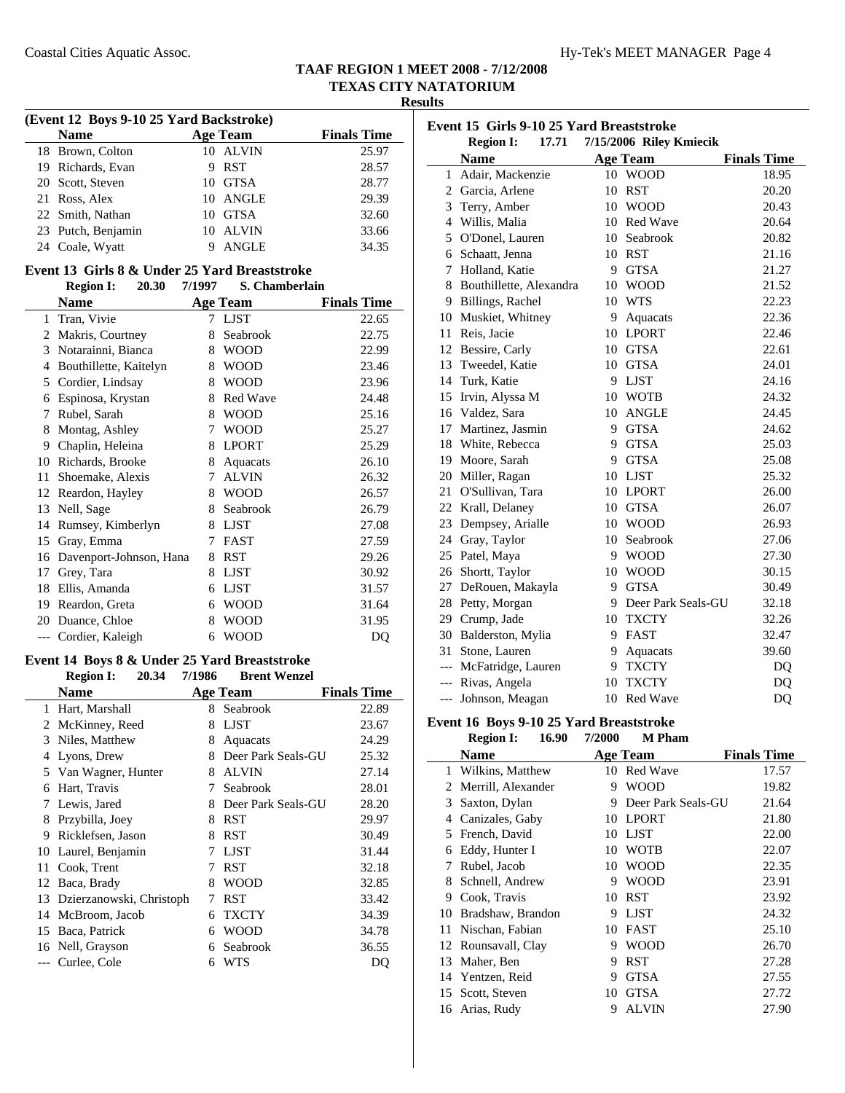**Results**

| (Event 12 Boys 9-10 25 Yard Backstroke) |                    |   |                 |                    |  |
|-----------------------------------------|--------------------|---|-----------------|--------------------|--|
|                                         | <b>Name</b>        |   | <b>Age Team</b> | <b>Finals Time</b> |  |
|                                         | 18 Brown, Colton   |   | 10 ALVIN        | 25.97              |  |
|                                         | 19 Richards, Evan  | 9 | RST             | 28.57              |  |
|                                         | 20 Scott, Steven   |   | 10 GTSA         | 28.77              |  |
|                                         | 21 Ross, Alex      |   | 10 ANGLE        | 29.39              |  |
|                                         | 22 Smith, Nathan   |   | 10 GTSA         | 32.60              |  |
|                                         | 23 Putch, Benjamin |   | 10 ALVIN        | 33.66              |  |
|                                         | 24 Coale, Wyatt    |   | <b>ANGLE</b>    | 34.35              |  |

### **Event 13 Girls 8 & Under 25 Yard Breaststroke**

| Region I: | 20.30 | 7/1997 | S. Chamberlain |
|-----------|-------|--------|----------------|
|           |       |        |                |

|    | Name                    |   | <b>Age Team</b> | <b>Finals Time</b> |  |
|----|-------------------------|---|-----------------|--------------------|--|
| 1  | Tran, Vivie             | 7 | LJST            | 22.65              |  |
| 2  | Makris, Courtney        | 8 | Seabrook        | 22.75              |  |
| 3  | Notarainni, Bianca      | 8 | <b>WOOD</b>     | 22.99              |  |
| 4  | Bouthillette, Kaitelyn  | 8 | <b>WOOD</b>     | 23.46              |  |
| 5  | Cordier, Lindsay        | 8 | <b>WOOD</b>     | 23.96              |  |
| 6  | Espinosa, Krystan       | 8 | <b>Red Wave</b> | 24.48              |  |
| 7  | Rubel, Sarah            | 8 | <b>WOOD</b>     | 25.16              |  |
| 8  | Montag, Ashley          | 7 | <b>WOOD</b>     | 25.27              |  |
| 9  | Chaplin, Heleina        | 8 | <b>LPORT</b>    | 25.29              |  |
| 10 | Richards, Brooke        | 8 | Aquacats        | 26.10              |  |
| 11 | Shoemake, Alexis        | 7 | <b>ALVIN</b>    | 26.32              |  |
| 12 | Reardon, Hayley         | 8 | <b>WOOD</b>     | 26.57              |  |
| 13 | Nell, Sage              | 8 | Seabrook        | 26.79              |  |
| 14 | Rumsey, Kimberlyn       | 8 | <b>LJST</b>     | 27.08              |  |
| 15 | Gray, Emma              | 7 | <b>FAST</b>     | 27.59              |  |
| 16 | Davenport-Johnson, Hana | 8 | <b>RST</b>      | 29.26              |  |
| 17 | Grey, Tara              | 8 | <b>LJST</b>     | 30.92              |  |
| 18 | Ellis, Amanda           | 6 | <b>LJST</b>     | 31.57              |  |
| 19 | Reardon, Greta          | 6 | <b>WOOD</b>     | 31.64              |  |
| 20 | Duance, Chloe           | 8 | <b>WOOD</b>     | 31.95              |  |
|    | Cordier, Kaleigh        | 6 | <b>WOOD</b>     | DQ                 |  |

#### **Event 14 Boys 8 & Under 25 Yard Breaststroke Region I:** 20.34 7/1986

|    | <b>Name</b>              |   | Age Team           | <b>Finals Time</b> |
|----|--------------------------|---|--------------------|--------------------|
| 1  | Hart, Marshall           | 8 | Seabrook           | 22.89              |
| 2  | McKinney, Reed           | 8 | <b>LJST</b>        | 23.67              |
| 3  | Niles, Matthew           | 8 | Aquacats           | 24.29              |
| 4  | Lyons, Drew              | 8 | Deer Park Seals-GU | 25.32              |
|    | 5 Van Wagner, Hunter     | 8 | <b>ALVIN</b>       | 27.14              |
| 6  | Hart, Travis             | 7 | Seabrook           | 28.01              |
| 7  | Lewis, Jared             | 8 | Deer Park Seals-GU | 28.20              |
| 8  | Przybilla, Joey          | 8 | <b>RST</b>         | 29.97              |
| 9  | Ricklefsen, Jason        | 8 | <b>RST</b>         | 30.49              |
|    | 10 Laurel, Benjamin      | 7 | <b>LJST</b>        | 31.44              |
| 11 | Cook, Trent              | 7 | <b>RST</b>         | 32.18              |
| 12 | Baca, Brady              | 8 | <b>WOOD</b>        | 32.85              |
| 13 | Dzierzanowski, Christoph | 7 | RST                | 33.42              |
| 14 | McBroom, Jacob           | 6 | <b>TXCTY</b>       | 34.39              |
| 15 | Baca, Patrick            | 6 | <b>WOOD</b>        | 34.78              |
|    | 16 Nell, Grayson         | 6 | Seabrook           | 36.55              |
|    | --- Curlee, Cole         | 6 | WTS                | DQ                 |

| Event 15 Girls 9-10 25 Yard Breaststroke<br>17.71 7/15/2006 Riley Kmiecik |                           |     |                    |                    |  |
|---------------------------------------------------------------------------|---------------------------|-----|--------------------|--------------------|--|
|                                                                           | <b>Region I:</b>          |     |                    |                    |  |
|                                                                           | <b>Name</b>               |     | <b>Age Team</b>    | <b>Finals Time</b> |  |
|                                                                           | 1 Adair, Mackenzie        |     | 10 WOOD            | 18.95              |  |
|                                                                           | 2 Garcia, Arlene          | 10  | <b>RST</b>         | 20.20              |  |
|                                                                           | 3 Terry, Amber            |     | 10 WOOD            | 20.43              |  |
|                                                                           | 4 Willis, Malia           |     | 10 Red Wave        | 20.64              |  |
|                                                                           | 5 O'Donel, Lauren         |     | 10 Seabrook        | 20.82              |  |
|                                                                           | 6 Schaatt, Jenna          |     | 10 RST             | 21.16              |  |
|                                                                           | 7 Holland, Katie          |     | 9 GTSA             | 21.27              |  |
|                                                                           | 8 Bouthillette, Alexandra |     | 10 WOOD            | 21.52              |  |
|                                                                           | 9 Billings, Rachel        |     | 10 WTS             | 22.23              |  |
|                                                                           | 10 Muskiet, Whitney       | 9.  | Aquacats           | 22.36              |  |
|                                                                           | 11 Reis, Jacie            |     | 10 LPORT           | 22.46              |  |
|                                                                           | 12 Bessire, Carly         |     | 10 GTSA            | 22.61              |  |
|                                                                           | 13 Tweedel, Katie         |     | 10 GTSA            | 24.01              |  |
|                                                                           | 14 Turk, Katie            | 9   | <b>LJST</b>        | 24.16              |  |
|                                                                           | 15 Irvin, Alyssa M        |     | 10 WOTB            | 24.32              |  |
|                                                                           | 16 Valdez, Sara           |     | 10 ANGLE           | 24.45              |  |
|                                                                           | 17 Martinez, Jasmin       |     | 9 GTSA             | 24.62              |  |
|                                                                           | 18 White, Rebecca         |     | 9 GTSA             | 25.03              |  |
|                                                                           | 19 Moore, Sarah           |     | 9 GTSA             | 25.08              |  |
|                                                                           | 20 Miller, Ragan          |     | 10 LJST            | 25.32              |  |
|                                                                           | 21 O'Sullivan. Tara       |     | 10 LPORT           | 26.00              |  |
|                                                                           | 22 Krall, Delaney         |     | 10 GTSA            | 26.07              |  |
|                                                                           | 23 Dempsey, Arialle       |     | 10 WOOD            | 26.93              |  |
|                                                                           | 24 Gray, Taylor           | 10. | Seabrook           | 27.06              |  |
|                                                                           | 25 Patel, Maya            | 9   | <b>WOOD</b>        | 27.30              |  |
|                                                                           | 26 Shortt, Taylor         | 10  | <b>WOOD</b>        | 30.15              |  |
|                                                                           | 27 DeRouen, Makayla       | 9   | <b>GTSA</b>        | 30.49              |  |
|                                                                           | 28 Petty, Morgan          | 9   | Deer Park Seals-GU | 32.18              |  |
|                                                                           | 29 Crump, Jade            |     | 10 TXCTY           | 32.26              |  |
|                                                                           | 30 Balderston, Mylia      | 9   | FAST               | 32.47              |  |
|                                                                           | 31 Stone, Lauren          | 9   | Aquacats           | 39.60              |  |
|                                                                           | --- McFatridge, Lauren    | 9   | <b>TXCTY</b>       | DQ                 |  |
|                                                                           | --- Rivas, Angela         | 10  | <b>TXCTY</b>       | DQ                 |  |
|                                                                           | --- Johnson, Meagan       | 10  | <b>Red Wave</b>    | DQ                 |  |

# **Event 16 Boys 9-10 25 Yard Breaststroke**<br>Region I: 16.90 7/2000 M Pham

|    | <b>Region I:</b>    | 16.90 | 7/2000 | <b>M</b> Pham      |                    |
|----|---------------------|-------|--------|--------------------|--------------------|
|    | Name                |       |        | <b>Age Team</b>    | <b>Finals Time</b> |
| 1  | Wilkins, Matthew    |       | 10     | <b>Red Wave</b>    | 17.57              |
| 2  | Merrill, Alexander  |       | 9      | <b>WOOD</b>        | 19.82              |
| 3  | Saxton, Dylan       |       | 9      | Deer Park Seals-GU | 21.64              |
| 4  | Canizales, Gaby     |       | 10     | <b>LPORT</b>       | 21.80              |
| 5  | French, David       |       | 10     | <b>LIST</b>        | 22.00              |
| 6  | Eddy, Hunter I      |       | 10     | <b>WOTB</b>        | 22.07              |
| 7  | Rubel, Jacob        |       | 10     | WOOD               | 22.35              |
| 8  | Schnell, Andrew     |       | 9      | WOOD               | 23.91              |
| 9  | Cook, Travis        |       | 10     | <b>RST</b>         | 23.92              |
| 10 | Bradshaw, Brandon   |       | 9      | <b>LJST</b>        | 24.32              |
| 11 | Nischan, Fabian     |       | 10     | <b>FAST</b>        | 25.10              |
|    | 12 Rounsavall, Clay |       | 9      | <b>WOOD</b>        | 26.70              |
| 13 | Maher, Ben          |       | 9      | RST                | 27.28              |
|    | 14 Yentzen, Reid    |       | 9      | GTSA               | 27.55              |
| 15 | Scott, Steven       |       | 10     | <b>GTSA</b>        | 27.72              |
|    | 16 Arias, Rudy      |       | 9      | <b>ALVIN</b>       | 27.90              |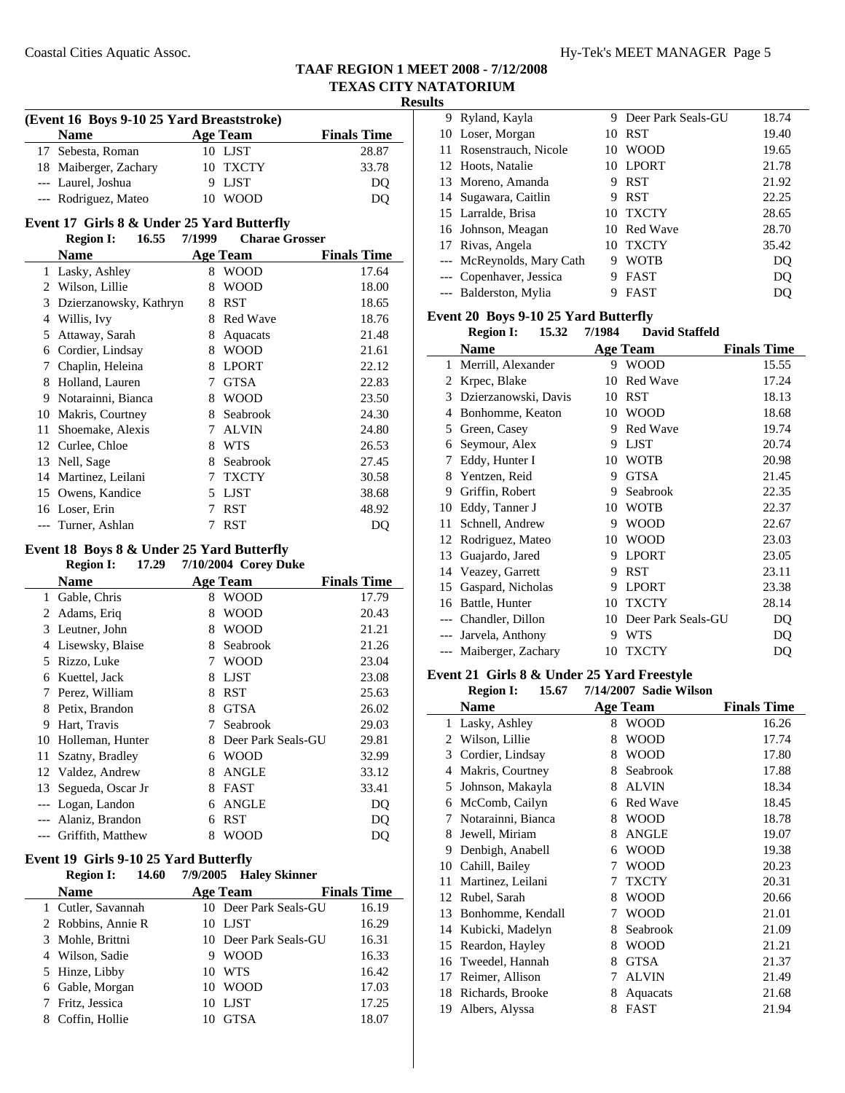**Results**

|       | (Event 16 Boys 9-10 25 Yard Breaststroke)  |        |                       |                    |  |  |
|-------|--------------------------------------------|--------|-----------------------|--------------------|--|--|
|       | <b>Name</b>                                |        | <b>Age Team</b>       | <b>Finals Time</b> |  |  |
| 17    | Sebesta, Roman                             |        | 10 LJST               | 28.87              |  |  |
| 18    | Maiberger, Zachary                         | 10     | <b>TXCTY</b>          | 33.78              |  |  |
| $---$ | Laurel, Joshua                             | 9      | <b>LJST</b>           | D <sub>O</sub>     |  |  |
|       | --- Rodriguez, Mateo                       |        | 10 WOOD               | DQ                 |  |  |
|       | Event 17 Girls 8 & Under 25 Yard Butterfly |        |                       |                    |  |  |
|       | 16.55<br><b>Region I:</b>                  | 7/1999 | <b>Charae Grosser</b> |                    |  |  |
|       | <b>Name</b>                                |        | <b>Age Team</b>       | <b>Finals Time</b> |  |  |
| 1     | Lasky, Ashley                              | 8      | <b>WOOD</b>           | 17.64              |  |  |
| 2     | Wilson, Lillie                             | 8      | <b>WOOD</b>           | 18.00              |  |  |
| 3     | Dzierzanowsky, Kathryn                     | 8      | <b>RST</b>            | 18.65              |  |  |
| 4     | Willis, Ivy                                | 8      | <b>Red Wave</b>       | 18.76              |  |  |
| 5     | Attaway, Sarah                             | 8      | Aquacats              | 21.48              |  |  |
| 6     | Cordier, Lindsay                           | 8      | <b>WOOD</b>           | 21.61              |  |  |
| 7     | Chaplin, Heleina                           | 8      | <b>LPORT</b>          | 22.12              |  |  |
| 8     | Holland, Lauren                            | 7      | <b>GTSA</b>           | 22.83              |  |  |
| 9     | Notarainni, Bianca                         | 8      | <b>WOOD</b>           | 23.50              |  |  |
| 10    | Makris, Courtney                           | 8      | Seabrook              | 24.30              |  |  |
| 11    | Shoemake, Alexis                           | 7      | <b>ALVIN</b>          | 24.80              |  |  |
| 12    | Curlee, Chloe                              | 8      | <b>WTS</b>            | 26.53              |  |  |
| 13    | Nell, Sage                                 | 8      | Seabrook              | 27.45              |  |  |
| 14    | Martinez, Leilani                          | 7      | <b>TXCTY</b>          | 30.58              |  |  |
| 15    | Owens, Kandice                             | 5      | LJST                  | 38.68              |  |  |
| 16    | Loser, Erin                                | 7      | <b>RST</b>            | 48.92              |  |  |
| $---$ | Turner, Ashlan                             | 7      | <b>RST</b>            | DQ                 |  |  |

## **Event 18 Boys 8 & Under 25 Yard Butterfly**

### **Region I:** 17.29 7/10/2004 Corey Duke **Name Age Team Finals Time** 1 Gable, Chris 8 WOOD 17.79 2 Adams, Eriq 8 WOOD 20.43 3 21.21 Leutner, John 8 WOOD 4 Lisewsky, Blaise 8 Seabrook 21.26 5 23.04 Rizzo, Luke 7 WOOD 6 23.08 Kuettel, Jack 8 LJST 7 25.63 Perez, William 8 RST 8 26.02 Petix, Brandon 8 GTSA 9 29.03 Hart, Travis 7 Seabrook 10 Holleman, Hunter 8 Deer Park Seals-GU 29.81 11 Szatny, Bradley 6 WOOD 32.99 12 Valdez, Andrew 8 ANGLE 33.12 13 Segueda, Oscar Jr 8 FAST 33.41 --- Logan, Landon 6 ANGLE DQ --- Alaniz, Brandon 6 RST DQ --- Griffith, Matthew 8 WOOD DQ

### **Event 19 Girls 9-10 25 Yard Butterfly**

| <b>Region I:</b><br>14.60 | 7/9/2005 Haley Skinner |                    |
|---------------------------|------------------------|--------------------|
| <b>Name</b>               | <b>Age Team</b>        | <b>Finals Time</b> |
| 1 Cutler, Savannah        | 10 Deer Park Seals-GU  | 16.19              |
| 2 Robbins, Annie R        | LJST<br>10.            | 16.29              |
| 3 Mohle, Brittni          | 10 Deer Park Seals-GU  | 16.31              |
| 4 Wilson, Sadie           | WOOD<br>9              | 16.33              |
| 5 Hinze, Libby            | <b>WTS</b><br>10.      | 16.42              |
| 6 Gable, Morgan           | <b>WOOD</b><br>10.     | 17.03              |
| Fritz, Jessica            | LJST<br>10             | 17.25              |
| Coffin, Hollie            | <b>GTSA</b>            | 18.07              |

|  | 9 Ryland, Kayla           | 9   | Deer Park Seals-GU | 18.74 |
|--|---------------------------|-----|--------------------|-------|
|  | 10 Loser, Morgan          | 10  | <b>RST</b>         | 19.40 |
|  | 11 Rosenstrauch, Nicole   | 10  | <b>WOOD</b>        | 19.65 |
|  | 12 Hoots, Natalie         | 10  | LPORT              | 21.78 |
|  | 13 Moreno, Amanda         | 9   | <b>RST</b>         | 21.92 |
|  | 14 Sugawara, Caitlin      | 9   | <b>RST</b>         | 22.25 |
|  | 15 Larralde, Brisa        | 10  | <b>TXCTY</b>       | 28.65 |
|  | 16 Johnson, Meagan        |     | 10 Red Wave        | 28.70 |
|  | 17 Rivas, Angela          | 1() | <b>TXCTY</b>       | 35.42 |
|  | --- McReynolds, Mary Cath | 9   | WOTB               | DQ    |
|  | --- Copenhaver, Jessica   | 9   | <b>FAST</b>        | DQ    |
|  | --- Balderston, Mylia     |     | <b>FAST</b>        | DO    |

#### **Event 20 Boys 9-10 25 Yard Butterfly**

|    | 15.32<br><b>Region I:</b> | 7/1984 | <b>David Staffeld</b> |                    |
|----|---------------------------|--------|-----------------------|--------------------|
|    | Name                      |        | <b>Age Team</b>       | <b>Finals Time</b> |
| 1  | Merrill, Alexander        |        | 9 WOOD                | 15.55              |
| 2  | Krpec, Blake              | 10     | <b>Red Wave</b>       | 17.24              |
| 3  | Dzierzanowski, Davis      | 10     | RST                   | 18.13              |
| 4  | Bonhomme, Keaton          | 10     | WOOD                  | 18.68              |
| 5  | Green, Casey              | 9      | Red Wave              | 19.74              |
| 6  | Seymour, Alex             | 9      | <b>LJST</b>           | 20.74              |
| 7  | Eddy, Hunter I            | 10     | WOTB                  | 20.98              |
| 8  | Yentzen, Reid             | 9      | <b>GTSA</b>           | 21.45              |
| 9  | Griffin, Robert           | 9      | Seabrook              | 22.35              |
| 10 | Eddy, Tanner J            | 10     | <b>WOTB</b>           | 22.37              |
| 11 | Schnell, Andrew           | 9      | <b>WOOD</b>           | 22.67              |
| 12 | Rodriguez, Mateo          | 10     | <b>WOOD</b>           | 23.03              |
| 13 | Guajardo, Jared           | 9      | <b>LPORT</b>          | 23.05              |
| 14 | Veazey, Garrett           | 9      | RST                   | 23.11              |
| 15 | Gaspard, Nicholas         | 9      | <b>LPORT</b>          | 23.38              |
| 16 | Battle, Hunter            | 10     | <b>TXCTY</b>          | 28.14              |
|    | Chandler, Dillon          | 10     | Deer Park Seals-GU    | DQ                 |
|    | Jarvela, Anthony          | 9      | <b>WTS</b>            | DQ                 |
|    | --- Maiberger, Zachary    | 10     | <b>TXCTY</b>          | DQ                 |

### **Event 21 Girls 8 & Under 25 Yard Freestyle**

**Region I:** 15.67 7/14/2007 Sadie Wilson

|              | Name               |   | Age Team        | <b>Finals Time</b> |
|--------------|--------------------|---|-----------------|--------------------|
| $\mathbf{1}$ | Lasky, Ashley      | 8 | <b>WOOD</b>     | 16.26              |
| 2            | Wilson, Lillie     | 8 | <b>WOOD</b>     | 17.74              |
| 3            | Cordier, Lindsay   | 8 | <b>WOOD</b>     | 17.80              |
| 4            | Makris, Courtney   | 8 | Seabrook        | 17.88              |
| 5            | Johnson, Makayla   | 8 | <b>ALVIN</b>    | 18.34              |
| 6            | McComb, Cailyn     | 6 | <b>Red Wave</b> | 18.45              |
| 7            | Notarainni, Bianca | 8 | <b>WOOD</b>     | 18.78              |
| 8            | Jewell, Miriam     | 8 | <b>ANGLE</b>    | 19.07              |
| 9            | Denbigh, Anabell   | 6 | <b>WOOD</b>     | 19.38              |
| 10           | Cahill, Bailey     | 7 | <b>WOOD</b>     | 20.23              |
| 11           | Martinez, Leilani  | 7 | <b>TXCTY</b>    | 20.31              |
| 12           | Rubel, Sarah       | 8 | <b>WOOD</b>     | 20.66              |
| 13           | Bonhomme, Kendall  | 7 | <b>WOOD</b>     | 21.01              |
| 14           | Kubicki, Madelyn   | 8 | Seabrook        | 21.09              |
| 15           | Reardon, Hayley    | 8 | <b>WOOD</b>     | 21.21              |
| 16           | Tweedel, Hannah    | 8 | <b>GTSA</b>     | 21.37              |
| 17           | Reimer, Allison    | 7 | ALVIN           | 21.49              |
| 18           | Richards, Brooke   | 8 | Aquacats        | 21.68              |
| 19           | Albers, Alyssa     | 8 | FAST            | 21.94              |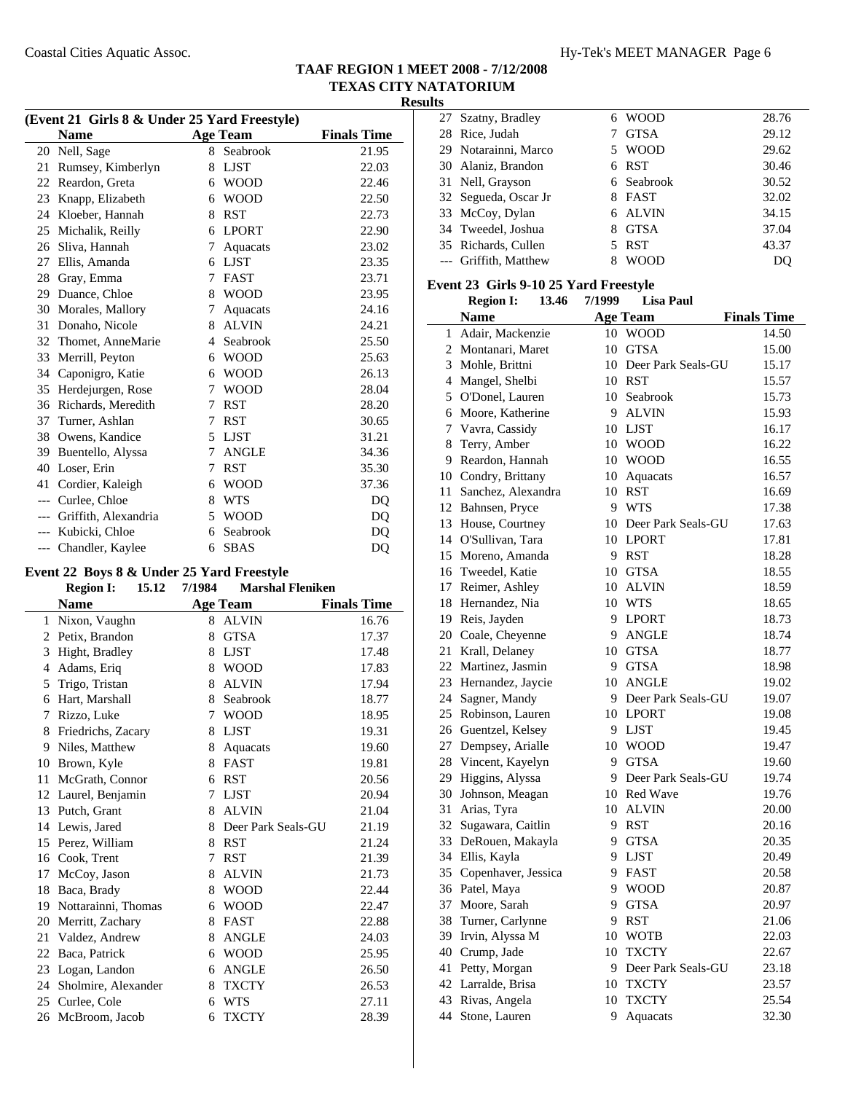| (Event 21 Girls 8 & Under 25 Yard Freestyle) |                      |   |                 |                    |
|----------------------------------------------|----------------------|---|-----------------|--------------------|
|                                              | <b>Name</b>          |   | <b>Age Team</b> | <b>Finals Time</b> |
| 20                                           | Nell, Sage           | 8 | Seabrook        | 21.95              |
| 21                                           | Rumsey, Kimberlyn    | 8 | <b>LJST</b>     | 22.03              |
| 22                                           | Reardon, Greta       | 6 | <b>WOOD</b>     | 22.46              |
| 23                                           | Knapp, Elizabeth     | 6 | <b>WOOD</b>     | 22.50              |
| 24                                           | Kloeber, Hannah      | 8 | <b>RST</b>      | 22.73              |
| 25                                           | Michalik, Reilly     | 6 | <b>LPORT</b>    | 22.90              |
| 26                                           | Sliva, Hannah        | 7 | Aquacats        | 23.02              |
| 27                                           | Ellis, Amanda        | 6 | <b>LJST</b>     | 23.35              |
| 28                                           | Gray, Emma           | 7 | <b>FAST</b>     | 23.71              |
| 29                                           | Duance, Chloe        | 8 | <b>WOOD</b>     | 23.95              |
| 30                                           | Morales, Mallory     | 7 | Aquacats        | 24.16              |
| 31                                           | Donaho, Nicole       | 8 | <b>ALVIN</b>    | 24.21              |
| 32                                           | Thomet, AnneMarie    | 4 | Seabrook        | 25.50              |
| 33                                           | Merrill, Peyton      | 6 | <b>WOOD</b>     | 25.63              |
| 34                                           | Caponigro, Katie     | 6 | <b>WOOD</b>     | 26.13              |
| 35                                           | Herdejurgen, Rose    | 7 | <b>WOOD</b>     | 28.04              |
| 36                                           | Richards, Meredith   | 7 | <b>RST</b>      | 28.20              |
| 37                                           | Turner, Ashlan       | 7 | <b>RST</b>      | 30.65              |
| 38                                           | Owens, Kandice       | 5 | <b>LJST</b>     | 31.21              |
| 39                                           | Buentello, Alyssa    | 7 | <b>ANGLE</b>    | 34.36              |
| 40                                           | Loser, Erin          | 7 | <b>RST</b>      | 35.30              |
| 41                                           | Cordier, Kaleigh     | 6 | <b>WOOD</b>     | 37.36              |
| $---$                                        | Curlee, Chloe        | 8 | <b>WTS</b>      | DO                 |
| $---$                                        | Griffith, Alexandria | 5 | <b>WOOD</b>     | DQ                 |
| $---$                                        | Kubicki, Chloe       | 6 | Seabrook        | DO                 |
| $---$                                        | Chandler, Kaylee     | 6 | <b>SBAS</b>     | DQ                 |
|                                              |                      |   |                 |                    |

#### **Event 22 Boys 8 & Under 25 Yard Freestyle Region I:** 15.12 7/1984 Marshal Fleniken

 $\overline{\phantom{0}}$ 

|    | <b>Name</b>         |   | <b>Age Team</b>    | <b>Finals Time</b> |
|----|---------------------|---|--------------------|--------------------|
| 1  | Nixon, Vaughn       | 8 | <b>ALVIN</b>       | 16.76              |
| 2  | Petix, Brandon      | 8 | <b>GTSA</b>        | 17.37              |
| 3  | Hight, Bradley      | 8 | <b>LJST</b>        | 17.48              |
| 4  | Adams, Eriq         | 8 | <b>WOOD</b>        | 17.83              |
| 5  | Trigo, Tristan      | 8 | <b>ALVIN</b>       | 17.94              |
| 6  | Hart, Marshall      | 8 | Seabrook           | 18.77              |
| 7  | Rizzo, Luke         | 7 | <b>WOOD</b>        | 18.95              |
| 8  | Friedrichs, Zacary  | 8 | <b>LJST</b>        | 19.31              |
| 9  | Niles, Matthew      | 8 | Aquacats           | 19.60              |
| 10 | Brown, Kyle         | 8 | <b>FAST</b>        | 19.81              |
| 11 | McGrath, Connor     | 6 | <b>RST</b>         | 20.56              |
| 12 | Laurel, Benjamin    | 7 | <b>LJST</b>        | 20.94              |
| 13 | Putch, Grant        | 8 | <b>ALVIN</b>       | 21.04              |
| 14 | Lewis, Jared        | 8 | Deer Park Seals-GU | 21.19              |
| 15 | Perez, William      | 8 | <b>RST</b>         | 21.24              |
| 16 | Cook, Trent         | 7 | <b>RST</b>         | 21.39              |
| 17 | McCoy, Jason        | 8 | <b>ALVIN</b>       | 21.73              |
| 18 | Baca, Brady         | 8 | <b>WOOD</b>        | 22.44              |
| 19 | Nottarainni, Thomas | 6 | <b>WOOD</b>        | 22.47              |
| 20 | Merritt, Zachary    | 8 | <b>FAST</b>        | 22.88              |
| 21 | Valdez, Andrew      | 8 | <b>ANGLE</b>       | 24.03              |
| 22 | Baca, Patrick       | 6 | <b>WOOD</b>        | 25.95              |
| 23 | Logan, Landon       | 6 | <b>ANGLE</b>       | 26.50              |
| 24 | Sholmire, Alexander | 8 | <b>TXCTY</b>       | 26.53              |
| 25 | Curlee, Cole        | 6 | <b>WTS</b>         | 27.11              |
|    | 26 McBroom, Jacob   | 6 | <b>TXCTY</b>       | 28.39              |

| 27 Szatny, Bradley    |                      |   | 6 WOOD      | 28.76 |
|-----------------------|----------------------|---|-------------|-------|
| 28 Rice, Judah        |                      |   | <b>GTSA</b> | 29.12 |
|                       | 29 Notarainni, Marco |   | 5 WOOD      | 29.62 |
| 30 Alaniz, Brandon    |                      |   | 6 RST       | 30.46 |
| 31 Nell, Grayson      |                      |   | 6 Seabrook  | 30.52 |
| 32 Segueda, Oscar Jr  |                      |   | 8 FAST      | 32.02 |
| 33 McCoy, Dylan       |                      |   | 6 ALVIN     | 34.15 |
| 34 Tweedel, Joshua    |                      | 8 | <b>GTSA</b> | 37.04 |
| 35 Richards, Cullen   |                      |   | 5 RST       | 43.37 |
| --- Griffith, Matthew |                      |   | WOOD        | DO    |

#### **Event 23 Girls 9-10 25 Yard Freestyle**

|              | <b>Region I:</b>       | 13.46 | 7/1999 | <b>Lisa Paul</b>      |                    |
|--------------|------------------------|-------|--------|-----------------------|--------------------|
|              | <b>Name</b>            |       |        | <b>Age Team</b>       | <b>Finals Time</b> |
| $\mathbf{1}$ | Adair, Mackenzie       |       |        | 10 WOOD               | 14.50              |
|              | 2 Montanari, Maret     |       | 10     | <b>GTSA</b>           | 15.00              |
| 3            | Mohle, Brittni         |       |        | 10 Deer Park Seals-GU | 15.17              |
|              | 4 Mangel, Shelbi       |       |        | 10 RST                | 15.57              |
|              | 5 O'Donel, Lauren      |       | 10     | Seabrook              | 15.73              |
|              | 6 Moore, Katherine     |       | 9      | <b>ALVIN</b>          | 15.93              |
|              | 7 Vavra, Cassidy       |       |        | 10 LJST               | 16.17              |
| 8            | Terry, Amber           |       |        | 10 WOOD               | 16.22              |
|              | 9 Reardon, Hannah      |       |        | 10 WOOD               | 16.55              |
|              | 10 Condry, Brittany    |       |        | 10 Aquacats           | 16.57              |
|              | 11 Sanchez, Alexandra  |       |        | 10 RST                | 16.69              |
|              | 12 Bahnsen, Pryce      |       |        | 9 WTS                 | 17.38              |
|              | 13 House, Courtney     |       |        | 10 Deer Park Seals-GU | 17.63              |
|              | 14 O'Sullivan, Tara    |       |        | 10 LPORT              | 17.81              |
|              | 15 Moreno, Amanda      |       |        | 9 RST                 | 18.28              |
|              | 16 Tweedel, Katie      |       | 10     | <b>GTSA</b>           | 18.55              |
|              | 17 Reimer, Ashley      |       | 10     | <b>ALVIN</b>          | 18.59              |
|              | 18 Hernandez, Nia      |       |        | 10 WTS                | 18.65              |
|              | 19 Reis, Jayden        |       |        | 9 LPORT               | 18.73              |
|              | 20 Coale, Cheyenne     |       | 9      | <b>ANGLE</b>          | 18.74              |
|              | 21 Krall, Delaney      |       |        | 10 GTSA               | 18.77              |
|              | 22 Martinez, Jasmin    |       |        | 9 GTSA                | 18.98              |
|              | 23 Hernandez, Jaycie   |       |        | 10 ANGLE              | 19.02              |
|              | 24 Sagner, Mandy       |       |        | 9 Deer Park Seals-GU  | 19.07              |
|              | 25 Robinson, Lauren    |       |        | 10 LPORT              | 19.08              |
|              | 26 Guentzel, Kelsey    |       |        | 9 LJST                | 19.45              |
|              | 27 Dempsey, Arialle    |       |        | 10 WOOD               | 19.47              |
|              | 28 Vincent, Kayelyn    |       | 9.     | <b>GTSA</b>           | 19.60              |
|              | 29 Higgins, Alyssa     |       |        | 9 Deer Park Seals-GU  | 19.74              |
| 30           | Johnson, Meagan        |       |        | 10 Red Wave           | 19.76              |
| 31           | Arias, Tyra            |       |        | 10 ALVIN              | 20.00              |
|              | 32 Sugawara, Caitlin   |       |        | 9 RST                 | 20.16              |
|              | 33 DeRouen, Makayla    |       |        | 9 GTSA                | 20.35              |
|              | 34 Ellis, Kayla        |       |        | 9 LJST                | 20.49              |
|              | 35 Copenhaver, Jessica |       | 9.     | FAST                  | 20.58              |
|              | 36 Patel, Maya         |       | 9      | <b>WOOD</b>           | 20.87              |
| 37           | Moore, Sarah           |       | 9      | <b>GTSA</b>           | 20.97              |
| 38           | Turner, Carlynne       |       | 9      | <b>RST</b>            | 21.06              |
| 39           | Irvin, Alyssa M        |       | 10     | <b>WOTB</b>           | 22.03              |
| 40           | Crump, Jade            |       | 10     | <b>TXCTY</b>          | 22.67              |
| 41           | Petty, Morgan          |       | 9      | Deer Park Seals-GU    | 23.18              |
| 42           | Larralde, Brisa        |       | 10     | <b>TXCTY</b>          | 23.57              |
| 43           | Rivas, Angela          |       | 10     | <b>TXCTY</b>          | 25.54              |
| 44           | Stone, Lauren          |       | 9      | Aquacats              | 32.30              |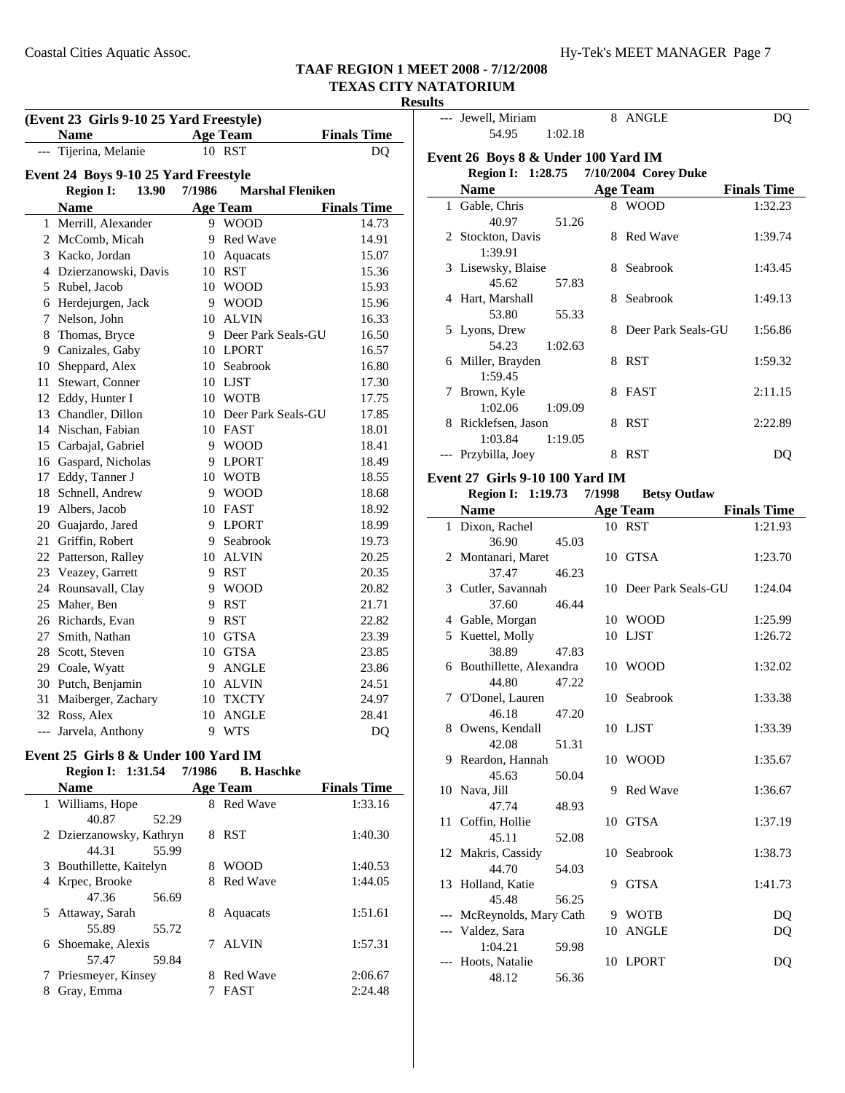#### **Results**

| (Event 23 Girls 9-10 25 Yard Freestyle) |                                      |        |                         |                    |
|-----------------------------------------|--------------------------------------|--------|-------------------------|--------------------|
|                                         | <b>Name</b>                          |        | <b>Age Team</b>         | <b>Finals Time</b> |
|                                         | Tijerina, Melanie                    |        | 10 RST                  | DQ                 |
|                                         | Event 24 Boys 9-10 25 Yard Freestyle |        |                         |                    |
|                                         | <b>Region I:</b><br>13.90            | 7/1986 | <b>Marshal Fleniken</b> |                    |
|                                         | <b>Name</b>                          |        | <b>Age Team</b>         | <b>Finals Time</b> |
|                                         | 1 Merrill, Alexander                 |        | 9 WOOD                  | 14.73              |
|                                         | 2 McComb, Micah                      | 9      | Red Wave                | 14.91              |
|                                         | 3 Kacko, Jordan                      |        | 10 Aquacats             | 15.07              |
|                                         | 4 Dzierzanowski, Davis               |        | 10 RST                  | 15.36              |
|                                         | 5 Rubel, Jacob                       |        | 10 WOOD                 | 15.93              |
|                                         | 6 Herdejurgen, Jack                  |        | 9 WOOD                  | 15.96              |
| 7                                       | Nelson, John                         | 10     | <b>ALVIN</b>            | 16.33              |
|                                         | 8 Thomas, Bryce                      |        | 9 Deer Park Seals-GU    | 16.50              |
|                                         | 9 Canizales, Gaby                    |        | 10 LPORT                | 16.57              |
|                                         | 10 Sheppard, Alex                    |        | 10 Seabrook             | 16.80              |
|                                         | 11 Stewart, Conner                   |        | 10 LJST                 | 17.30              |
|                                         | 12 Eddy, Hunter I                    |        | 10 WOTB                 | 17.75              |
|                                         | 13 Chandler, Dillon                  |        | 10 Deer Park Seals-GU   | 17.85              |
|                                         | 14 Nischan, Fabian                   |        | 10 FAST                 | 18.01              |
|                                         | 15 Carbajal, Gabriel                 |        | 9 WOOD                  | 18.41              |
|                                         | 16 Gaspard, Nicholas                 |        | 9 LPORT                 | 18.49              |
|                                         | 17 Eddy, Tanner J                    |        | 10 WOTB                 | 18.55              |
|                                         | 18 Schnell, Andrew                   |        | 9 WOOD                  | 18.68              |
|                                         | 19 Albers, Jacob                     |        | 10 FAST                 | 18.92              |
|                                         | 20 Guajardo, Jared                   |        | 9 LPORT                 | 18.99              |
|                                         | 21 Griffin, Robert                   |        | 9 Seabrook              | 19.73              |
|                                         | 22 Patterson, Ralley                 |        | 10 ALVIN                | 20.25              |
|                                         | 23 Veazey, Garrett                   |        | 9 RST                   | 20.35              |
|                                         | 24 Rounsavall, Clay                  |        | 9 WOOD                  | 20.82              |
|                                         | 25 Maher, Ben                        | 9      | <b>RST</b>              | 21.71              |
|                                         | 26 Richards, Evan                    | 9      | <b>RST</b>              | 22.82              |
|                                         | 27 Smith, Nathan                     | 10     | <b>GTSA</b>             | 23.39              |
|                                         | 28 Scott, Steven                     |        | 10 GTSA                 | 23.85              |
|                                         | 29 Coale, Wyatt                      |        | 9 ANGLE                 | 23.86              |
|                                         | 30 Putch, Benjamin                   |        | 10 ALVIN                | 24.51              |
|                                         | 31 Maiberger, Zachary                |        | 10 TXCTY                | 24.97              |
|                                         | 32 Ross, Alex                        | 10     | ANGLE                   | 28.41              |
| $---$                                   | Jarvela, Anthony                     | 9      | <b>WTS</b>              | DQ                 |

#### **Event 25 Girls 8 & Under 100 Yard IM Region I: 1:31.54 7/1986 B. Haschke**

| <b>Name</b>              | <b>Age Team</b>      | <b>Finals Time</b> |
|--------------------------|----------------------|--------------------|
| 1 Williams, Hope         | 8 Red Wave           | 1:33.16            |
| 40.87<br>52.29           |                      |                    |
| 2 Dzierzanowsky, Kathryn | <b>RST</b><br>8      | 1:40.30            |
| 55.99<br>44.31           |                      |                    |
| 3 Bouthillette, Kaitelyn | <b>WOOD</b><br>8     | 1:40.53            |
| 4 Krpec, Brooke          | <b>Red Wave</b><br>8 | 1:44.05            |
| 47.36<br>56.69           |                      |                    |
| 5 Attaway, Sarah         | 8<br>Aquacats        | 1:51.61            |
| 55.72<br>55.89           |                      |                    |
| 6 Shoemake, Alexis       | 7 ALVIN              | 1:57.31            |
| 59.84<br>57.47           |                      |                    |
| 7 Priesmeyer, Kinsey     | <b>Red Wave</b><br>8 | 2:06.67            |
| Gray, Emma<br>8          | FAST                 | 2:24.48            |

|    | --- Jewell, Miriam                     |         | 8 ANGLE               | DQ                 |
|----|----------------------------------------|---------|-----------------------|--------------------|
|    | 54.95                                  | 1:02.18 |                       |                    |
|    |                                        |         |                       |                    |
|    | Event 26 Boys 8 & Under 100 Yard IM    |         |                       |                    |
|    | Region I: 1:28.75 7/10/2004 Corey Duke |         |                       |                    |
|    | <b>Name</b>                            |         | <b>Age Team</b>       | <b>Finals Time</b> |
|    | 1 Gable, Chris                         |         | 8 WOOD                | 1:32.23            |
|    | 40.97                                  | 51.26   |                       |                    |
|    | 2 Stockton, Davis                      | 8       | Red Wave              | 1:39.74            |
|    | 1:39.91                                |         |                       |                    |
|    | 3 Lisewsky, Blaise                     | 8       | Seabrook              | 1:43.45            |
|    | 45.62                                  | 57.83   |                       |                    |
|    | 4 Hart, Marshall                       | 8       | Seabrook              | 1:49.13            |
|    | 53.80                                  | 55.33   |                       |                    |
|    |                                        |         | 8 Deer Park Seals-GU  |                    |
|    | 5 Lyons, Drew                          |         |                       | 1:56.86            |
|    | 54.23                                  | 1:02.63 |                       |                    |
|    | 6 Miller, Brayden                      |         | 8 RST                 | 1:59.32            |
|    | 1:59.45                                |         |                       |                    |
|    | 7 Brown, Kyle                          | 8       | FAST                  | 2:11.15            |
|    | 1:02.06                                | 1:09.09 |                       |                    |
|    | 8 Ricklefsen, Jason                    | 8       | <b>RST</b>            | 2:22.89            |
|    | 1:03.84                                | 1:19.05 |                       |                    |
|    | --- Przybilla, Joey                    | 8       | RST                   | DQ                 |
|    |                                        |         |                       |                    |
|    | Event 27 Girls 9-10 100 Yard IM        |         |                       |                    |
|    | Region I: 1:19.73 7/1998               |         | <b>Betsy Outlaw</b>   |                    |
|    | <b>Name</b>                            |         | <b>Age Team</b>       | <b>Finals Time</b> |
|    | 1 Dixon, Rachel                        |         | 10 RST                | 1:21.93            |
|    | 36.90                                  | 45.03   |                       |                    |
|    | 2 Montanari, Maret                     |         | 10 GTSA               | 1:23.70            |
|    | 37.47                                  | 46.23   |                       |                    |
|    | 3 Cutler, Savannah                     |         | 10 Deer Park Seals-GU | 1:24.04            |
|    | 37.60                                  | 46.44   |                       |                    |
|    | 4 Gable, Morgan                        |         | 10 WOOD               | 1:25.99            |
|    | 5 Kuettel, Molly                       |         | 10 LJST               | 1:26.72            |
|    | 38.89                                  | 47.83   |                       |                    |
|    | 6 Bouthillette, Alexandra              |         | 10 WOOD               | 1:32.02            |
|    | 44.80                                  | 47.22   |                       |                    |
|    | 7 O'Donel, Lauren                      |         | 10 Seabrook           | 1:33.38            |
|    | 46.18                                  | 47.20   |                       |                    |
|    |                                        |         | 10 LJST               |                    |
|    | 8 Owens, Kendall                       |         |                       | 1:33.39            |
|    | 42.08                                  | 51.31   |                       |                    |
| 9  | Reardon, Hannah                        |         | 10 WOOD               | 1:35.67            |
|    | 45.63                                  | 50.04   |                       |                    |
| 10 | Nava, Jill                             | 9       | Red Wave              | 1:36.67            |
|    | 47.74                                  | 48.93   |                       |                    |
| 11 | Coffin, Hollie                         | 10      | GTSA                  | 1:37.19            |
|    | 45.11                                  | 52.08   |                       |                    |
|    | 12 Makris, Cassidy                     | 10      | Seabrook              | 1:38.73            |
|    | 44.70                                  | 54.03   |                       |                    |
|    | 13 Holland, Katie                      | 9       | <b>GTSA</b>           | 1:41.73            |
|    | 45.48                                  | 56.25   |                       |                    |
|    | McReynolds, Mary Cath                  |         | 9 WOTB                | DQ                 |
|    | --- Valdez, Sara                       |         | 10 ANGLE              | DQ                 |
|    | 1:04.21                                | 59.98   |                       |                    |
|    | --- Hoots, Natalie                     |         | 10 LPORT              | DQ                 |
|    |                                        |         |                       |                    |
|    | 48.12                                  | 56.36   |                       |                    |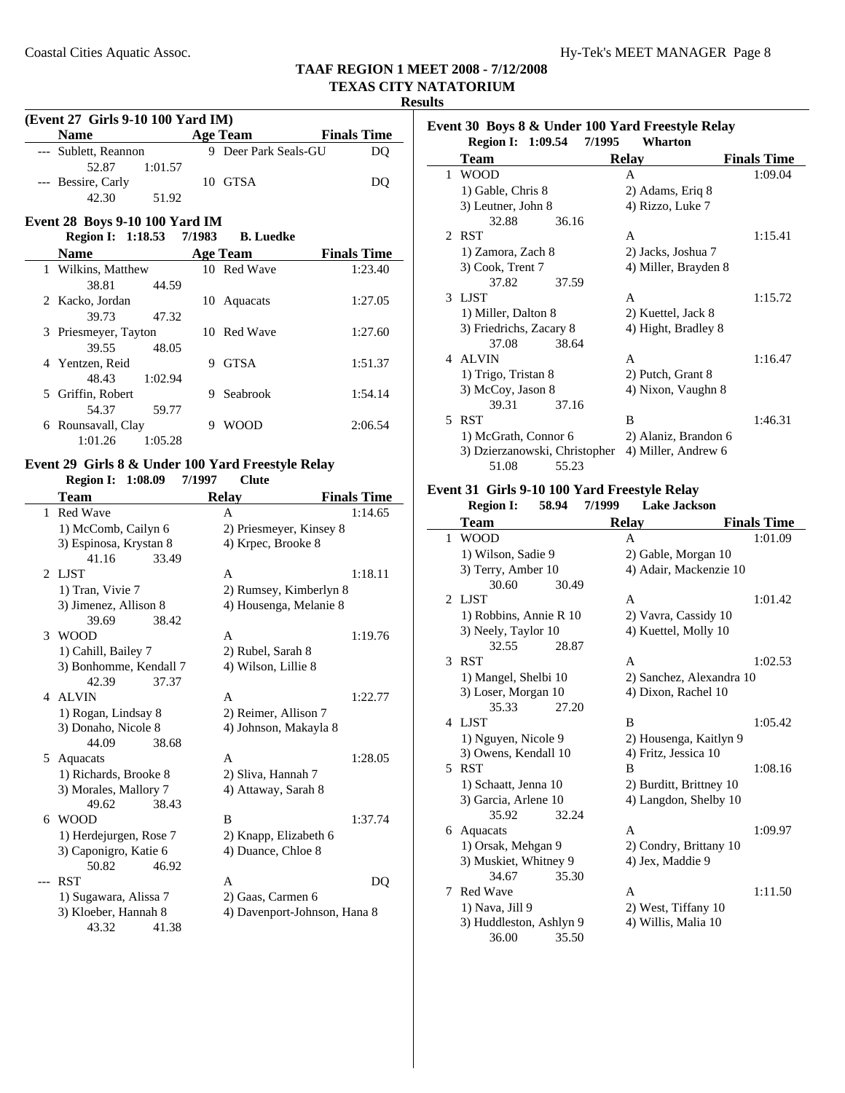## **Results**

| (Event 27 Girls 9-10 100 Yard IM) |                    |  |  |  |
|-----------------------------------|--------------------|--|--|--|
| <b>Age Team</b>                   | <b>Finals Time</b> |  |  |  |
| 9 Deer Park Seals-GU              | DO                 |  |  |  |
|                                   |                    |  |  |  |
| 10 GTSA                           | DO                 |  |  |  |
|                                   |                    |  |  |  |
|                                   | 1:01.57<br>51.92   |  |  |  |

## **Event 28 Boys 9-10 100 Yard IM**

**Region I: 1:18.53 7/1983 B. Luedke** 

| <b>Name</b>           | <b>Age Team</b>  | <b>Finals Time</b> |
|-----------------------|------------------|--------------------|
| 1 Wilkins, Matthew    | 10 Red Wave      | 1:23.40            |
| 38.81                 | 44.59            |                    |
| 2 Kacko, Jordan       | Aquacats<br>10-  | 1:27.05            |
| 39.73                 | 47.32            |                    |
| 3 Priesmeyer, Tayton  | 10 Red Wave      | 1:27.60            |
| 39.55                 | 48.05            |                    |
| 4 Yentzen, Reid       | <b>GTSA</b><br>9 | 1:51.37            |
| 1:02.94<br>48.43      |                  |                    |
| 5 Griffin, Robert     | Seabrook         | 1:54.14            |
| 54.37                 | 59.77            |                    |
| Rounsavall, Clay<br>6 | WOOD<br>9        | 2:06.54            |
| 1:05.28<br>1:01.26    |                  |                    |

#### **Event 29 Girls 8 & Under 100 Yard Freestyle Relay Region I: 1:08.09 Clute 7/1997**

|                | ingion 1.<br>$\frac{1}{2}$ . | ,,,,,,<br>UNR                |                    |
|----------------|------------------------------|------------------------------|--------------------|
|                | Team                         | <b>Relay</b>                 | <b>Finals Time</b> |
|                | 1 Red Wave                   | A                            | 1:14.65            |
|                | 1) McComb, Cailyn 6          | 2) Priesmeyer, Kinsey 8      |                    |
|                | 3) Espinosa, Krystan 8       | 4) Krpec, Brooke 8           |                    |
|                | 41.16<br>33.49               |                              |                    |
| $\mathfrak{D}$ | LJST                         | A                            | 1:18.11            |
|                | 1) Tran, Vivie 7             | 2) Rumsey, Kimberlyn 8       |                    |
|                | 3) Jimenez, Allison 8        | 4) Housenga, Melanie 8       |                    |
|                | 38.42<br>39.69               |                              |                    |
| 3              | <b>WOOD</b>                  | A                            | 1:19.76            |
|                | 1) Cahill, Bailey 7          | 2) Rubel, Sarah 8            |                    |
|                | 3) Bonhomme, Kendall 7       | 4) Wilson, Lillie 8          |                    |
|                | 42.39<br>37.37               |                              |                    |
|                | 4 ALVIN                      | A                            | 1:22.77            |
|                | 1) Rogan, Lindsay 8          | 2) Reimer, Allison 7         |                    |
|                | 3) Donaho, Nicole 8          | 4) Johnson, Makayla 8        |                    |
|                | 44.09<br>38.68               |                              |                    |
| 5              | Aquacats                     | A                            | 1:28.05            |
|                | 1) Richards, Brooke 8        | 2) Sliva, Hannah 7           |                    |
|                | 3) Morales, Mallory 7        | 4) Attaway, Sarah 8          |                    |
|                | 49.62<br>38.43               |                              |                    |
| 6              | <b>WOOD</b>                  | B                            | 1:37.74            |
|                | 1) Herdejurgen, Rose 7       | 2) Knapp, Elizabeth 6        |                    |
|                | 3) Caponigro, Katie 6        | 4) Duance, Chloe 8           |                    |
|                | 50.82<br>46.92               |                              |                    |
|                | <b>RST</b>                   | A                            | DQ                 |
|                | 1) Sugawara, Alissa 7        | 2) Gaas, Carmen 6            |                    |
|                | 3) Kloeber, Hannah 8         | 4) Davenport-Johnson, Hana 8 |                    |
|                | 43.32<br>41.38               |                              |                    |

|   | <b>Region I:</b> 1:09.54      | Wharton<br>7/1995    |                    |
|---|-------------------------------|----------------------|--------------------|
|   | Team                          | <b>Relay</b>         | <b>Finals Time</b> |
| 1 | <b>WOOD</b>                   | A                    | 1:09.04            |
|   | 1) Gable, Chris 8             | 2) Adams, Eriq 8     |                    |
|   | 3) Leutner, John 8            | 4) Rizzo, Luke 7     |                    |
|   | 32.88<br>36.16                |                      |                    |
|   | 2 RST                         | A                    | 1:15.41            |
|   | 1) Zamora, Zach 8             | 2) Jacks, Joshua 7   |                    |
|   | 3) Cook, Trent 7              | 4) Miller, Brayden 8 |                    |
|   | 37.82<br>37.59                |                      |                    |
|   | 3 LIST                        | A                    | 1:15.72            |
|   | 1) Miller, Dalton 8           | 2) Kuettel, Jack 8   |                    |
|   | 3) Friedrichs, Zacary 8       | 4) Hight, Bradley 8  |                    |
|   | 37.08<br>38.64                |                      |                    |
|   | 4 ALVIN                       | A                    | 1:16.47            |
|   | 1) Trigo, Tristan 8           | 2) Putch, Grant 8    |                    |
|   | 3) McCoy, Jason 8             | 4) Nixon, Vaughn 8   |                    |
|   | 39.31<br>37.16                |                      |                    |
|   | 5 RST                         | B                    | 1:46.31            |
|   | 1) McGrath, Connor 6          | 2) Alaniz, Brandon 6 |                    |
|   | 3) Dzierzanowski, Christopher | 4) Miller, Andrew 6  |                    |
|   | 51.08<br>55.23                |                      |                    |

### **Event 31 Girls 9-10 100 Yard Freestyle Relay**

|   | <b>Region I:</b>                           | 58.94 | 7/1999 | <b>Lake Jackson</b>                        |                    |
|---|--------------------------------------------|-------|--------|--------------------------------------------|--------------------|
|   | <b>Team</b>                                |       |        | <b>Relay</b>                               | <b>Finals Time</b> |
| 1 | <b>WOOD</b>                                |       |        | A                                          | 1:01.09            |
|   | 1) Wilson, Sadie 9                         |       |        | 2) Gable, Morgan 10                        |                    |
|   | 3) Terry, Amber 10                         |       |        | 4) Adair, Mackenzie 10                     |                    |
|   | 30.60                                      | 30.49 |        |                                            |                    |
|   | 2 LJST                                     |       |        | A                                          | 1:01.42            |
|   | 1) Robbins, Annie R 10                     |       |        | 2) Vavra, Cassidy 10                       |                    |
|   | 3) Neely, Taylor 10                        |       |        | 4) Kuettel, Molly 10                       |                    |
|   | 32.55                                      | 28.87 |        |                                            |                    |
| 3 | <b>RST</b>                                 |       |        | A                                          | 1:02.53            |
|   | 1) Mangel, Shelbi 10                       |       |        | 2) Sanchez, Alexandra 10                   |                    |
|   | 3) Loser, Morgan 10                        |       |        | 4) Dixon, Rachel 10                        |                    |
|   | 35.33                                      | 27.20 |        |                                            |                    |
|   | 4 LJST                                     |       |        | B                                          | 1:05.42            |
|   | 1) Nguyen, Nicole 9                        |       |        | 2) Housenga, Kaitlyn 9                     |                    |
|   | 3) Owens, Kendall 10                       |       |        | 4) Fritz, Jessica 10                       |                    |
|   | 5 RST                                      |       |        | B                                          | 1:08.16            |
|   | 1) Schaatt, Jenna 10                       |       |        | 2) Burditt, Brittney 10                    |                    |
|   | 3) Garcia, Arlene 10                       |       |        | 4) Langdon, Shelby 10                      |                    |
|   | 35.92                                      | 32.24 |        | A                                          |                    |
|   | 6 Aquacats                                 |       |        |                                            | 1:09.97            |
|   | 1) Orsak, Mehgan 9                         |       |        | 2) Condry, Brittany 10                     |                    |
|   | 3) Muskiet, Whitney 9<br>34.67             | 35.30 |        | 4) Jex, Maddie 9                           |                    |
| 7 | <b>Red Wave</b>                            |       |        | A                                          | 1:11.50            |
|   |                                            |       |        |                                            |                    |
|   | 1) Nava, Jill 9<br>3) Huddleston, Ashlyn 9 |       |        | 2) West, Tiffany 10<br>4) Willis, Malia 10 |                    |
|   | 36.00                                      | 35.50 |        |                                            |                    |
|   |                                            |       |        |                                            |                    |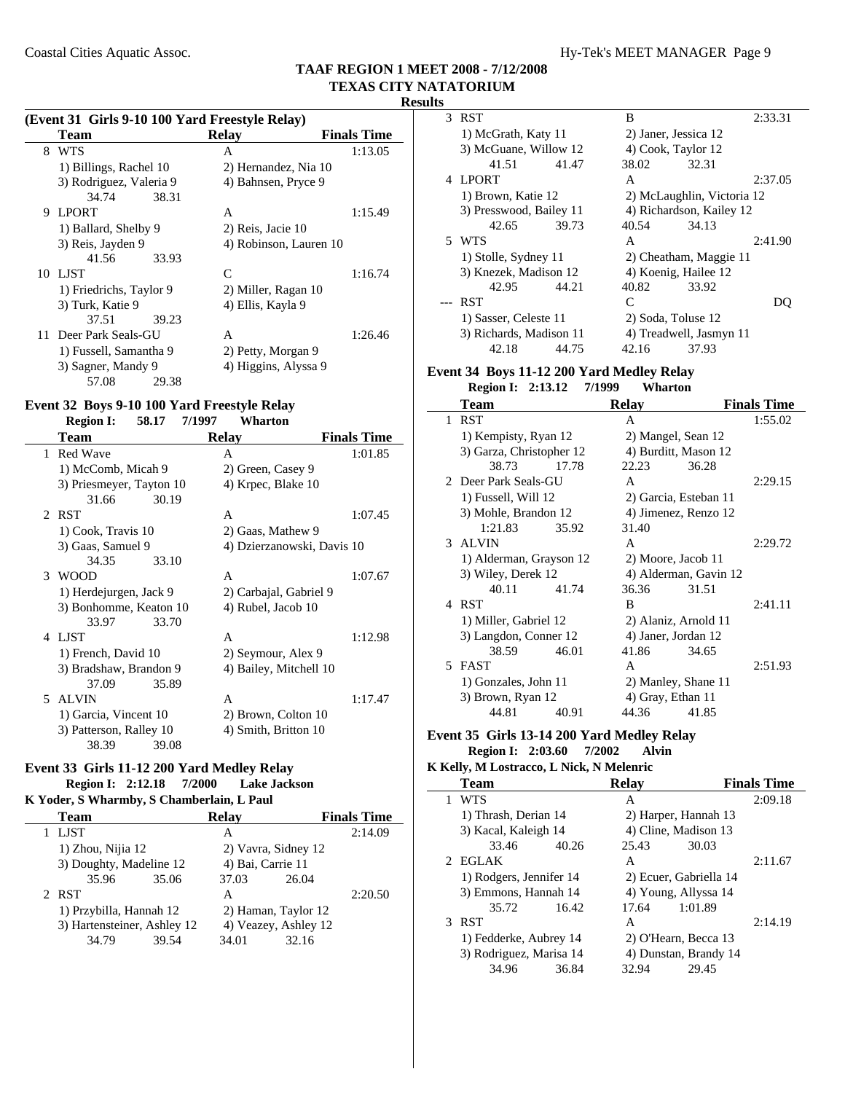#### **(Event 31 Girls 9-10 100 Yard Freestyle Relay)**

|   | <b>Team</b>             | <b>Relay</b>           | <b>Finals Time</b> |
|---|-------------------------|------------------------|--------------------|
| 8 | <b>WTS</b>              | A                      | 1:13.05            |
|   | 1) Billings, Rachel 10  | 2) Hernandez, Nia 10   |                    |
|   | 3) Rodriguez, Valeria 9 | 4) Bahnsen, Pryce 9    |                    |
|   | 34.74<br>38.31          |                        |                    |
| 9 | <b>LPORT</b>            | A                      | 1:15.49            |
|   | 1) Ballard, Shelby 9    | 2) Reis, Jacie 10      |                    |
|   | 3) Reis, Jayden 9       | 4) Robinson, Lauren 10 |                    |
|   | 41.56<br>33.93          |                        |                    |
|   | 10 LJST                 | $\mathsf{C}$           | 1:16.74            |
|   | 1) Friedrichs, Taylor 9 | 2) Miller, Ragan 10    |                    |
|   | 3) Turk, Katie 9        | 4) Ellis, Kayla 9      |                    |
|   | 37.51<br>39.23          |                        |                    |
|   | 11 Deer Park Seals-GU   | A                      | 1:26.46            |
|   | 1) Fussell, Samantha 9  | 2) Petty, Morgan 9     |                    |
|   | 3) Sagner, Mandy 9      | 4) Higgins, Alyssa 9   |                    |
|   | 57.08<br>29.38          |                        |                    |

### **Event 32 Boys 9-10 100 Yard Freestyle Relay**

**Region I: 58.17 Wharton 7/1997**

|                             | Team                     |       | <b>Relay</b>               | <b>Finals Time</b> |
|-----------------------------|--------------------------|-------|----------------------------|--------------------|
| 1                           | <b>Red Wave</b>          |       | A                          | 1:01.85            |
|                             | 1) McComb, Micah 9       |       | 2) Green, Casey 9          |                    |
|                             | 3) Priesmeyer, Tayton 10 |       | 4) Krpec, Blake 10         |                    |
|                             | 31.66                    | 30.19 |                            |                    |
| $\mathcal{D}_{\mathcal{L}}$ | <b>RST</b>               |       | A                          | 1:07.45            |
|                             | 1) Cook, Travis 10       |       | 2) Gaas, Mathew 9          |                    |
|                             | 3) Gaas, Samuel 9        |       | 4) Dzierzanowski, Davis 10 |                    |
|                             | 34.35                    | 33.10 |                            |                    |
| 3                           | <b>WOOD</b>              |       | A                          | 1:07.67            |
|                             | 1) Herdejurgen, Jack 9   |       | 2) Carbajal, Gabriel 9     |                    |
|                             | 3) Bonhomme, Keaton 10   |       | 4) Rubel, Jacob 10         |                    |
|                             | 33.97                    | 33.70 |                            |                    |
| 4                           | <b>LIST</b>              |       | A                          | 1:12.98            |
|                             | 1) French, David 10      |       | 2) Seymour, Alex 9         |                    |
|                             | 3) Bradshaw, Brandon 9   |       | 4) Bailey, Mitchell 10     |                    |
|                             | 37.09                    | 35.89 |                            |                    |
| 5.                          | <b>ALVIN</b>             |       | A                          | 1:17.47            |
|                             | 1) Garcia, Vincent 10    |       | 2) Brown, Colton 10        |                    |
|                             | 3) Patterson, Ralley 10  |       | 4) Smith, Britton 10       |                    |
|                             | 38.39                    | 39.08 |                            |                    |

### **Event 33 Girls 11-12 200 Yard Medley Relay**

**Region I: 2:12.18 7/2000 Lake Jackson** 

# **K Yoder, S Wharmby, S Chamberlain, L Paul**

|        | <b>Team</b>                 |       | <b>Relav</b>         |       | <b>Finals Time</b> |
|--------|-----------------------------|-------|----------------------|-------|--------------------|
| 1 LJST |                             |       | А                    |       | 2:14.09            |
|        | 1) Zhou, Nijia 12           |       | 2) Vavra, Sidney 12  |       |                    |
|        | 3) Doughty, Madeline 12     |       | 4) Bai, Carrie 11    |       |                    |
|        | 35.96                       | 35.06 | 37.03                | 26.04 |                    |
| 2 RST  |                             |       | А                    |       | 2:20.50            |
|        | 1) Przybilla, Hannah 12     |       | 2) Haman, Taylor 12  |       |                    |
|        | 3) Hartensteiner, Ashley 12 |       | 4) Veazey, Ashley 12 |       |                    |
|        | 34.79                       | 39.54 | 34.01                | 32.16 |                    |

| a. |                         |       |                      |                            |         |
|----|-------------------------|-------|----------------------|----------------------------|---------|
| 3  | <b>RST</b>              |       | B                    |                            | 2:33.31 |
|    | 1) McGrath, Katy 11     |       | 2) Janer, Jessica 12 |                            |         |
|    | 3) McGuane, Willow 12   |       |                      | 4) Cook, Taylor 12         |         |
|    | 41.51                   | 41.47 | 38.02                | 32.31                      |         |
| 4  | <b>LPORT</b>            |       | A                    |                            | 2:37.05 |
|    | 1) Brown, Katie 12      |       |                      | 2) McLaughlin, Victoria 12 |         |
|    | 3) Presswood, Bailey 11 |       |                      | 4) Richardson, Kailey 12   |         |
|    | 42.65                   | 39.73 | 40.54                | 34.13                      |         |
|    | 5 WTS                   |       | A                    |                            | 2:41.90 |
|    | 1) Stolle, Sydney 11    |       |                      | 2) Cheatham, Maggie 11     |         |
|    | 3) Knezek, Madison 12   |       |                      | 4) Koenig, Hailee 12       |         |
|    | 42.95                   | 44.21 | 40.82                | 33.92                      |         |
|    | <b>RST</b>              |       | C                    |                            |         |
|    | 1) Sasser, Celeste 11   |       |                      | 2) Soda, Toluse 12         |         |
|    | 3) Richards, Madison 11 |       |                      | 4) Treadwell, Jasmyn 11    |         |
|    | 42.18                   | 44.75 | 42.16                | 37.93                      |         |

# **Event 34 Boys 11-12 200 Yard Medley Relay**

|   | <b>Region I: 2:13.12</b> | 7/1999 | Wharton               |                       |                    |
|---|--------------------------|--------|-----------------------|-----------------------|--------------------|
|   | Team                     |        | <b>Relay</b>          |                       | <b>Finals Time</b> |
| 1 | <b>RST</b>               |        | A                     |                       | 1:55.02            |
|   | 1) Kempisty, Ryan 12     |        | 2) Mangel, Sean 12    |                       |                    |
|   | 3) Garza, Christopher 12 |        | 4) Burditt, Mason 12  |                       |                    |
|   | 38.73                    | 17.78  | 22.23                 | 36.28                 |                    |
|   | 2 Deer Park Seals-GU     |        | A                     |                       | 2:29.15            |
|   | 1) Fussell, Will 12      |        | 2) Garcia, Esteban 11 |                       |                    |
|   | 3) Mohle, Brandon 12     |        | 4) Jimenez, Renzo 12  |                       |                    |
|   | 1:21.83                  | 35.92  | 31.40                 |                       |                    |
|   | 3 ALVIN                  |        | A                     |                       | 2:29.72            |
|   | 1) Alderman, Grayson 12  |        | 2) Moore, Jacob 11    |                       |                    |
|   | 3) Wiley, Derek 12       |        |                       | 4) Alderman, Gavin 12 |                    |
|   | 40.11                    | 41.74  | 36.36                 | 31.51                 |                    |
|   | 4 RST                    |        | R                     |                       | 2:41.11            |
|   | 1) Miller, Gabriel 12    |        | 2) Alaniz, Arnold 11  |                       |                    |
|   | 3) Langdon, Conner 12    |        | 4) Janer, Jordan 12   |                       |                    |
|   | 38.59                    | 46.01  | 41.86                 | 34.65                 |                    |
|   | 5 FAST                   |        | A                     |                       | 2:51.93            |
|   | 1) Gonzales, John 11     |        | 2) Manley, Shane 11   |                       |                    |
|   | 3) Brown, Ryan 12        |        | 4) Gray, Ethan 11     |                       |                    |
|   | 44.81                    | 40.91  | 44.36                 | 41.85                 |                    |
|   |                          |        |                       |                       |                    |

# **Event 35 Girls 13-14 200 Yard Medley Relay**

**Region I: 2:03.60 7/2002 Alvin K Kelly, M Lostracco, L Nick, N Melenric**

| IXCHY, IN LOSTE ACCO, LETTICI, IN INCICHITIC |       |                                                                                                                                                      |       |                                                                                                                                                            |  |
|----------------------------------------------|-------|------------------------------------------------------------------------------------------------------------------------------------------------------|-------|------------------------------------------------------------------------------------------------------------------------------------------------------------|--|
| <b>Team</b>                                  |       | <b>Relav</b>                                                                                                                                         |       | <b>Finals Time</b>                                                                                                                                         |  |
| <b>WTS</b>                                   |       | A                                                                                                                                                    |       | 2:09.18                                                                                                                                                    |  |
|                                              |       |                                                                                                                                                      |       |                                                                                                                                                            |  |
|                                              |       |                                                                                                                                                      |       |                                                                                                                                                            |  |
| 33.46                                        | 40.26 | 25.43                                                                                                                                                | 30.03 |                                                                                                                                                            |  |
| 2 EGLAK                                      |       | A                                                                                                                                                    |       | 2:11.67                                                                                                                                                    |  |
|                                              |       |                                                                                                                                                      |       |                                                                                                                                                            |  |
|                                              |       |                                                                                                                                                      |       |                                                                                                                                                            |  |
| 35.72                                        | 16.42 | 17.64                                                                                                                                                |       |                                                                                                                                                            |  |
| <b>RST</b>                                   |       | A                                                                                                                                                    |       | 2:14.19                                                                                                                                                    |  |
|                                              |       |                                                                                                                                                      |       |                                                                                                                                                            |  |
|                                              |       |                                                                                                                                                      |       |                                                                                                                                                            |  |
| 34.96                                        | 36.84 | 32.94                                                                                                                                                | 29.45 |                                                                                                                                                            |  |
|                                              |       | 1) Thrash, Derian 14<br>3) Kacal, Kaleigh 14<br>1) Rodgers, Jennifer 14<br>3) Emmons, Hannah 14<br>1) Fedderke, Aubrey 14<br>3) Rodriguez, Marisa 14 |       | 2) Harper, Hannah 13<br>4) Cline, Madison 13<br>2) Ecuer, Gabriella 14<br>4) Young, Allyssa 14<br>1:01.89<br>2) O'Hearn, Becca 13<br>4) Dunstan, Brandy 14 |  |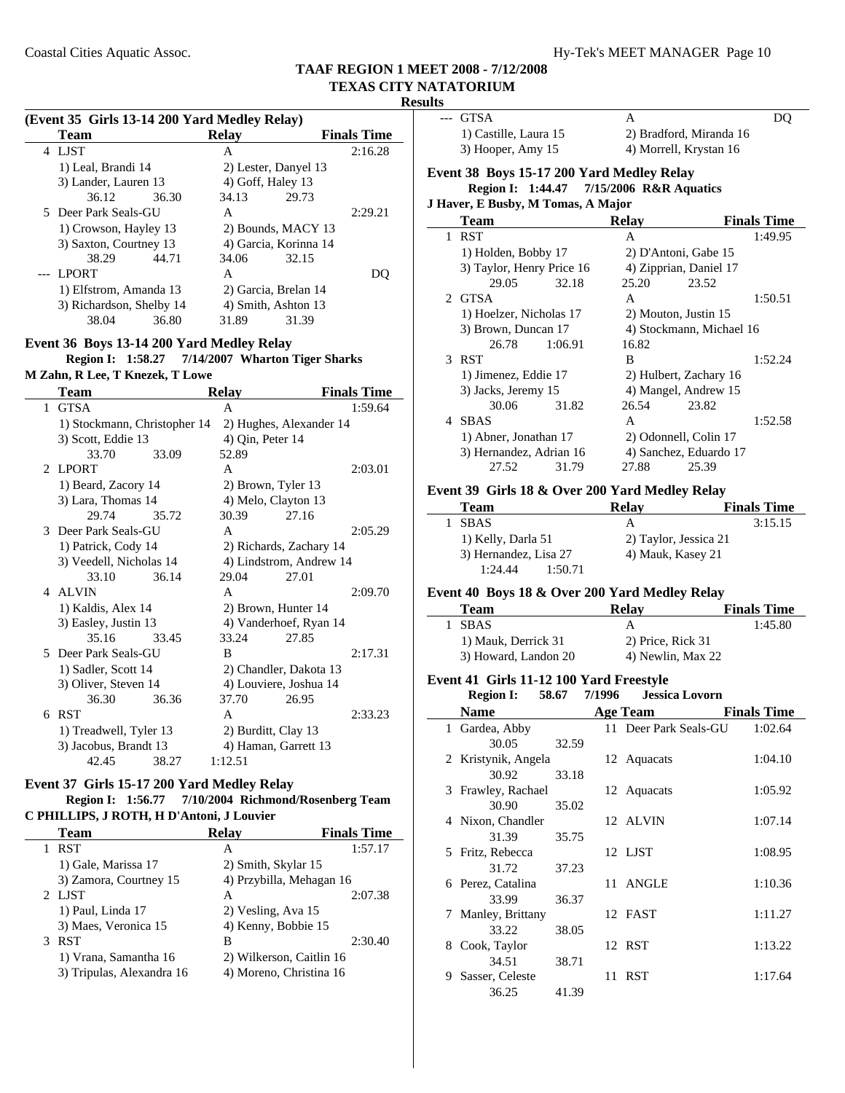$\overline{\phantom{a}}$ 

 $\overline{a}$ 

#### **Results**

#### **(Event 35 Girls 13-14 200 Yard Medley Relay)**

| Team                     | <b>Relay</b>          | <b>Finals Time</b> |
|--------------------------|-----------------------|--------------------|
| LJST<br>4                | А                     | 2:16.28            |
| 1) Leal, Brandi 14       | 2) Lester, Danyel 13  |                    |
| 3) Lander, Lauren 13     | 4) Goff, Haley 13     |                    |
| 36.12<br>36.30           | 29.73<br>34.13        |                    |
| 5 Deer Park Seals-GU     | A                     | 2:29.21            |
| 1) Crowson, Hayley 13    | 2) Bounds, MACY 13    |                    |
| 3) Saxton, Courtney 13   | 4) Garcia, Korinna 14 |                    |
| 38.29<br>44.71           | 34.06<br>32.15        |                    |
| LPORT                    | A                     |                    |
| 1) Elfstrom, Amanda 13   | 2) Garcia, Brelan 14  |                    |
| 3) Richardson, Shelby 14 | 4) Smith, Ashton 13   |                    |
| 38.04<br>36.80           | 31.39<br>31.89        |                    |

#### **Event 36 Boys 13-14 200 Yard Medley Relay**

**Region I: 1:58.27 7/14/2007** Wharton Tiger Sharks

| M Zahn, R Lee, T Knezek, T Lowe |  |
|---------------------------------|--|
|---------------------------------|--|

|   | Team                         |       | <b>Relay</b>           |                         | <b>Finals Time</b> |
|---|------------------------------|-------|------------------------|-------------------------|--------------------|
| 1 | <b>GTSA</b>                  |       | A                      |                         | 1:59.64            |
|   | 1) Stockmann, Christopher 14 |       |                        | 2) Hughes, Alexander 14 |                    |
|   | 3) Scott, Eddie 13           |       | 4) Qin, Peter 14       |                         |                    |
|   | 33.70                        | 33.09 | 52.89                  |                         |                    |
|   | 2 LPORT                      |       | A                      |                         | 2:03.01            |
|   | 1) Beard, Zacory 14          |       | 2) Brown, Tyler 13     |                         |                    |
|   | 3) Lara, Thomas 14           |       | 4) Melo, Clayton 13    |                         |                    |
|   | 29.74                        | 35.72 | 30.39                  | 27.16                   |                    |
|   | 3 Deer Park Seals-GU         |       | A                      |                         | 2:05.29            |
|   | 1) Patrick, Cody 14          |       |                        | 2) Richards, Zachary 14 |                    |
|   | 3) Veedell, Nicholas 14      |       |                        | 4) Lindstrom, Andrew 14 |                    |
|   | 33.10                        | 36.14 | 29.04                  | 27.01                   |                    |
|   | 4 ALVIN                      |       | A                      |                         | 2:09.70            |
|   | 1) Kaldis, Alex 14           |       | 2) Brown, Hunter 14    |                         |                    |
|   | 3) Easley, Justin 13         |       |                        | 4) Vanderhoef, Ryan 14  |                    |
|   | 35.16                        | 33.45 | 33.24                  | 27.85                   |                    |
|   | 5 Deer Park Seals-GU         |       | B                      |                         | 2:17.31            |
|   | 1) Sadler, Scott 14          |       |                        | 2) Chandler, Dakota 13  |                    |
|   | 3) Oliver, Steven 14         |       | 4) Louviere, Joshua 14 |                         |                    |
|   | 36.30                        | 36.36 | 37.70                  | 26.95                   |                    |
| 6 | <b>RST</b>                   |       | A                      |                         | 2:33.23            |
|   | 1) Treadwell, Tyler 13       |       | 2) Burditt, Clay 13    |                         |                    |
|   | 3) Jacobus, Brandt 13        |       | 4) Haman, Garrett 13   |                         |                    |
|   | 42.45                        | 38.27 | 1:12.51                |                         |                    |

#### **Event 37 Girls 15-17 200 Yard Medley Relay Region I: 1:56.77 7/10/2004 Richmond/Rosenberg Team**

**C PHILLIPS, J ROTH, H D'Antoni, J Louvier**

| <b>Team</b>               | <b>Relav</b>             | <b>Finals Time</b> |
|---------------------------|--------------------------|--------------------|
| <b>RST</b>                | А                        | 1:57.17            |
| 1) Gale, Marissa 17       | 2) Smith, Skylar 15      |                    |
| 3) Zamora, Courtney 15    | 4) Przybilla, Mehagan 16 |                    |
| 2 LIST                    | А                        | 2:07.38            |
| 1) Paul, Linda 17         | 2) Vesling, Ava 15       |                    |
| 3) Maes, Veronica 15      | 4) Kenny, Bobbie 15      |                    |
| 3 RST                     | в                        | 2:30.40            |
| 1) Vrana, Samantha 16     | 2) Wilkerson, Caitlin 16 |                    |
| 3) Tripulas, Alexandra 16 | 4) Moreno, Christina 16  |                    |

| --- GTSA                                  |         | A            |                          | DQ                 |
|-------------------------------------------|---------|--------------|--------------------------|--------------------|
| 1) Castille, Laura 15                     |         |              | 2) Bradford, Miranda 16  |                    |
| 3) Hooper, Amy 15                         |         |              | 4) Morrell, Krystan 16   |                    |
| Event 38 Boys 15-17 200 Yard Medley Relay |         |              |                          |                    |
| Region I: 1:44.47 7/15/2006 R&R Aquatics  |         |              |                          |                    |
| J Haver, E Busby, M Tomas, A Major        |         |              |                          |                    |
| Team                                      |         | <b>Relay</b> |                          | <b>Finals Time</b> |
| 1 RST                                     |         | A            |                          | 1:49.95            |
| 1) Holden, Bobby 17                       |         |              | 2) D'Antoni, Gabe 15     |                    |
| 3) Taylor, Henry Price 16                 |         |              | 4) Zipprian, Daniel 17   |                    |
| 29.05                                     | 32.18   | 25.20        | 23.52                    |                    |
| 2 GTSA                                    |         | A            |                          | 1:50.51            |
| 1) Hoelzer, Nicholas 17                   |         |              | 2) Mouton, Justin 15     |                    |
| 3) Brown, Duncan 17                       |         |              | 4) Stockmann, Michael 16 |                    |
| 26.78                                     | 1:06.91 | 16.82        |                          |                    |
| 3 RST                                     |         | B            |                          | 1:52.24            |
| 1) Jimenez, Eddie 17                      |         |              | 2) Hulbert, Zachary 16   |                    |
| 3) Jacks, Jeremy 15                       |         |              | 4) Mangel, Andrew 15     |                    |
| 30.06                                     | 31.82   | 26.54        | 23.82                    |                    |
| 4 SBAS                                    |         | A            |                          | 1:52.58            |
| 1) Abner, Jonathan 17                     |         |              | 2) Odonnell, Colin 17    |                    |
| 3) Hernandez, Adrian 16                   |         |              | 4) Sanchez, Eduardo 17   |                    |
| 27.52                                     | 31.79   | 27.88        | 25.39                    |                    |

#### **Event 39 Girls 18 & Over 200 Yard Medley Relay**

| Team                  | <b>Relav</b>          | <b>Finals Time</b> |
|-----------------------|-----------------------|--------------------|
| 1 SBAS                | А                     | 3:15.15            |
| 1) Kelly, Darla 51    | 2) Taylor, Jessica 21 |                    |
| 3) Hernandez, Lisa 27 | 4) Mauk, Kasey 21     |                    |
| 1:24.44<br>1:50.71    |                       |                    |

#### **Event 40 Boys 18 & Over 200 Yard Medley Relay**

| <b>Team</b>          | Relav             | <b>Finals Time</b> |
|----------------------|-------------------|--------------------|
| <b>SBAS</b>          | A                 | 1:45.80            |
| 1) Mauk, Derrick 31  | 2) Price, Rick 31 |                    |
| 3) Howard, Landon 20 | 4) Newlin, Max 22 |                    |

### **Event 41 Girls 11-12 100 Yard Freestyle**

**Region I:** 58.67 7/1996 **Jessica Lovorn** 

|    | wegion 1.           | $\boldsymbol{\mathsf{v}}\boldsymbol{\mathsf{v}}\boldsymbol{\mathsf{v}}$ | 111770 | <b>Jessica Lovulu</b> |                    |
|----|---------------------|-------------------------------------------------------------------------|--------|-----------------------|--------------------|
|    | <b>Name</b>         |                                                                         |        | Age Team              | <b>Finals Time</b> |
|    | 1 Gardea, Abby      |                                                                         |        | 11 Deer Park Seals-GU | 1:02.64            |
|    | 30.05               | 32.59                                                                   |        |                       |                    |
|    | 2 Kristynik, Angela |                                                                         |        | 12 Aquacats           | 1:04.10            |
|    | 30.92               | 33.18                                                                   |        |                       |                    |
|    | 3 Frawley, Rachael  |                                                                         |        | 12 Aquacats           | 1:05.92            |
|    | 30.90               | 35.02                                                                   |        |                       |                    |
|    | 4 Nixon, Chandler   |                                                                         |        | 12 ALVIN              | 1:07.14            |
|    | 31.39               | 35.75                                                                   |        |                       |                    |
|    | 5 Fritz, Rebecca    |                                                                         |        | 12 LJST               | 1:08.95            |
|    | 31.72               | 37.23                                                                   |        |                       |                    |
|    | 6 Perez, Catalina   |                                                                         |        | 11 ANGLE              | 1:10.36            |
|    | 33.99               | 36.37                                                                   |        |                       |                    |
|    | 7 Manley, Brittany  |                                                                         |        | 12 FAST               | 1:11.27            |
|    | 33.22               | 38.05                                                                   |        |                       |                    |
| 8. | Cook, Taylor        |                                                                         |        | 12 RST                | 1:13.22            |
|    | 34.51               | 38.71                                                                   |        |                       |                    |
| 9  | Sasser, Celeste     |                                                                         |        | 11 RST                | 1:17.64            |
|    | 36.25               | 41.39                                                                   |        |                       |                    |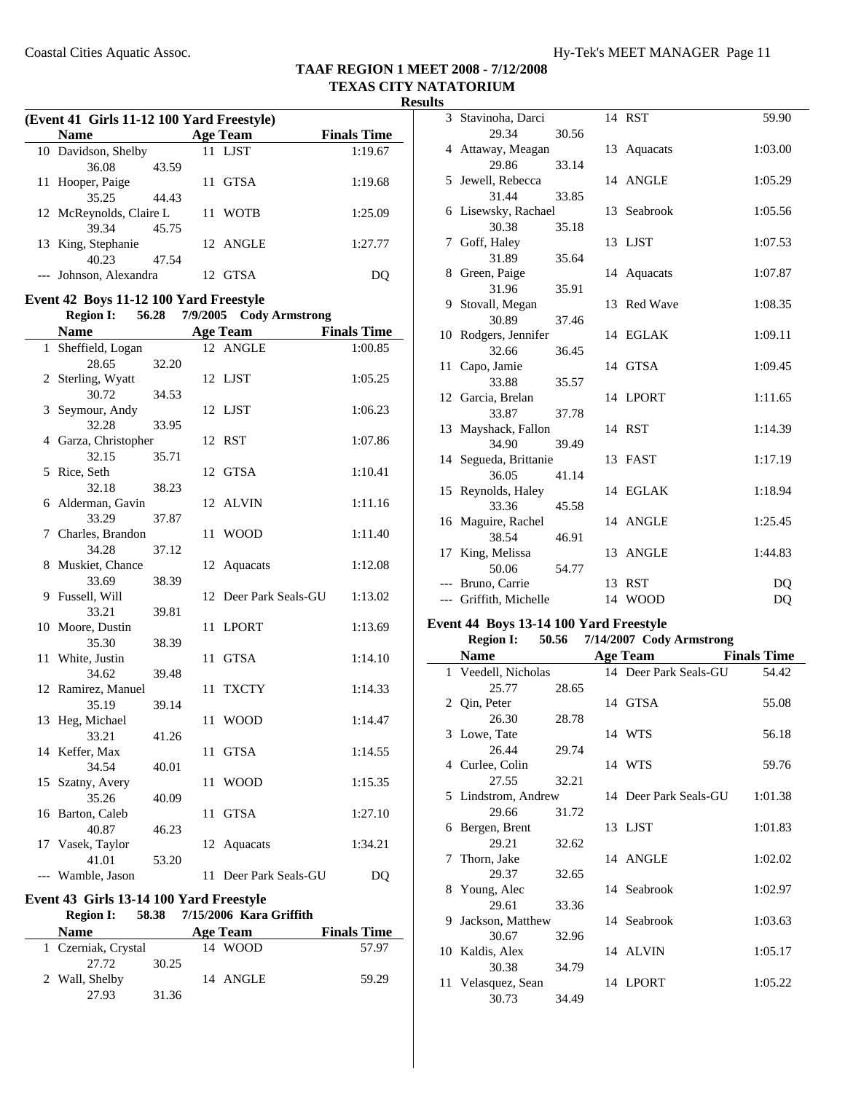**Results**

|    |                                                                                   |       |  |                         | LEAAD<br>$\mathbf{U}$<br>Res |  |  |
|----|-----------------------------------------------------------------------------------|-------|--|-------------------------|------------------------------|--|--|
|    | (Event 41 Girls 11-12 100 Yard Freestyle)                                         |       |  |                         |                              |  |  |
|    | <b>Name</b>                                                                       |       |  | <b>Age Team</b>         | <b>Finals Time</b>           |  |  |
|    | 10 Davidson, Shelby<br>36.08                                                      | 43.59 |  | 11 LJST                 | 1:19.67                      |  |  |
|    | 11 Hooper, Paige<br>35.25                                                         | 44.43 |  | 11 GTSA                 | 1:19.68                      |  |  |
|    | 12 McReynolds, Claire L<br>39.34                                                  | 45.75 |  | 11 WOTB                 | 1:25.09                      |  |  |
|    | 13 King, Stephanie<br>40.23                                                       | 47.54 |  | 12 ANGLE                | 1:27.77                      |  |  |
|    | --- Johnson, Alexandra                                                            |       |  | 12 GTSA                 | DQ                           |  |  |
|    | Event 42 Boys 11-12 100 Yard Freestyle<br>Region I: 56.28 7/9/2005 Cody Armstrong |       |  |                         |                              |  |  |
|    |                                                                                   |       |  |                         |                              |  |  |
|    | <b>Name</b>                                                                       |       |  | <b>Age Team</b>         | <b>Finals Time</b>           |  |  |
|    | 1 Sheffield, Logan                                                                |       |  | 12 ANGLE                | 1:00.85                      |  |  |
|    | 28.65<br>2 Sterling, Wyatt                                                        | 32.20 |  | 12 LJST                 | 1:05.25                      |  |  |
|    | 30.72<br>3 Seymour, Andy                                                          | 34.53 |  | 12 LJST                 | 1:06.23                      |  |  |
|    | 32.28<br>4 Garza, Christopher                                                     | 33.95 |  | 12 RST                  | 1:07.86                      |  |  |
|    | 32.15                                                                             | 35.71 |  |                         |                              |  |  |
|    | 5 Rice, Seth                                                                      |       |  | 12 GTSA                 | 1:10.41                      |  |  |
|    | 32.18                                                                             | 38.23 |  |                         |                              |  |  |
|    | 6 Alderman, Gavin<br>33.29                                                        | 37.87 |  | 12 ALVIN                | 1:11.16                      |  |  |
|    | 7 Charles, Brandon                                                                |       |  | 11 WOOD                 | 1:11.40                      |  |  |
|    | 34.28                                                                             | 37.12 |  |                         |                              |  |  |
|    | 8 Muskiet, Chance<br>33.69                                                        | 38.39 |  | 12 Aquacats             | 1:12.08                      |  |  |
|    | 9 Fussell, Will<br>33.21                                                          | 39.81 |  | 12 Deer Park Seals-GU   | 1:13.02                      |  |  |
|    | 10 Moore, Dustin<br>35.30                                                         | 38.39 |  | 11 LPORT                | 1:13.69                      |  |  |
|    | 11 White, Justin<br>34.62                                                         |       |  | 11 GTSA                 | 1:14.10                      |  |  |
|    | 12 Ramirez, Manuel                                                                | 39.48 |  | 11 TXCTY                | 1:14.33                      |  |  |
|    | 35.19<br>13 Heg, Michael                                                          | 39.14 |  | 11 WOOD                 | 1:14.47                      |  |  |
|    | 33.21<br>14 Keffer, Max                                                           | 41.26 |  | 11 GTSA                 | 1:14.55                      |  |  |
| 15 | 34.54<br>Szatny, Avery                                                            | 40.01 |  | 11 WOOD                 | 1:15.35                      |  |  |
|    | 35.26<br>16 Barton, Caleb                                                         | 40.09 |  | 11 GTSA                 | 1:27.10                      |  |  |
|    | 40.87                                                                             | 46.23 |  |                         |                              |  |  |
|    | 17 Vasek, Taylor<br>41.01                                                         | 53.20 |  | 12 Aquacats             | 1:34.21                      |  |  |
|    | --- Wamble, Jason                                                                 |       |  | 11 Deer Park Seals-GU   | D <sub>O</sub>               |  |  |
|    | Event 43 Girls 13-14 100 Yard Freestyle                                           |       |  |                         |                              |  |  |
|    | <b>Region I:</b>                                                                  | 58.38 |  | 7/15/2006 Kara Griffith |                              |  |  |
|    | <b>Name</b>                                                                       |       |  | <b>Age Team</b>         | <b>Finals Time</b>           |  |  |
|    | 1 Czerniak, Crystal<br>27.72                                                      | 30.25 |  | 14 WOOD                 | 57.97                        |  |  |
|    | 2 Wall, Shelby                                                                    |       |  | 14 ANGLE                | 59.29                        |  |  |

27.93 31.36

| ັບ |                           |       |    |             |         |
|----|---------------------------|-------|----|-------------|---------|
|    | 3 Stavinoha, Darci        |       |    | 14 RST      | 59.90   |
|    | 29.34                     | 30.56 |    |             |         |
|    | 4 Attaway, Meagan         |       | 13 | Aquacats    | 1:03.00 |
|    | 29.86                     | 33.14 |    |             |         |
|    | 5 Jewell, Rebecca         |       |    | 14 ANGLE    | 1:05.29 |
|    | 31.44                     | 33.85 |    |             |         |
|    | 6 Lisewsky, Rachael       |       |    | 13 Seabrook | 1:05.56 |
|    | 30.38                     | 35.18 |    |             |         |
|    | 7 Goff, Haley             |       |    | 13 LJST     | 1:07.53 |
|    | 31.89                     | 35.64 |    |             |         |
|    | 8 Green, Paige            |       |    | 14 Aquacats | 1:07.87 |
|    | 31.96                     | 35.91 |    |             |         |
|    | 9 Stovall, Megan<br>30.89 | 37.46 |    | 13 Red Wave | 1:08.35 |
|    | 10 Rodgers, Jennifer      |       |    | 14 EGLAK    | 1:09.11 |
|    | 32.66                     | 36.45 |    |             |         |
|    | 11 Capo, Jamie            |       |    | 14 GTSA     | 1:09.45 |
|    | 33.88                     | 35.57 |    |             |         |
|    | 12 Garcia, Brelan         |       |    | 14 LPORT    | 1:11.65 |
|    | 33.87                     | 37.78 |    |             |         |
|    | 13 Mayshack, Fallon       |       |    | 14 RST      | 1:14.39 |
|    | 34.90                     | 39.49 |    |             |         |
|    | 14 Segueda, Brittanie     |       |    | 13 FAST     | 1:17.19 |
|    | 36.05                     | 41.14 |    |             |         |
|    | 15 Reynolds, Haley        |       |    | 14 EGLAK    | 1:18.94 |
|    | 33.36                     | 45.58 |    |             |         |
|    | 16 Maguire, Rachel        |       |    | 14 ANGLE    | 1:25.45 |
|    | 38.54                     | 46.91 |    |             |         |
| 17 | King, Melissa             |       |    | 13 ANGLE    | 1:44.83 |
|    | 50.06                     | 54.77 |    |             |         |
|    | --- Bruno, Carrie         |       |    | 13 RST      | DQ      |
|    | --- Griffith, Michelle    |       |    | 14 WOOD     | DQ      |

### **Event 44 Boys 13-14 100 Yard Freestyle**

| <b>Region I:</b> | 50.56                                                                                                                         |                                                                                                        |                                                                                                                                                                                                    |
|------------------|-------------------------------------------------------------------------------------------------------------------------------|--------------------------------------------------------------------------------------------------------|----------------------------------------------------------------------------------------------------------------------------------------------------------------------------------------------------|
| <b>Name</b>      |                                                                                                                               |                                                                                                        | <b>Finals Time</b>                                                                                                                                                                                 |
|                  |                                                                                                                               |                                                                                                        | 54.42                                                                                                                                                                                              |
| 25.77            | 28.65                                                                                                                         |                                                                                                        |                                                                                                                                                                                                    |
|                  |                                                                                                                               |                                                                                                        | 55.08                                                                                                                                                                                              |
| 26.30            | 28.78                                                                                                                         |                                                                                                        |                                                                                                                                                                                                    |
|                  |                                                                                                                               |                                                                                                        | 56.18                                                                                                                                                                                              |
| 26.44            | 29.74                                                                                                                         |                                                                                                        |                                                                                                                                                                                                    |
|                  |                                                                                                                               |                                                                                                        | 59.76                                                                                                                                                                                              |
| 27.55            | 32.21                                                                                                                         |                                                                                                        |                                                                                                                                                                                                    |
|                  |                                                                                                                               |                                                                                                        | 1:01.38                                                                                                                                                                                            |
| 29.66            | 31.72                                                                                                                         |                                                                                                        |                                                                                                                                                                                                    |
|                  |                                                                                                                               |                                                                                                        | 1:01.83                                                                                                                                                                                            |
| 29.21            | 32.62                                                                                                                         |                                                                                                        |                                                                                                                                                                                                    |
|                  |                                                                                                                               |                                                                                                        | 1:02.02                                                                                                                                                                                            |
| 29.37            | 32.65                                                                                                                         |                                                                                                        |                                                                                                                                                                                                    |
|                  |                                                                                                                               |                                                                                                        | 1:02.97                                                                                                                                                                                            |
| 29.61            |                                                                                                                               |                                                                                                        |                                                                                                                                                                                                    |
|                  |                                                                                                                               |                                                                                                        | 1:03.63                                                                                                                                                                                            |
| 30.67            | 32.96                                                                                                                         |                                                                                                        |                                                                                                                                                                                                    |
|                  |                                                                                                                               |                                                                                                        | 1:05.17                                                                                                                                                                                            |
| 30.38            |                                                                                                                               |                                                                                                        |                                                                                                                                                                                                    |
|                  |                                                                                                                               |                                                                                                        | 1:05.22                                                                                                                                                                                            |
| 30.73            | 34.49                                                                                                                         |                                                                                                        |                                                                                                                                                                                                    |
|                  | 2 Qin, Peter<br>3 Lowe, Tate<br>4 Curlee, Colin<br>6 Bergen, Brent<br>7 Thorn, Jake<br>8 Young, Alec<br>9.<br>10 Kaldis, Alex | 1 Veedell, Nicholas<br>5 Lindstrom, Andrew<br>33.36<br>Jackson, Matthew<br>34.79<br>11 Velasquez, Sean | 7/14/2007 Cody Armstrong<br>Age Team<br>14 Deer Park Seals-GU<br>14 GTSA<br>14 WTS<br>14 WTS<br>14 Deer Park Seals-GU<br>13 LJST<br>14 ANGLE<br>14 Seabrook<br>14 Seabrook<br>14 ALVIN<br>14 LPORT |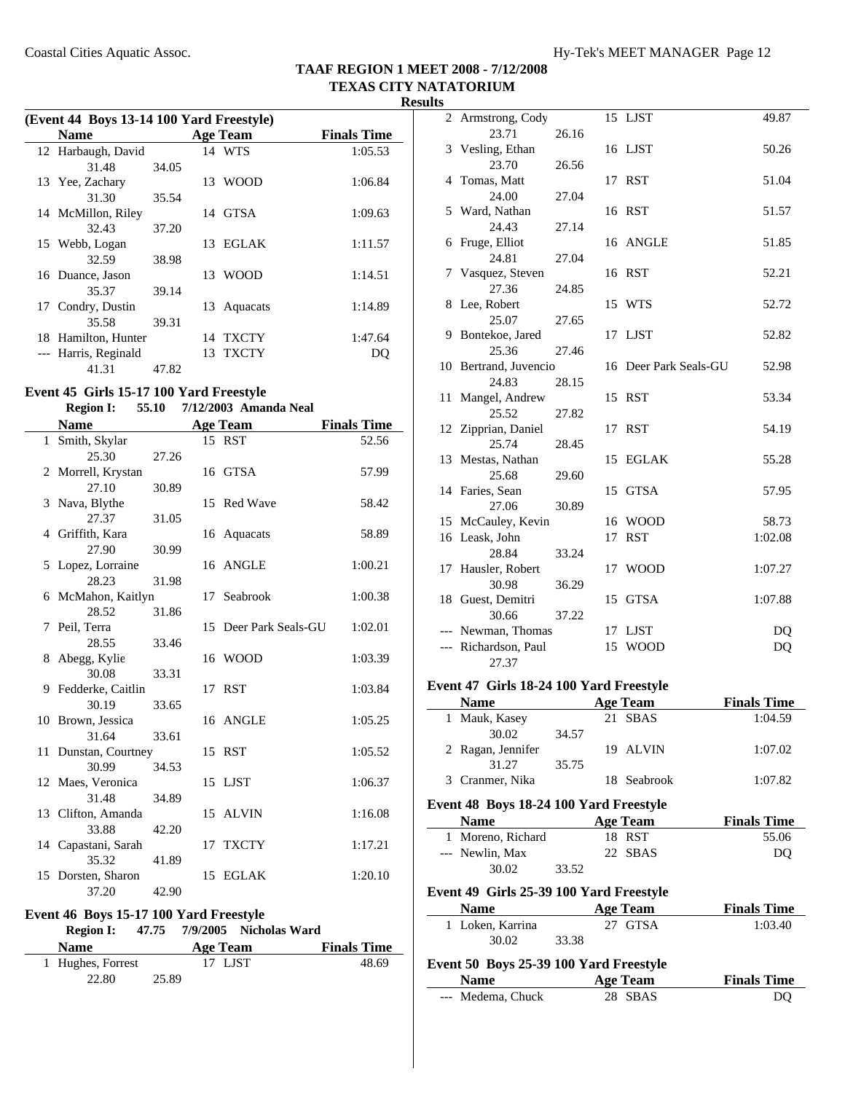| (Event 44 Boys 13-14 100 Yard Freestyle) |       |    |                 |                    |  |
|------------------------------------------|-------|----|-----------------|--------------------|--|
| <b>Name</b>                              |       |    | <b>Age Team</b> | <b>Finals Time</b> |  |
| 12 Harbaugh, David                       |       |    | 14 WTS          | 1:05.53            |  |
| 31.48                                    | 34.05 |    |                 |                    |  |
| 13 Yee, Zachary                          |       |    | 13 WOOD         | 1:06.84            |  |
| 31.30                                    | 35.54 |    |                 |                    |  |
| 14 McMillon, Riley                       |       |    | 14 GTSA         | 1:09.63            |  |
| 32.43                                    | 37.20 |    |                 |                    |  |
| 15 Webb, Logan                           |       |    | 13 EGLAK        | 1:11.57            |  |
| 32.59                                    | 38.98 |    |                 |                    |  |
| 16 Duance, Jason                         |       |    | 13 WOOD         | 1:14.51            |  |
| 35.37                                    | 39.14 |    |                 |                    |  |
| 17 Condry, Dustin                        |       | 13 | Aquacats        | 1:14.89            |  |
| 35.58                                    | 39.31 |    |                 |                    |  |
| 18 Hamilton, Hunter                      |       |    | 14 TXCTY        | 1:47.64            |  |
| Harris, Reginald                         |       |    | 13 TXCTY        | DO                 |  |
| 41.31                                    | 47.82 |    |                 |                    |  |

#### **Event 45 Girls 15-17 100 Yard Freestyle Region I:** 55.10 7/12/2003 Amanda Neal

| wegion 1.                    |       |    | $1112.2000$ . Thinking right |                    |
|------------------------------|-------|----|------------------------------|--------------------|
| <b>Name</b>                  |       |    | <b>Age Team</b>              | <b>Finals Time</b> |
| 1 Smith, Skylar              |       |    | 15 RST                       | 52.56              |
| 25.30                        | 27.26 |    |                              |                    |
| 2 Morrell, Krystan           |       |    | 16 GTSA                      | 57.99              |
| 27.10                        | 30.89 |    |                              |                    |
| 3 Nava, Blythe               |       |    | 15 Red Wave                  | 58.42              |
| 27.37                        | 31.05 |    |                              |                    |
| 4 Griffith, Kara             |       |    | 16 Aquacats                  | 58.89              |
| 27.90                        | 30.99 |    |                              |                    |
| 5 Lopez, Lorraine            |       |    | 16 ANGLE                     | 1:00.21            |
| 28.23                        | 31.98 |    |                              |                    |
| 6 McMahon, Kaitlyn           |       | 17 | Seabrook                     | 1:00.38            |
| 28.52                        | 31.86 |    |                              |                    |
| 7 Peil, Terra                |       |    | 15 Deer Park Seals-GU        | 1:02.01            |
| 28.55                        | 33.46 |    |                              |                    |
| 8 Abegg, Kylie               |       |    | 16 WOOD                      | 1:03.39            |
| 30.08                        | 33.31 |    |                              |                    |
| 9 Fedderke, Caitlin          |       |    | 17 RST                       | 1:03.84            |
| 30.19                        | 33.65 |    |                              |                    |
| 10 Brown, Jessica            |       |    | 16 ANGLE                     | 1:05.25            |
| 31.64                        | 33.61 |    |                              |                    |
| 11 Dunstan, Courtney         |       |    | 15 RST                       | 1:05.52            |
| 30.99                        | 34.53 |    |                              |                    |
| 12 Maes, Veronica            |       |    | 15 LJST                      | 1:06.37            |
| 31.48                        | 34.89 |    |                              |                    |
| 13 Clifton, Amanda<br>33.88  |       |    | 15 ALVIN                     | 1:16.08            |
|                              | 42.20 | 17 | <b>TXCTY</b>                 | 1:17.21            |
| 14 Capastani, Sarah<br>35.32 | 41.89 |    |                              |                    |
| 15 Dorsten, Sharon           |       |    | 15 EGLAK                     | 1:20.10            |
| 37.20                        | 42.90 |    |                              |                    |
|                              |       |    |                              |                    |

## **Event 46 Boys 15-17 100 Yard Freestyle**

| <b>Region I:</b>  |       | 47.75 7/9/2005 Nicholas Ward |                    |
|-------------------|-------|------------------------------|--------------------|
| <b>Name</b>       |       | Age Team                     | <b>Finals Time</b> |
| 1 Hughes, Forrest |       | 17 LJST                      | 48.69              |
| 22.80             | 25.89 |                              |                    |

| 2     | Armstrong, Cody       |       |    | 15 LJST               | 49.87   |
|-------|-----------------------|-------|----|-----------------------|---------|
|       | 23.71                 | 26.16 |    |                       |         |
| 3     | Vesling, Ethan        |       |    | 16 LJST               | 50.26   |
|       | 23.70                 | 26.56 |    |                       |         |
| 4     | Tomas, Matt           |       |    | 17 RST                | 51.04   |
|       | 24.00                 | 27.04 |    |                       |         |
|       | 5 Ward, Nathan        |       |    | 16 RST                | 51.57   |
|       | 24.43                 | 27.14 |    |                       |         |
|       | 6 Fruge, Elliot       |       |    | 16 ANGLE              | 51.85   |
|       | 24.81                 | 27.04 |    |                       |         |
|       | 7 Vasquez, Steven     |       |    | 16 RST                | 52.21   |
|       | 27.36                 | 24.85 |    |                       |         |
|       | 8 Lee, Robert         |       |    | 15 WTS                | 52.72   |
|       | 25.07                 | 27.65 |    |                       |         |
|       | 9 Bontekoe, Jared     |       |    | 17 LJST               | 52.82   |
|       | 25.36                 | 27.46 |    |                       |         |
|       | 10 Bertrand, Juvencio |       |    | 16 Deer Park Seals-GU | 52.98   |
|       | 24.83                 | 28.15 |    |                       |         |
| 11    | Mangel, Andrew        |       |    | 15 RST                | 53.34   |
|       | 25.52                 | 27.82 |    |                       |         |
|       | 12 Zipprian, Daniel   |       | 17 | RST                   | 54.19   |
|       | 25.74                 | 28.45 |    |                       |         |
|       | 13 Mestas, Nathan     |       |    | 15 EGLAK              | 55.28   |
|       | 25.68                 | 29.60 |    |                       |         |
|       | 14 Faries, Sean       |       |    | 15 GTSA               | 57.95   |
|       | 27.06                 | 30.89 |    |                       |         |
|       | 15 McCauley, Kevin    |       |    | 16 WOOD               | 58.73   |
|       | 16 Leask, John        |       | 17 | <b>RST</b>            | 1:02.08 |
|       | 28.84                 | 33.24 |    |                       |         |
| 17    | Hausler, Robert       |       | 17 | WOOD                  | 1:07.27 |
|       | 30.98                 | 36.29 |    |                       |         |
|       | 18 Guest, Demitri     |       | 15 | GTSA                  | 1:07.88 |
|       | 30.66                 | 37.22 |    |                       |         |
|       | --- Newman, Thomas    |       |    | 17 LJST               | DQ      |
| $---$ | Richardson, Paul      |       | 15 | <b>WOOD</b>           | DQ      |
|       | 27.37                 |       |    |                       |         |

### **Event 47 Girls 18-24 100 Yard Freestyle**

| <b>Name</b>       |       | Age Team    | <b>Finals Time</b> |
|-------------------|-------|-------------|--------------------|
| 1 Mauk, Kasey     |       | 21 SBAS     | 1:04.59            |
| 30.02             | 34.57 |             |                    |
| 2 Ragan, Jennifer |       | 19 ALVIN    | 1:07.02            |
| 31.27             | 35.75 |             |                    |
| 3 Cranmer, Nika   |       | 18 Seabrook | 1:07.82            |

#### **Event 48 Boys 18-24 100 Yard Freestyle**

| <b>Name</b>       | Age Team | <b>Finals Time</b> |
|-------------------|----------|--------------------|
| 1 Moreno, Richard | 18 RST   | 55.06              |
| --- Newlin, Max   | 22 SBAS  | DO                 |
| 30.02             | 33.52    |                    |

### **Event 49 Girls 25-39 100 Yard Freestyle**

| <b>Name</b>      |       | Age Team | <b>Finals Time</b> |
|------------------|-------|----------|--------------------|
| 1 Loken, Karrina |       | 27 GTSA  | 1:03.40            |
| 30.02            | 33.38 |          |                    |

### **Event 50 Boys 25-39 100 Yard Freestyle**

| Name              | Age Team | <b>Finals Time</b> |
|-------------------|----------|--------------------|
| --- Medema, Chuck | 28 SBAS  | DO                 |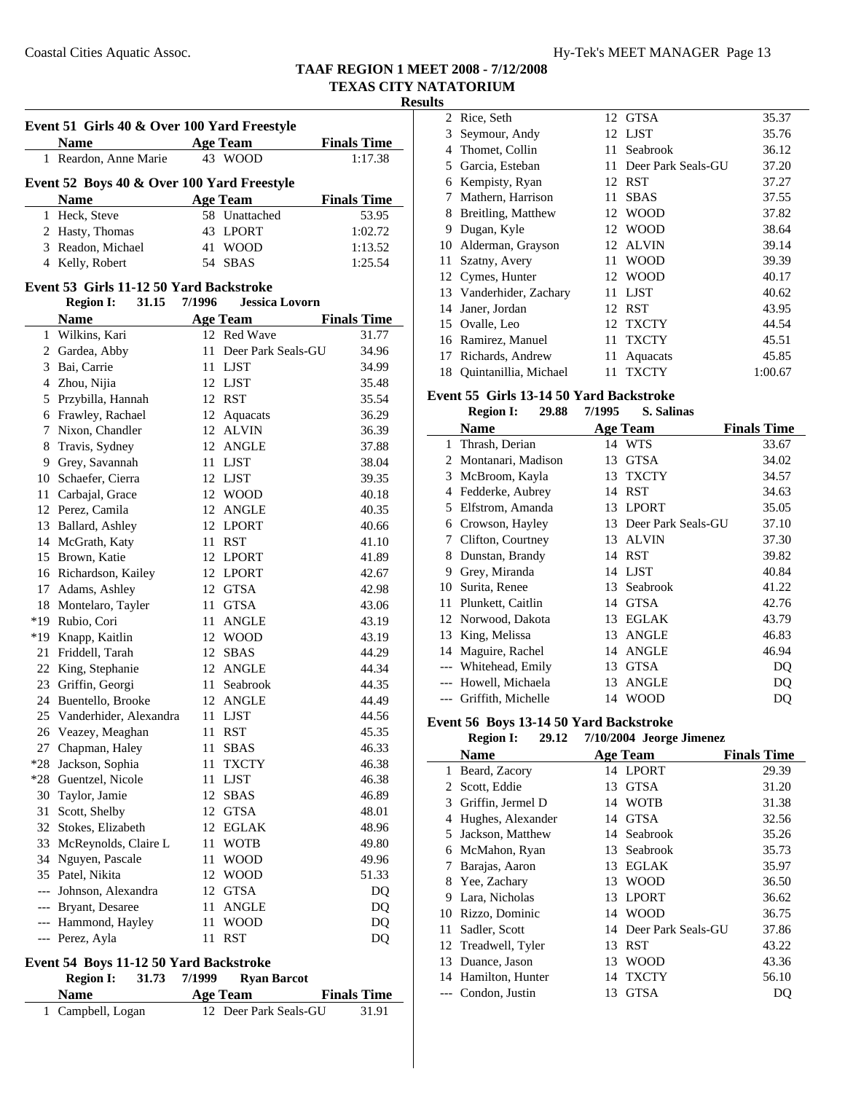## **Results**

|   | Event 51 Girls 40 & Over 100 Yard Freestyle |  |                             |                    |  |  |
|---|---------------------------------------------|--|-----------------------------|--------------------|--|--|
|   | <b>Name</b>                                 |  | <b>Age Team</b>             | <b>Finals Time</b> |  |  |
|   | 1 Reardon, Anne Marie                       |  | 43 WOOD                     | 1:17.38            |  |  |
|   | Event 52 Boys 40 & Over 100 Yard Freestyle  |  |                             |                    |  |  |
|   | <b>Name</b>                                 |  | <b>Age Team</b>             | <b>Finals Time</b> |  |  |
|   | 1 Heck, Steve                               |  | 58 Unattached               | 53.95              |  |  |
|   | 2 Hasty, Thomas                             |  | 43 LPORT                    | 1:02.72            |  |  |
|   | 3 Readon, Michael                           |  | 41 WOOD                     | 1:13.52            |  |  |
|   | 4 Kelly, Robert                             |  | 54 SBAS                     | 1:25.54            |  |  |
|   | Event 53 Girls 11-12 50 Yard Backstroke     |  |                             |                    |  |  |
|   | Region I:                                   |  | 31.15 7/1996 Jessica Lovorn |                    |  |  |
|   | <b>Name</b>                                 |  | <b>Age Team</b>             | <b>Finals Time</b> |  |  |
| 1 | Wilkins, Kari                               |  | 12 Red Wave                 | 31.77              |  |  |

| 1              | Wilkins, Kari          | 12  | Red Wave           | 31.77 |
|----------------|------------------------|-----|--------------------|-------|
| $\overline{2}$ | Gardea, Abby           | 11  | Deer Park Seals-GU | 34.96 |
| 3              | Bai, Carrie            | 11  | <b>LJST</b>        | 34.99 |
| $\overline{4}$ | Zhou, Nijia            |     | 12 LJST            | 35.48 |
| 5              | Przybilla, Hannah      |     | 12 RST             | 35.54 |
| 6              | Frawley, Rachael       |     | 12 Aquacats        | 36.29 |
| 7              | Nixon, Chandler        | 12  | <b>ALVIN</b>       | 36.39 |
| 8              | Travis, Sydney         |     | 12 ANGLE           | 37.88 |
| 9              | Grey, Savannah         | 11- | <b>LJST</b>        | 38.04 |
| 10             | Schaefer, Cierra       | 12  | <b>LJST</b>        | 39.35 |
| 11             | Carbajal, Grace        | 12  | <b>WOOD</b>        | 40.18 |
| 12             | Perez, Camila          | 12  | <b>ANGLE</b>       | 40.35 |
| 13             | Ballard, Ashley        |     | 12 LPORT           | 40.66 |
| 14             | McGrath, Katy          | 11  | <b>RST</b>         | 41.10 |
| 15             | Brown, Katie           |     | 12 LPORT           | 41.89 |
|                | 16 Richardson, Kailey  |     | 12 LPORT           | 42.67 |
| 17             | Adams, Ashley          |     | 12 GTSA            | 42.98 |
| 18             | Montelaro, Tayler      | 11  | <b>GTSA</b>        | 43.06 |
| $*19$          | Rubio, Cori            | 11  | <b>ANGLE</b>       | 43.19 |
| $*19$          | Knapp, Kaitlin         | 12  | <b>WOOD</b>        | 43.19 |
| 21             | Friddell, Tarah        | 12  | <b>SBAS</b>        | 44.29 |
| 22             | King, Stephanie        | 12  | <b>ANGLE</b>       | 44.34 |
| 23             | Griffin, Georgi        | 11- | Seabrook           | 44.35 |
| 24             | Buentello, Brooke      | 12  | <b>ANGLE</b>       | 44.49 |
| 25             | Vanderhider, Alexandra | 11  | <b>LJST</b>        | 44.56 |
| 26             | Veazey, Meaghan        | 11  | <b>RST</b>         | 45.35 |
| 27             | Chapman, Haley         | 11  | <b>SBAS</b>        | 46.33 |
| $*28$          | Jackson, Sophia        | 11  | <b>TXCTY</b>       | 46.38 |
| $*28$          | Guentzel, Nicole       | 11  | <b>LJST</b>        | 46.38 |
| 30             | Taylor, Jamie          | 12  | <b>SBAS</b>        | 46.89 |
| 31             | Scott, Shelby          |     | 12 GTSA            | 48.01 |
| 32             | Stokes, Elizabeth      |     | 12 EGLAK           | 48.96 |
| 33             | McReynolds, Claire L   | 11  | <b>WOTB</b>        | 49.80 |
| 34             | Nguyen, Pascale        | 11  | <b>WOOD</b>        | 49.96 |
| 35             | Patel, Nikita          | 12  | <b>WOOD</b>        | 51.33 |
| $---$          | Johnson, Alexandra     | 12  | <b>GTSA</b>        | DQ    |
| $---$          | Bryant, Desaree        | 11  | <b>ANGLE</b>       | DQ    |
| $---$          | Hammond, Hayley        | 11  | <b>WOOD</b>        | DQ    |
| ---            | Perez, Ayla            | 11  | <b>RST</b>         | DQ    |

# **Event 54 Boys 11-12 50 Yard Backstroke**

**Region I:** 31.73 7/1999 **Ryan Barcot** 

| <b>Name</b>       | Age Team              | <b>Finals Time</b> |
|-------------------|-----------------------|--------------------|
| 1 Campbell, Logan | 12 Deer Park Seals-GU | 31.91              |

| w  |                         |    |                    |         |
|----|-------------------------|----|--------------------|---------|
|    | 2 Rice, Seth            |    | 12 GTSA            | 35.37   |
| 3  | Seymour, Andy           |    | 12 LJST            | 35.76   |
| 4  | Thomet, Collin          | 11 | Seabrook           | 36.12   |
| 5. | Garcia, Esteban         | 11 | Deer Park Seals-GU | 37.20   |
| 6  | Kempisty, Ryan          |    | 12 RST             | 37.27   |
| 7  | Mathern, Harrison       | 11 | <b>SBAS</b>        | 37.55   |
| 8  | Breitling, Matthew      |    | 12 WOOD            | 37.82   |
| 9  | Dugan, Kyle             | 12 | <b>WOOD</b>        | 38.64   |
| 10 | Alderman, Grayson       | 12 | <b>ALVIN</b>       | 39.14   |
| 11 | Szatny, Avery           | 11 | WOOD               | 39.39   |
|    | 12 Cymes, Hunter        |    | 12 WOOD            | 40.17   |
|    | 13 Vanderhider, Zachary | 11 | <b>LJST</b>        | 40.62   |
|    | 14 Janer, Jordan        |    | 12 RST             | 43.95   |
|    | 15 Ovalle, Leo          |    | 12 TXCTY           | 44.54   |
| 16 | Ramirez, Manuel         | 11 | <b>TXCTY</b>       | 45.51   |
| 17 | Richards, Andrew        | 11 | Aquacats           | 45.85   |
| 18 | Quintanillia, Michael   | 11 | <b>TXCTY</b>       | 1:00.67 |

# **Event 55 Girls 13-14 50 Yard Backstroke**

|    | 29.88<br><b>Region I:</b> | 7/1995 | S. Salinas         |                    |
|----|---------------------------|--------|--------------------|--------------------|
|    | <b>Name</b>               |        | <b>Age Team</b>    | <b>Finals Time</b> |
| 1  | Thrash, Derian            |        | 14 WTS             | 33.67              |
| 2  | Montanari, Madison        | 13     | <b>GTSA</b>        | 34.02              |
| 3  | McBroom, Kayla            | 13     | <b>TXCTY</b>       | 34.57              |
| 4  | Fedderke, Aubrey          | 14     | <b>RST</b>         | 34.63              |
| 5  | Elfstrom, Amanda          | 13     | <b>LPORT</b>       | 35.05              |
| 6  | Crowson, Hayley           | 13     | Deer Park Seals-GU | 37.10              |
| 7  | Clifton, Courtney         | 13     | <b>ALVIN</b>       | 37.30              |
| 8  | Dunstan, Brandy           | 14     | <b>RST</b>         | 39.82              |
| 9  | Grey, Miranda             | 14     | LJST               | 40.84              |
| 10 | Surita, Renee             | 13     | Seabrook           | 41.22              |
| 11 | Plunkett, Caitlin         | 14     | <b>GTSA</b>        | 42.76              |
| 12 | Norwood, Dakota           | 13     | <b>EGLAK</b>       | 43.79              |
| 13 | King, Melissa             | 13     | <b>ANGLE</b>       | 46.83              |
| 14 | Maguire, Rachel           | 14     | <b>ANGLE</b>       | 46.94              |
|    | Whitehead, Emily          | 13     | <b>GTSA</b>        | DQ                 |
|    | Howell, Michaela          | 13     | <b>ANGLE</b>       | DQ                 |
|    | Griffith, Michelle        | 14     | <b>WOOD</b>        | DO                 |

#### **Event 56 Boys 13-14 50 Yard Backstroke**

| <b>Region I:</b> |  | 29.12 7/10/2004 Jeorge Jimenez |
|------------------|--|--------------------------------|

|              | <b>Name</b>         |    | <b>Age Team</b>       | <b>Finals Time</b> |
|--------------|---------------------|----|-----------------------|--------------------|
| $\mathbf{1}$ | Beard, Zacory       |    | 14 LPORT              | 29.39              |
| 2            | Scott, Eddie        | 13 | <b>GTSA</b>           | 31.20              |
| 3            | Griffin, Jermel D   |    | 14 WOTB               | 31.38              |
| 4            | Hughes, Alexander   | 14 | <b>GTSA</b>           | 32.56              |
| 5            | Jackson, Matthew    |    | 14 Seabrook           | 35.26              |
| 6            | McMahon, Ryan       |    | 13 Seabrook           | 35.73              |
| 7            | Barajas, Aaron      | 13 | EGLAK                 | 35.97              |
| 8            | Yee, Zachary        |    | 13 WOOD               | 36.50              |
| 9            | Lara, Nicholas      |    | 13 LPORT              | 36.62              |
| 10           | Rizzo, Dominic      |    | 14 WOOD               | 36.75              |
| 11           | Sadler, Scott       |    | 14 Deer Park Seals-GU | 37.86              |
|              | 12 Treadwell, Tyler | 13 | <b>RST</b>            | 43.22              |
|              | 13 Duance, Jason    | 13 | <b>WOOD</b>           | 43.36              |
|              | 14 Hamilton, Hunter | 14 | <b>TXCTY</b>          | 56.10              |
|              | --- Condon, Justin  | 13 | <b>GTSA</b>           | DQ                 |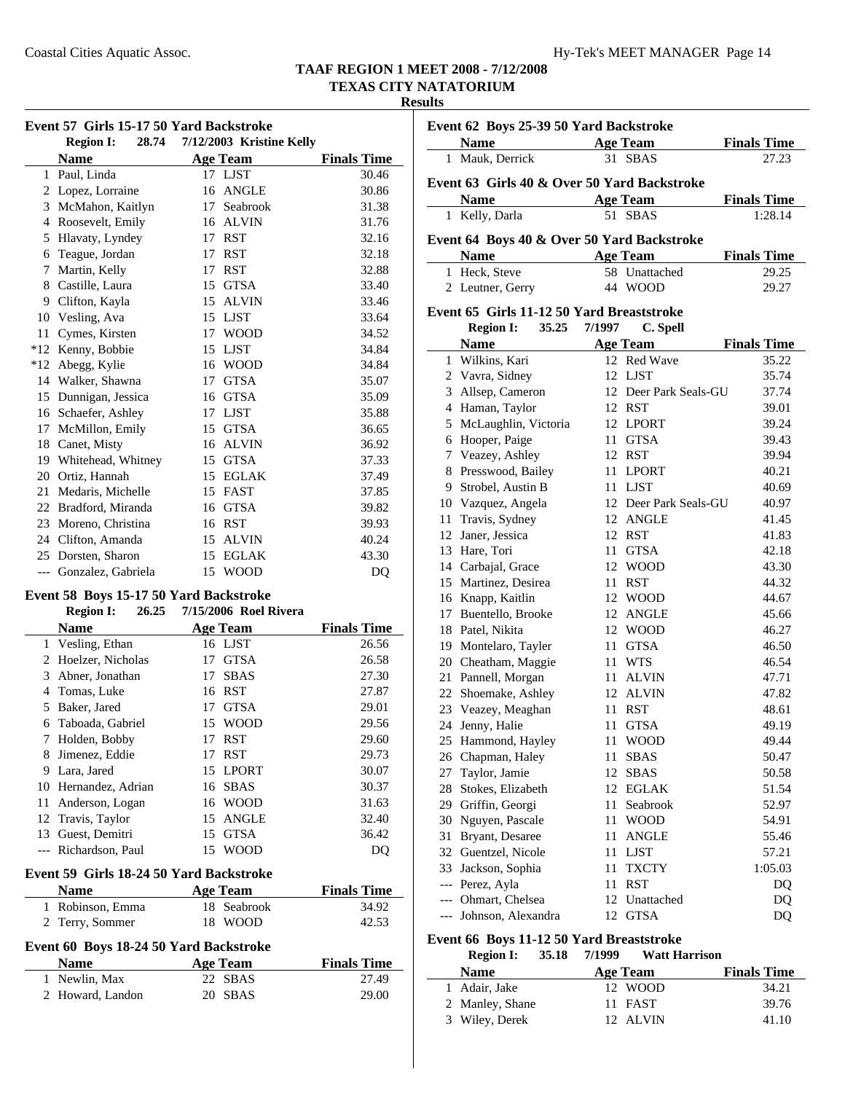#### **Results**

| Event 57 Girls 15-17 50 Yard Backstroke |                           |    |                          |                    |
|-----------------------------------------|---------------------------|----|--------------------------|--------------------|
|                                         | <b>Region I:</b><br>28.74 |    | 7/12/2003 Kristine Kelly |                    |
|                                         | <b>Name</b>               |    | <b>Age Team</b>          | <b>Finals Time</b> |
| 1                                       | Paul, Linda               |    | 17 LJST                  | 30.46              |
| 2                                       | Lopez, Lorraine           | 16 | <b>ANGLE</b>             | 30.86              |
| 3                                       | McMahon, Kaitlyn          | 17 | Seabrook                 | 31.38              |
| 4                                       | Roosevelt, Emily          | 16 | <b>ALVIN</b>             | 31.76              |
| 5                                       | Hlavaty, Lyndey           | 17 | <b>RST</b>               | 32.16              |
| 6                                       | Teague, Jordan            | 17 | <b>RST</b>               | 32.18              |
| 7                                       | Martin, Kelly             | 17 | <b>RST</b>               | 32.88              |
| 8                                       | Castille, Laura           | 15 | <b>GTSA</b>              | 33.40              |
| 9                                       | Clifton, Kayla            | 15 | <b>ALVIN</b>             | 33.46              |
| 10                                      | Vesling, Ava              | 15 | <b>LJST</b>              | 33.64              |
| 11                                      | Cymes, Kirsten            | 17 | <b>WOOD</b>              | 34.52              |
| $*12$                                   | Kenny, Bobbie             | 15 | <b>LJST</b>              | 34.84              |
| $*12$                                   | Abegg, Kylie              | 16 | <b>WOOD</b>              | 34.84              |
| 14                                      | Walker, Shawna            | 17 | <b>GTSA</b>              | 35.07              |
| 15                                      | Dunnigan, Jessica         | 16 | <b>GTSA</b>              | 35.09              |
| 16                                      | Schaefer, Ashley          | 17 | <b>LJST</b>              | 35.88              |
| 17                                      | McMillon, Emily           | 15 | <b>GTSA</b>              | 36.65              |
| 18                                      | Canet, Misty              | 16 | <b>ALVIN</b>             | 36.92              |
| 19                                      | Whitehead, Whitney        | 15 | <b>GTSA</b>              | 37.33              |
| 20                                      | Ortiz, Hannah             | 15 | <b>EGLAK</b>             | 37.49              |
| 21                                      | Medaris, Michelle         | 15 | FAST                     | 37.85              |
| 22                                      | Bradford, Miranda         | 16 | <b>GTSA</b>              | 39.82              |
| 23                                      | Moreno, Christina         | 16 | <b>RST</b>               | 39.93              |
| 24                                      | Clifton, Amanda           | 15 | <b>ALVIN</b>             | 40.24              |
| 25                                      | Dorsten, Sharon           | 15 | <b>EGLAK</b>             | 43.30              |
|                                         | --- Gonzalez, Gabriela    | 15 | <b>WOOD</b>              | D <sub>O</sub>     |

#### **Event 58 Boys 15-17 50 Yard Backstroke Region I:** 26.25 7/15/2006 Roel Riv

|       | REGIOII 1:<br>40.45                            | $1/15/2000$ Roel Rivera |                    |
|-------|------------------------------------------------|-------------------------|--------------------|
|       | <b>Name</b>                                    | <b>Age Team</b>         | <b>Finals Time</b> |
| 1     | Vesling, Ethan                                 | 16 LJST                 | 26.56              |
| 2     | Hoelzer, Nicholas                              | <b>GTSA</b><br>17       | 26.58              |
| 3     | Abner, Jonathan                                | <b>SBAS</b><br>17       | 27.30              |
| 4     | Tomas, Luke                                    | 16 RST                  | 27.87              |
| 5     | Baker, Jared                                   | <b>GTSA</b><br>17       | 29.01              |
| 6     | Taboada, Gabriel                               | <b>WOOD</b><br>15       | 29.56              |
| 7     | Holden, Bobby                                  | <b>RST</b><br>17        | 29.60              |
| 8     | Jimenez, Eddie                                 | <b>RST</b><br>17        | 29.73              |
| 9     | Lara, Jared                                    | 15 LPORT                | 30.07              |
| 10    | Hernandez, Adrian                              | <b>SBAS</b><br>16       | 30.37              |
| 11    | Anderson, Logan                                | 16 WOOD                 | 31.63              |
|       | 12 Travis, Taylor                              | <b>ANGLE</b><br>15      | 32.40              |
| 13    | Guest, Demitri                                 | <b>GTSA</b><br>15       | 36.42              |
| $---$ | Richardson, Paul                               | 15 WOOD                 | DQ                 |
|       | <b>Event 59 Girls 18-24 50 Yard Backstroke</b> |                         |                    |
|       | <b>Name</b>                                    | Age Team                | <b>Finals Time</b> |
| 1     | Robinson, Emma                                 | 18 Seabrook             | 34.92              |

# **Event 60 Boys 18-24 50 Yard Backstroke**

| <b>Name</b>      | Age Team | <b>Finals Time</b> |
|------------------|----------|--------------------|
| 1 Newlin, Max    | 22 SBAS  | 27.49              |
| 2 Howard, Landon | 20 SBAS  | 29.00              |

2 42.53 Terry, Sommer 18 WOOD

| Event 62 Boys 25-39 50 Yard Backstroke |                                                                                                                                                                                                                               |        |                       |                    |
|----------------------------------------|-------------------------------------------------------------------------------------------------------------------------------------------------------------------------------------------------------------------------------|--------|-----------------------|--------------------|
|                                        | Name and the same state of the state of the state of the state of the state of the state of the state of the state of the state of the state of the state of the state of the state of the state of the state of the state of |        | <b>Age Team</b>       | <b>Finals Time</b> |
|                                        | 1 Mauk, Derrick                                                                                                                                                                                                               |        | 31 SBAS               | 27.23              |
|                                        | Event 63 Girls 40 & Over 50 Yard Backstroke                                                                                                                                                                                   |        |                       |                    |
|                                        | <b>Name</b>                                                                                                                                                                                                                   |        | <b>Age Team</b>       | <b>Finals Time</b> |
| 1                                      | Kelly, Darla                                                                                                                                                                                                                  | 51     | <b>SBAS</b>           | 1:28.14            |
|                                        | Event 64 Boys 40 & Over 50 Yard Backstroke                                                                                                                                                                                    |        |                       |                    |
|                                        | <b>Name</b>                                                                                                                                                                                                                   |        | <b>Age Team</b>       | <b>Finals Time</b> |
| 1                                      | Heck, Steve                                                                                                                                                                                                                   | 58.    | Unattached            | 29.25              |
|                                        | 2 Leutner, Gerry                                                                                                                                                                                                              | 44     | <b>WOOD</b>           | 29.27              |
|                                        | Event 65 Girls 11-12 50 Yard Breaststroke                                                                                                                                                                                     |        |                       |                    |
|                                        | 35.25<br><b>Region I:</b>                                                                                                                                                                                                     | 7/1997 | C. Spell              |                    |
|                                        | <b>Name</b>                                                                                                                                                                                                                   |        | <b>Age Team</b>       | <b>Finals Time</b> |
|                                        | 1 Wilkins, Kari                                                                                                                                                                                                               |        | 12 Red Wave           | 35.22              |
|                                        | 2 Vavra, Sidney                                                                                                                                                                                                               |        | 12 LJST               | 35.74              |
|                                        | 3 Allsep, Cameron                                                                                                                                                                                                             |        | 12 Deer Park Seals-GU | 37.74              |
|                                        | 4 Haman, Taylor                                                                                                                                                                                                               |        | 12 RST                | 39.01              |
|                                        | 5 McLaughlin, Victoria                                                                                                                                                                                                        |        | 12 LPORT              | 39.24              |
|                                        | 6 Hooper, Paige                                                                                                                                                                                                               | 11     | <b>GTSA</b>           | 39.43              |
|                                        | 7 Veazey, Ashley                                                                                                                                                                                                              | 12     | RST                   | 39.94              |
|                                        | 8 Presswood, Bailey                                                                                                                                                                                                           |        | 11 LPORT              | 40.21              |
|                                        | 9 Strobel, Austin B                                                                                                                                                                                                           |        | 11 LJST               | 40.69              |
|                                        | 10 Vazquez, Angela                                                                                                                                                                                                            |        | 12 Deer Park Seals-GU | 40.97              |
|                                        | 11 Travis, Sydney                                                                                                                                                                                                             |        | 12 ANGLE              | 41.45              |
|                                        | 12 Janer, Jessica                                                                                                                                                                                                             |        | 12 RST                | 41.83              |
|                                        | 13 Hare, Tori                                                                                                                                                                                                                 |        | 11 GTSA               | 42.18              |
|                                        | 14 Carbajal, Grace                                                                                                                                                                                                            |        | 12 WOOD               | 43.30              |
|                                        | 15 Martinez, Desirea                                                                                                                                                                                                          |        | 11 RST                | 44.32              |
|                                        | 16 Knapp, Kaitlin                                                                                                                                                                                                             |        | 12 WOOD               | 44.67              |
|                                        | 17 Buentello, Brooke                                                                                                                                                                                                          |        | 12 ANGLE              | 45.66              |
|                                        | 18 Patel, Nikita                                                                                                                                                                                                              |        | 12 WOOD               | 46.27              |
|                                        | 19 Montelaro, Tayler                                                                                                                                                                                                          | 11     | <b>GTSA</b>           | 46.50              |
|                                        | 20 Cheatham, Maggie                                                                                                                                                                                                           |        | 11 WTS                | 46.54              |
|                                        | 21 Pannell, Morgan                                                                                                                                                                                                            |        | 11 ALVIN              | 47.71              |
|                                        | 22 Shoemake, Ashley                                                                                                                                                                                                           |        | 12 ALVIN              | 47.82              |
|                                        | 23 Veazey, Meaghan                                                                                                                                                                                                            | 11     | <b>RST</b>            | 48.61              |
|                                        | 24 Jenny, Halie                                                                                                                                                                                                               | 11     | <b>GTSA</b>           | 49.19              |
| 25                                     | Hammond, Hayley                                                                                                                                                                                                               | 11     | <b>WOOD</b>           | 49.44              |
|                                        | 26 Chapman, Haley                                                                                                                                                                                                             | 11     | <b>SBAS</b>           | 50.47              |
| 27                                     | Taylor, Jamie                                                                                                                                                                                                                 | 12     | <b>SBAS</b>           | 50.58              |
| 28                                     | Stokes, Elizabeth                                                                                                                                                                                                             | 12     | <b>EGLAK</b>          | 51.54              |
| 29                                     | Griffin, Georgi                                                                                                                                                                                                               | 11     | Seabrook              | 52.97              |
| 30                                     | Nguyen, Pascale                                                                                                                                                                                                               | 11     | <b>WOOD</b>           | 54.91              |
| 31                                     | Bryant, Desaree                                                                                                                                                                                                               | 11     | <b>ANGLE</b>          | 55.46              |
| 32                                     | Guentzel, Nicole                                                                                                                                                                                                              | 11     | <b>LJST</b>           | 57.21              |
|                                        | 33 Jackson, Sophia                                                                                                                                                                                                            | 11     | <b>TXCTY</b>          | 1:05.03            |
| $\overline{\phantom{a}}$               | Perez, Ayla                                                                                                                                                                                                                   | 11     | <b>RST</b>            | DQ                 |
| $---$                                  | Ohmart, Chelsea                                                                                                                                                                                                               | 12     | Unattached            | DQ                 |
|                                        | Johnson, Alexandra                                                                                                                                                                                                            | 12     | <b>GTSA</b>           | DQ                 |

### **Event 66 Boys 11-12 50 Yard Breaststroke**

| <b>Region I:</b> | 7/1999<br>35.18 | <b>Watt Harrison</b> |                    |
|------------------|-----------------|----------------------|--------------------|
| <b>Name</b>      | Age Team        |                      | <b>Finals Time</b> |
| 1 Adair, Jake    |                 | 12 WOOD              | 34.21              |
| 2 Manley, Shane  |                 | 11 FAST              | 39.76              |
| 3 Wiley, Derek   |                 | 12 ALVIN             | 41.10              |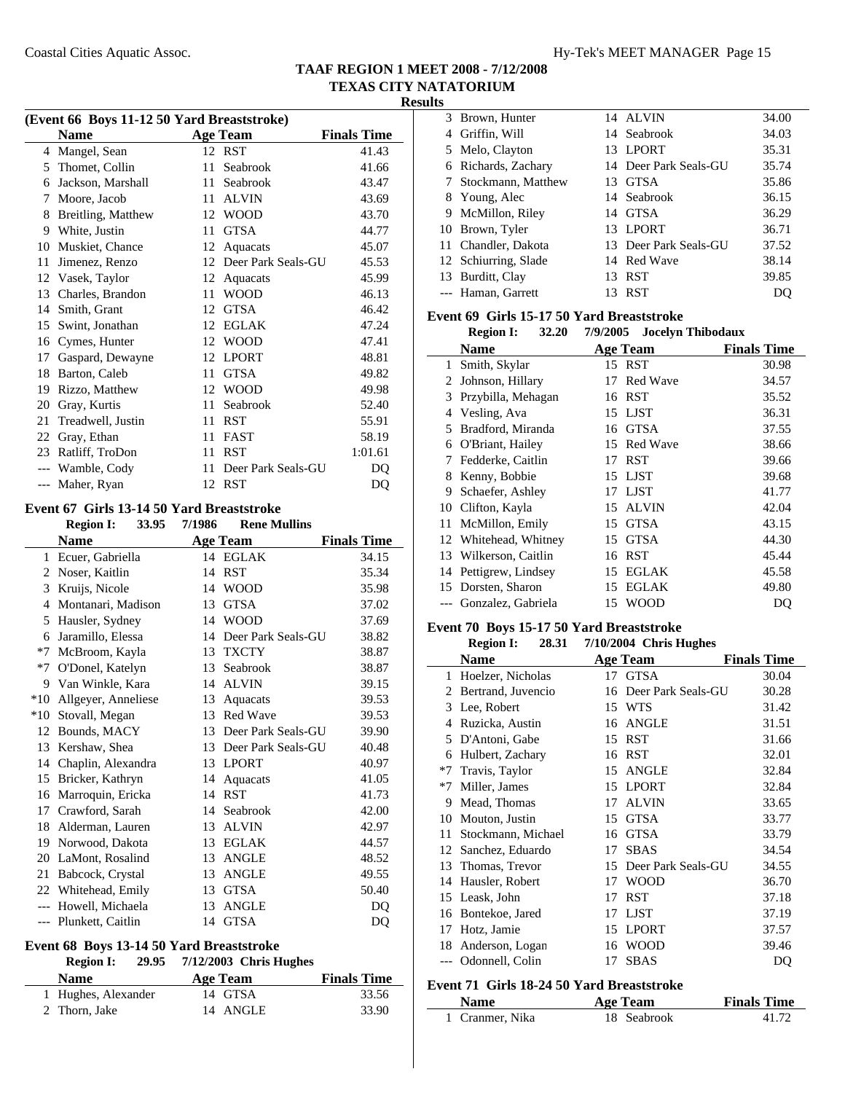$\overline{\phantom{a}}$ 

| (Event 66 Boys 11-12 50 Yard Breaststroke)<br><b>Name</b><br><b>Age Team</b><br><b>Finals Time</b> |                    |    |                    |         |  |
|----------------------------------------------------------------------------------------------------|--------------------|----|--------------------|---------|--|
|                                                                                                    | 4 Mangel, Sean     |    | 12 RST             | 41.43   |  |
| 5                                                                                                  | Thomet, Collin     | 11 | Seabrook           | 41.66   |  |
| 6                                                                                                  | Jackson, Marshall  |    | 11 Seabrook        | 43.47   |  |
| 7                                                                                                  | Moore, Jacob       | 11 | <b>ALVIN</b>       | 43.69   |  |
| 8                                                                                                  | Breitling, Matthew | 12 | <b>WOOD</b>        | 43.70   |  |
| 9                                                                                                  | White, Justin      | 11 | <b>GTSA</b>        | 44.77   |  |
| 10                                                                                                 | Muskiet, Chance    | 12 | Aquacats           | 45.07   |  |
| 11                                                                                                 | Jimenez, Renzo     | 12 | Deer Park Seals-GU | 45.53   |  |
| 12                                                                                                 | Vasek, Taylor      | 12 | Aquacats           | 45.99   |  |
| 13                                                                                                 | Charles, Brandon   | 11 | <b>WOOD</b>        | 46.13   |  |
| 14                                                                                                 | Smith, Grant       | 12 | <b>GTSA</b>        | 46.42   |  |
| 15                                                                                                 | Swint, Jonathan    | 12 | <b>EGLAK</b>       | 47.24   |  |
| 16                                                                                                 | Cymes, Hunter      | 12 | <b>WOOD</b>        | 47.41   |  |
| 17                                                                                                 | Gaspard, Dewayne   | 12 | <b>LPORT</b>       | 48.81   |  |
| 18                                                                                                 | Barton, Caleb      | 11 | <b>GTSA</b>        | 49.82   |  |
| 19                                                                                                 | Rizzo, Matthew     | 12 | <b>WOOD</b>        | 49.98   |  |
| 20                                                                                                 | Gray, Kurtis       | 11 | Seabrook           | 52.40   |  |
| 21                                                                                                 | Treadwell, Justin  | 11 | <b>RST</b>         | 55.91   |  |
| 22                                                                                                 | Gray, Ethan        | 11 | <b>FAST</b>        | 58.19   |  |
| 23                                                                                                 | Ratliff, TroDon    | 11 | <b>RST</b>         | 1:01.61 |  |
| $---$                                                                                              | Wamble, Cody       | 11 | Deer Park Seals-GU | DQ      |  |
|                                                                                                    | --- Maher, Ryan    |    | 12 RST             | DQ      |  |

#### **Event 67 Girls 13-14 50 Yard Breaststroke**

|              | <b>Region I:</b>    | 33.95 | 7/1986 | <b>Rene Mullins</b> |                    |
|--------------|---------------------|-------|--------|---------------------|--------------------|
|              | <b>Name</b>         |       |        | Age Team            | <b>Finals Time</b> |
| $\mathbf{1}$ | Ecuer, Gabriella    |       |        | 14 EGLAK            | 34.15              |
| 2            | Noser, Kaitlin      |       | 14     | <b>RST</b>          | 35.34              |
| 3            | Kruijs, Nicole      |       | 14     | <b>WOOD</b>         | 35.98              |
| 4            | Montanari, Madison  |       | 13     | <b>GTSA</b>         | 37.02              |
| 5            | Hausler, Sydney     |       | 14     | <b>WOOD</b>         | 37.69              |
| 6            | Jaramillo, Elessa   |       | 14     | Deer Park Seals-GU  | 38.82              |
| $*7$         | McBroom, Kayla      |       | 13     | <b>TXCTY</b>        | 38.87              |
| $*7$         | O'Donel, Katelyn    |       | 13     | Seabrook            | 38.87              |
| 9            | Van Winkle, Kara    |       | 14     | <b>ALVIN</b>        | 39.15              |
| $*10$        | Allgeyer, Anneliese |       | 13     | Aquacats            | 39.53              |
| $*10$        | Stovall, Megan      |       | 13     | <b>Red Wave</b>     | 39.53              |
| 12           | Bounds, MACY        |       | 13     | Deer Park Seals-GU  | 39.90              |
| 13           | Kershaw, Shea       |       | 13     | Deer Park Seals-GU  | 40.48              |
| 14           | Chaplin, Alexandra  |       | 13     | <b>LPORT</b>        | 40.97              |
| 15           | Bricker, Kathryn    |       | 14     | Aquacats            | 41.05              |
| 16           | Marroquin, Ericka   |       | 14     | <b>RST</b>          | 41.73              |
| 17           | Crawford, Sarah     |       | 14     | Seabrook            | 42.00              |
| 18           | Alderman, Lauren    |       | 13     | <b>ALVIN</b>        | 42.97              |
| 19           | Norwood, Dakota     |       | 13     | <b>EGLAK</b>        | 44.57              |
| 20           | LaMont, Rosalind    |       | 13     | <b>ANGLE</b>        | 48.52              |
| 21           | Babcock, Crystal    |       | 13     | <b>ANGLE</b>        | 49.55              |
| 22           | Whitehead, Emily    |       | 13     | <b>GTSA</b>         | 50.40              |
| $---$        | Howell, Michaela    |       | 13     | <b>ANGLE</b>        | DQ                 |
| $---$        | Plunkett, Caitlin   |       | 14     | <b>GTSA</b>         | DQ                 |
|              |                     |       |        |                     |                    |

#### **Event 68 Boys 13-14 50 Yard Breaststroke Region I: 29.95 Chris Hughes 7/12/2003**

| <b>RESION 1:</b>    | $29.95$ $112/2003$ CIIIIS Hughes |                    |
|---------------------|----------------------------------|--------------------|
| <b>Name</b>         | Age Team                         | <b>Finals Time</b> |
| 1 Hughes, Alexander | 14 GTSA                          | 33.56              |
| 2 Thorn, Jake       | 14 ANGLE                         | 33.90              |

| 3 Brown, Hunter      |     | 14 ALVIN              | 34.00 |
|----------------------|-----|-----------------------|-------|
| 4 Griffin, Will      |     | 14 Seabrook           | 34.03 |
| 5 Melo, Clayton      |     | 13 LPORT              | 35.31 |
| 6 Richards, Zachary  |     | 14 Deer Park Seals-GU | 35.74 |
| 7 Stockmann, Matthew | 13  | GTSA                  | 35.86 |
| 8 Young, Alec        |     | 14 Seabrook           | 36.15 |
| 9 McMillon, Riley    |     | 14 GTSA               | 36.29 |
| 10 Brown, Tyler      |     | 13 LPORT              | 36.71 |
| 11 Chandler, Dakota  |     | 13 Deer Park Seals-GU | 37.52 |
| 12 Schiurring, Slade |     | 14 Red Wave           | 38.14 |
| 13 Burditt, Clay     | 13. | <b>RST</b>            | 39.85 |
| --- Haman, Garrett   |     | <b>RST</b>            |       |

#### **Event 69 Girls 15-17 50 Yard Breaststroke**

| 32.20<br><b>Region I:</b> | 7/9/2005 Jocelyn Thibodaux |
|---------------------------|----------------------------|
|---------------------------|----------------------------|

|    |                       |     | $1727 = 0.08$ . Under the state of the state of $\frac{1}{2}$ |                    |
|----|-----------------------|-----|---------------------------------------------------------------|--------------------|
|    | Name                  |     | <b>Age Team</b>                                               | <b>Finals Time</b> |
| 1  | Smith, Skylar         |     | 15 RST                                                        | 30.98              |
| 2  | Johnson, Hillary      | 17  | Red Wave                                                      | 34.57              |
| 3  | Przybilla, Mehagan    |     | 16 RST                                                        | 35.52              |
| 4  | Vesling, Ava          |     | 15 LJST                                                       | 36.31              |
| 5. | Bradford, Miranda     |     | 16 GTSA                                                       | 37.55              |
| 6  | O'Briant, Hailey      |     | 15 Red Wave                                                   | 38.66              |
| 7  | Fedderke, Caitlin     |     | 17 RST                                                        | 39.66              |
| 8  | Kenny, Bobbie         |     | 15 LJST                                                       | 39.68              |
| 9  | Schaefer, Ashley      |     | 17 LJST                                                       | 41.77              |
| 10 | Clifton, Kayla        | 15  | <b>ALVIN</b>                                                  | 42.04              |
| 11 | McMillon, Emily       | 15  | <b>GTSA</b>                                                   | 43.15              |
|    | 12 Whitehead, Whitney |     | 15 GTSA                                                       | 44.30              |
|    | 13 Wilkerson, Caitlin |     | 16 RST                                                        | 45.44              |
|    | 14 Pettigrew, Lindsey |     | 15 EGLAK                                                      | 45.58              |
|    | 15 Dorsten, Sharon    | 15. | <b>EGLAK</b>                                                  | 49.80              |
|    | Gonzalez, Gabriela    | 15  | <b>WOOD</b>                                                   | DO                 |
|    |                       |     |                                                               |                    |

# **Event 70 Boys 15-17 50 Yard Breaststroke**<br>Region I: 28.31 7/10/2004 Chris H

| <b>Region I:</b> | 28.31 | $7/10/2004$ Chris Hughes |                    |
|------------------|-------|--------------------------|--------------------|
| Name             |       | Age Team                 | <b>Finals Time</b> |

|      | Name               |    | Age Team           | <b>Finals Time</b> |
|------|--------------------|----|--------------------|--------------------|
| 1    | Hoelzer, Nicholas  | 17 | <b>GTSA</b>        | 30.04              |
| 2    | Bertrand, Juvencio | 16 | Deer Park Seals-GU | 30.28              |
| 3    | Lee, Robert        | 15 | WTS                | 31.42              |
| 4    | Ruzicka, Austin    | 16 | <b>ANGLE</b>       | 31.51              |
| 5    | D'Antoni, Gabe     | 15 | <b>RST</b>         | 31.66              |
| 6    | Hulbert, Zachary   | 16 | <b>RST</b>         | 32.01              |
| $*7$ | Travis, Taylor     | 15 | <b>ANGLE</b>       | 32.84              |
| $*7$ | Miller, James      | 15 | <b>LPORT</b>       | 32.84              |
| 9    | Mead, Thomas       | 17 | <b>ALVIN</b>       | 33.65              |
| 10   | Mouton, Justin     | 15 | <b>GTSA</b>        | 33.77              |
| 11   | Stockmann, Michael | 16 | <b>GTSA</b>        | 33.79              |
| 12   | Sanchez, Eduardo   | 17 | <b>SBAS</b>        | 34.54              |
| 13   | Thomas, Trevor     | 15 | Deer Park Seals-GU | 34.55              |
| 14   | Hausler, Robert    | 17 | WOOD               | 36.70              |
| 15   | Leask, John        | 17 | RST                | 37.18              |
| 16   | Bontekoe, Jared    | 17 | LJST               | 37.19              |
| 17   | Hotz, Jamie        | 15 | <b>LPORT</b>       | 37.57              |
| 18   | Anderson, Logan    | 16 | <b>WOOD</b>        | 39.46              |
|      | Odonnell, Colin    | 17 | <b>SBAS</b>        | DQ                 |
|      |                    |    |                    |                    |

## **Event 71 Girls 18-24 50 Yard Breaststroke**

| <b>Name</b>     | Age Team    | <b>Finals Time</b> |
|-----------------|-------------|--------------------|
| 1 Cranmer, Nika | 18 Seabrook | 41.72              |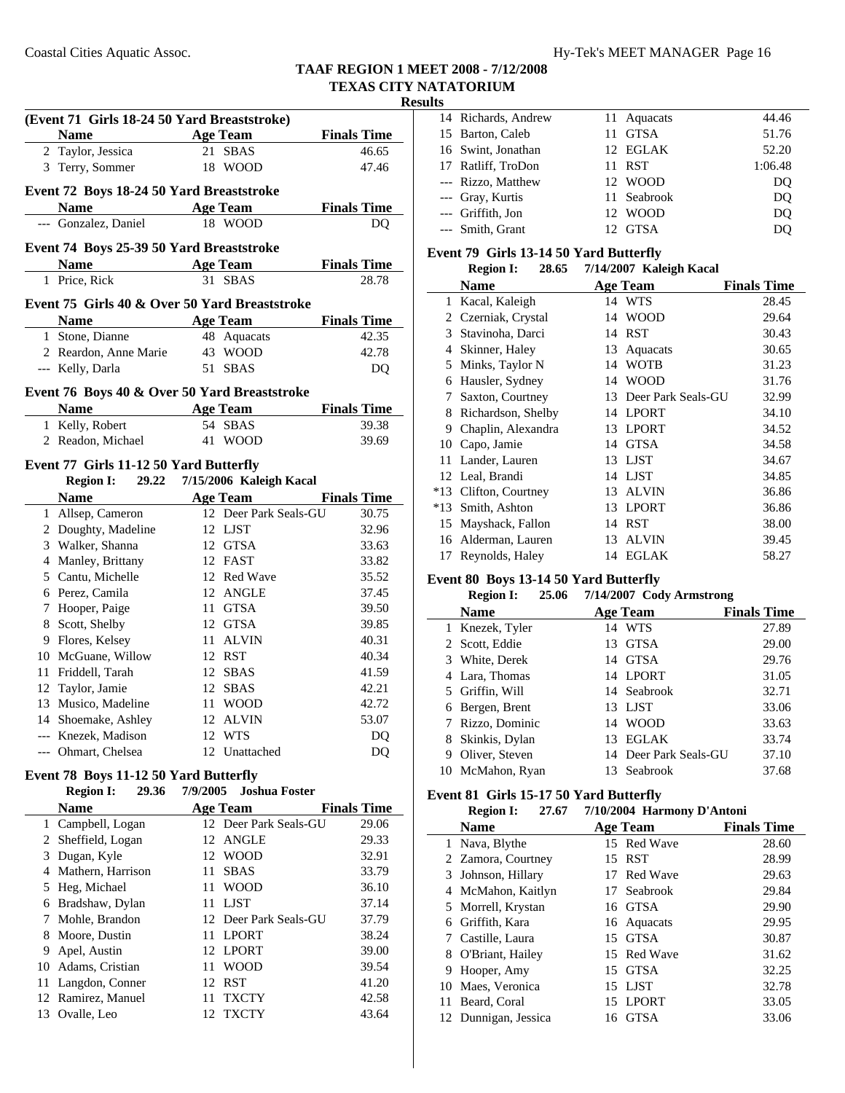|     | (Event 71 Girls 18-24 50 Yard Breaststroke)<br><b>Name</b> | Age Team                   | <b>Finals Time</b>          |
|-----|------------------------------------------------------------|----------------------------|-----------------------------|
|     | 2 Taylor, Jessica                                          | 21 SBAS                    | 46.65                       |
|     | 3 Terry, Sommer                                            | 18 WOOD                    | 47.46                       |
|     |                                                            |                            |                             |
|     | Event 72 Boys 18-24 50 Yard Breaststroke<br><b>Name</b>    |                            |                             |
|     | --- Gonzalez, Daniel                                       | <b>Age Team</b><br>18 WOOD | <b>Finals Time</b><br>DO    |
|     |                                                            |                            |                             |
|     | Event 74 Boys 25-39 50 Yard Breaststroke                   |                            |                             |
|     | Name Age Team                                              |                            | <b>Finals Time</b>          |
|     | 1 Price, Rick                                              | 31 SBAS                    | 28.78                       |
|     | Event 75 Girls 40 & Over 50 Yard Breaststroke              |                            |                             |
|     | <b>Name</b>                                                | <b>Age Team</b>            | <b>Finals Time</b>          |
|     | 1 Stone, Dianne                                            | 48 Aquacats                | 42.35                       |
|     | 2 Reardon, Anne Marie                                      | 43 WOOD                    | 42.78                       |
|     | --- Kelly, Darla                                           | 51 SBAS                    | DQ                          |
|     | Event 76 Boys 40 & Over 50 Yard Breaststroke               |                            |                             |
|     | <b>Name</b>                                                | <b>Age Team</b>            | <b>Finals Time</b>          |
|     | 1 Kelly, Robert                                            | 54 SBAS                    | 39.38                       |
|     | 2 Readon, Michael                                          | 41 WOOD                    | 39.69                       |
|     | Event 77 Girls 11-12 50 Yard Butterfly                     |                            |                             |
|     | <b>Region I:</b> 29.22                                     | 7/15/2006 Kaleigh Kacal    |                             |
|     | <b>Name</b>                                                | <b>Age Team</b>            | <b>Finals Time</b>          |
|     | 1 Allsep, Cameron                                          | 12 Deer Park Seals-GU      | 30.75                       |
|     | 2 Doughty, Madeline                                        | 12 LJST                    | 32.96                       |
|     | 3 Walker, Shanna                                           | 12 GTSA                    | 33.63                       |
|     | 4 Manley, Brittany                                         | 12 FAST                    | 33.82                       |
|     | 5 Cantu, Michelle                                          | 12 Red Wave                | 35.52                       |
|     | 6 Perez, Camila                                            | 12 ANGLE                   | 37.45                       |
|     | 7 Hooper, Paige                                            | 11 GTSA                    | 39.50                       |
|     | 8 Scott, Shelby                                            | 12 GTSA                    | 39.85                       |
|     | 9 Flores, Kelsey                                           | 11 ALVIN                   | 40.31                       |
|     | 10 McGuane, Willow<br>11 Friddell, Tarah                   | 12 RST<br>12 SBAS          | 40.34<br>41.59              |
|     | 12 Taylor, Jamie                                           | 12 SBAS                    | 42.21                       |
| 13  | Musico, Madeline                                           | 11 WOOD                    | 42.72                       |
|     | 14 Shoemake, Ashley                                        | 12 ALVIN                   | 53.07                       |
|     | --- Knezek, Madison                                        | WTS<br>12                  | DQ                          |
| --- | Ohmart, Chelsea                                            | 12 Unattached              | DQ                          |
|     |                                                            |                            |                             |
|     | Event 78 Boys 11-12 50 Yard Butterfly                      | 7/9/2005                   | <b>Joshua Foster</b>        |
|     | <b>Region I:</b><br>29.36<br><b>Name</b>                   | <b>Age Team</b>            |                             |
| 1   | Campbell, Logan                                            | 12 Deer Park Seals-GU      | <b>Finals Time</b><br>29.06 |
| 2   | Sheffield, Logan                                           | <b>ANGLE</b><br>12         | 29.33                       |
|     | 3 Dugan, Kyle                                              | 12<br><b>WOOD</b>          | 32.91                       |
|     |                                                            |                            |                             |

4 Mathern, Harrison 11 SBAS 33.79 5 Heg, Michael 11 WOOD 36.10 6 37.14 Bradshaw, Dylan 11 LJST 7 Mohle, Brandon 12 Deer Park Seals-GU 37.79 8 38.24 Moore, Dustin 11 LPORT 9 39.00 Apel, Austin 12 LPORT 10 39.54 Adams, Cristian 11 WOOD 11 Langdon, Conner 12 RST 41.20 12 Ramirez, Manuel 11 TXCTY 42.58 13 Ovalle, Leo 12 TXCTY 43.64

| ய |                     |             |                |
|---|---------------------|-------------|----------------|
|   | 14 Richards, Andrew | 11 Aquacats | 44.46          |
|   | 15 Barton, Caleb    | 11 GTSA     | 51.76          |
|   | 16 Swint, Jonathan  | 12 EGLAK    | 52.20          |
|   | 17 Ratliff, TroDon  | 11 RST      | 1:06.48        |
|   | --- Rizzo, Matthew  | 12 WOOD     | DO             |
|   | --- Gray, Kurtis    | 11 Seabrook | D <sub>O</sub> |
|   | --- Griffith, Jon   | 12 WOOD     | DO             |
|   | --- Smith, Grant    | 12 GTSA     | DO             |

#### **Event 79 Girls 13-14 50 Yard Butterfly**

|       | <b>Region I:</b><br>28.65 | 7/14/2007 Kaleigh Kacal  |                    |
|-------|---------------------------|--------------------------|--------------------|
|       | Name                      | <b>Age Team</b>          | <b>Finals Time</b> |
| 1     | Kacal, Kaleigh            | 14 WTS                   | 28.45              |
| 2     | Czerniak, Crystal         | <b>WOOD</b><br>14        | 29.64              |
| 3     | Stavinoha, Darci          | <b>RST</b><br>14         | 30.43              |
| 4     | Skinner, Haley            | 13<br>Aquacats           | 30.65              |
| 5     | Minks, Taylor N           | <b>WOTB</b><br>14        | 31.23              |
| 6     | Hausler, Sydney           | <b>WOOD</b><br>14        | 31.76              |
| 7     | Saxton, Courtney          | Deer Park Seals-GU<br>13 | 32.99              |
| 8     | Richardson, Shelby        | <b>LPORT</b><br>14       | 34.10              |
| 9     | Chaplin, Alexandra        | <b>LPORT</b><br>13       | 34.52              |
| 10    | Capo, Jamie               | <b>GTSA</b><br>14        | 34.58              |
| 11    | Lander, Lauren            | LJST<br>13               | 34.67              |
|       | 12 Leal, Brandi           | <b>LJST</b><br>14        | 34.85              |
| $*13$ | Clifton, Courtney         | <b>ALVIN</b><br>13       | 36.86              |
| $*13$ | Smith, Ashton             | <b>LPORT</b><br>13       | 36.86              |
| 15    | Mayshack, Fallon          | <b>RST</b><br>14         | 38.00              |
| 16    | Alderman, Lauren          | <b>ALVIN</b><br>13       | 39.45              |
| 17    | Reynolds, Haley           | EGLAK<br>14              | 58.27              |

#### **Event 80 Boys 13-14 50 Yard Butterfly**

|   | <b>Region I:</b><br>25.06 | 7/14/2007 Cody Armstrong |                    |
|---|---------------------------|--------------------------|--------------------|
|   | <b>Name</b>               | <b>Age Team</b>          | <b>Finals Time</b> |
|   | 1 Knezek, Tyler           | 14 WTS                   | 27.89              |
|   | 2 Scott, Eddie            | <b>GTSA</b><br>13        | 29.00              |
|   | 3 White, Derek            | 14 GTSA                  | 29.76              |
|   | 4 Lara, Thomas            | 14 LPORT                 | 31.05              |
|   | 5 Griffin, Will           | 14 Seabrook              | 32.71              |
|   | 6 Bergen, Brent           | 13 LJST                  | 33.06              |
|   | 7 Rizzo, Dominic          | 14 WOOD                  | 33.63              |
|   | 8 Skinkis, Dylan          | <b>EGLAK</b><br>13       | 33.74              |
| 9 | Oliver, Steven            | 14 Deer Park Seals-GU    | 37.10              |
|   | 10 McMahon, Ryan          | Seabrook<br>13.          | 37.68              |

#### **Event 81 Girls 15-17 50 Yard Butterfly**

| <b>Region I:</b> | 27.67 |  | 7/10/2004 Harmony D'Antoni |
|------------------|-------|--|----------------------------|
|------------------|-------|--|----------------------------|

|    | <b>Name</b>          | Age Team    | <b>Finals Time</b> |
|----|----------------------|-------------|--------------------|
|    | 1 Nava, Blythe       | 15 Red Wave | 28.60              |
|    | 2 Zamora, Courtney   | 15 RST      | 28.99              |
|    | 3 Johnson, Hillary   | 17 Red Wave | 29.63              |
|    | 4 McMahon, Kaitlyn   | 17 Seabrook | 29.84              |
|    | 5 Morrell, Krystan   | 16 GTSA     | 29.90              |
|    | 6 Griffith, Kara     | 16 Aquacats | 29.95              |
|    | 7 Castille, Laura    | 15 GTSA     | 30.87              |
|    | 8 O'Briant, Hailey   | 15 Red Wave | 31.62              |
|    | 9 Hooper, Amy        | 15 GTSA     | 32.25              |
|    | 10 Maes, Veronica    | 15 LJST     | 32.78              |
| 11 | Beard, Coral         | 15 LPORT    | 33.05              |
|    | 12 Dunnigan, Jessica | 16 GTSA     | 33.06              |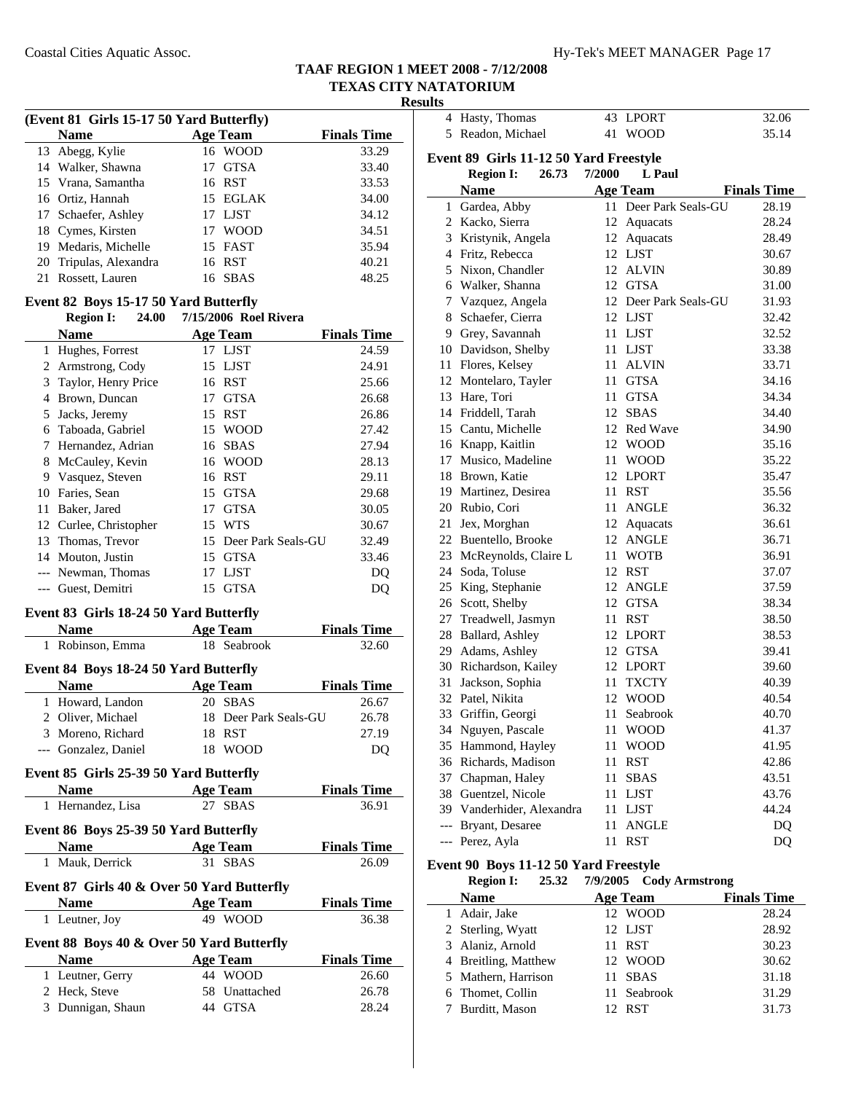4 Hasty, Thomas 43 LPORT 32.06 5 Readon, Michael 41 WOOD 35.14

**Name Age Team Finals Time** 1 28.19 Gardea, Abby 11 Deer Park Seals-GU 2 Kacko, Sierra 12 Aquacats 28.24 3 28.49 Kristynik, Angela 12 Aquacats 4 30.67 Fritz, Rebecca 12 LJST 5 30.89 Nixon, Chandler 12 ALVIN 6 31.00 Walker, Shanna 12 GTSA 7 31.93 Vazquez, Angela 12 Deer Park Seals-GU

**Event 89 Girls 11-12 50 Yard Freestyle**

**Region I:** 26.73 7/2000 L Paul

# **TAAF REGION 1 MEET 2008 - 7/12/2008 TEXAS CITY NATATORIUM**

#### **Results**

|   |                                                      |    |                       | Re                 |
|---|------------------------------------------------------|----|-----------------------|--------------------|
|   | (Event 81 Girls 15-17 50 Yard Butterfly)             |    |                       |                    |
|   | <b>Name</b>                                          |    | <b>Age Team</b>       | <b>Finals Time</b> |
|   | 13 Abegg, Kylie                                      |    | 16 WOOD               | 33.29              |
|   | 14 Walker, Shawna                                    |    | 17 GTSA               | 33.40              |
|   | 15 Vrana, Samantha                                   |    | 16 RST                | 33.53              |
|   | 16 Ortiz, Hannah                                     |    | 15 EGLAK              | 34.00              |
|   | 17 Schaefer, Ashley                                  |    | 17 LJST               | 34.12              |
|   | 18 Cymes, Kirsten                                    |    | 17 WOOD               | 34.51              |
|   | 19 Medaris, Michelle                                 |    | 15 FAST               | 35.94              |
|   | 20 Tripulas, Alexandra                               |    | 16 RST                | 40.21              |
|   | 21 Rossett, Lauren                                   | 16 | <b>SBAS</b>           | 48.25              |
|   | Event 82 Boys 15-17 50 Yard Butterfly                |    |                       |                    |
|   | <b>Region I:</b><br>24.00                            |    | 7/15/2006 Roel Rivera |                    |
|   | <b>Name</b>                                          |    | <b>Age Team</b>       | <b>Finals Time</b> |
|   | 1 Hughes, Forrest                                    |    | 17 LJST               | 24.59              |
|   | 2 Armstrong, Cody                                    |    | 15 LJST               | 24.91              |
|   | 3 Taylor, Henry Price                                |    | 16 RST                | 25.66              |
|   | 4 Brown, Duncan                                      |    | 17 GTSA               | 26.68              |
|   | 5 Jacks, Jeremy                                      |    | 15 RST                | 26.86              |
|   | 6 Taboada, Gabriel                                   |    | 15 WOOD               | 27.42              |
|   | 7 Hernandez, Adrian                                  |    | 16 SBAS               | 27.94              |
|   | 8 McCauley, Kevin                                    |    | 16 WOOD               | 28.13              |
|   | 9 Vasquez, Steven                                    |    | 16 RST                | 29.11              |
|   | 10 Faries, Sean                                      |    | 15 GTSA               | 29.68              |
|   | 11 Baker, Jared                                      |    | 17 GTSA               | 30.05              |
|   | 12 Curlee, Christopher                               |    | 15 WTS                | 30.67              |
|   | 13 Thomas, Trevor                                    |    | 15 Deer Park Seals-GU | 32.49              |
|   | 14 Mouton, Justin                                    |    | 15 GTSA               | 33.46              |
|   | --- Newman, Thomas                                   |    | 17 LJST               | DQ                 |
|   | --- Guest, Demitri                                   |    | 15 GTSA               | DQ                 |
|   | Event 83 Girls 18-24 50 Yard Butterfly               |    |                       |                    |
|   | <b>Name</b><br><b>Age Team</b>                       |    |                       | <b>Finals Time</b> |
| 1 | Robinson, Emma                                       |    | 18 Seabrook           | 32.60              |
|   |                                                      |    |                       |                    |
|   | Event 84 Boys 18-24 50 Yard Butterfly<br><b>Name</b> |    | <b>Age Team</b>       | <b>Finals Time</b> |
| 1 | Howard, Landon                                       | 20 | <b>SBAS</b>           | 26.67              |
|   | 2 Oliver, Michael                                    |    | 18 Deer Park Seals-GU | 26.78              |
|   | 3 Moreno, Richard                                    | 18 | <b>RST</b>            | 27.19              |
|   | --- Gonzalez, Daniel                                 |    | 18 WOOD               | DQ                 |
|   | Event 85 Girls 25-39 50 Yard Butterfly               |    |                       |                    |
|   | <b>Name</b>                                          |    | <b>Age Team</b>       | <b>Finals Time</b> |
| 1 | Hernandez, Lisa                                      |    | 27 SBAS               | 36.91              |
|   | Event 86 Boys 25-39 50 Yard Butterfly                |    |                       |                    |
|   | <b>Name</b>                                          |    | <b>Age Team</b>       | <b>Finals Time</b> |
|   | 1 Mauk, Derrick                                      |    | 31 SBAS               | 26.09              |
|   | Event 87 Girls 40 & Over 50 Yard Butterfly           |    |                       |                    |
|   | <b>Name</b>                                          |    | <b>Age Team</b>       | <b>Finals Time</b> |

1 36.38 Leutner, Joy 49 WOOD

**Name Age Team Finals Time** 1 26.60 Leutner, Gerry 44 WOOD 2 Heck, Steve 58 Unattached 26.78 3 28.24 Dunnigan, Shaun 44 GTSA

**Event 88 Boys 40 & Over 50 Yard Butterfly**

| 8              | Schaefer, Cierra                      | 12<br>LJST                        | 32.42              |
|----------------|---------------------------------------|-----------------------------------|--------------------|
|                | 9 Grey, Savannah                      | 11<br>LJST                        | 32.52              |
|                | 10 Davidson, Shelby                   | 11 LJST                           | 33.38              |
|                | 11 Flores, Kelsey                     | 11 ALVIN                          | 33.71              |
|                | 12 Montelaro, Tayler                  | 11 GTSA                           | 34.16              |
|                | 13 Hare, Tori                         | 11 GTSA                           | 34.34              |
|                | 14 Friddell, Tarah                    | 12 SBAS                           | 34.40              |
|                | 15 Cantu, Michelle                    | 12 Red Wave                       | 34.90              |
|                | 16 Knapp, Kaitlin                     | 12 WOOD                           | 35.16              |
| 17             | Musico, Madeline                      | 11 WOOD                           | 35.22              |
|                | 18 Brown, Katie                       | 12 LPORT                          | 35.47              |
|                | 19 Martinez, Desirea                  | 11 RST                            | 35.56              |
|                | 20 Rubio, Cori                        | 11 ANGLE                          | 36.32              |
| 21             | Jex, Morghan                          | 12 Aquacats                       | 36.61              |
|                | 22 Buentello, Brooke                  | 12 ANGLE                          | 36.71              |
|                | 23 McReynolds, Claire L               | <b>WOTB</b><br>11 -               | 36.91              |
|                | 24 Soda, Toluse                       | 12 RST                            | 37.07              |
|                | 25 King, Stephanie                    | 12 ANGLE                          | 37.59              |
|                | 26 Scott, Shelby                      | 12 GTSA                           | 38.34              |
| 27             | Treadwell, Jasmyn                     | 11 RST                            | 38.50              |
|                | 28 Ballard, Ashley                    | 12 LPORT                          | 38.53              |
|                | 29 Adams, Ashley                      | 12 GTSA                           | 39.41              |
|                | 30 Richardson, Kailey                 | 12 LPORT                          | 39.60              |
| 31             | Jackson, Sophia                       | 11<br><b>TXCTY</b>                | 40.39              |
|                | 32 Patel, Nikita                      | 12 WOOD                           | 40.54              |
|                | 33 Griffin, Georgi                    | 11 Seabrook                       | 40.70              |
|                | 34 Nguyen, Pascale                    | 11 WOOD                           | 41.37              |
|                | 35 Hammond, Hayley                    | 11 WOOD                           | 41.95              |
|                | 36 Richards, Madison                  | 11 RST                            | 42.86              |
|                | 37 Chapman, Haley                     | 11 SBAS                           | 43.51              |
|                | 38 Guentzel, Nicole                   | 11 LJST                           | 43.76              |
|                | 39 Vanderhider, Alexandra             | 11 LJST                           | 44.24              |
|                | --- Bryant, Desaree                   | <b>ANGLE</b><br>11                | DQ                 |
| $---$          | Perez, Ayla                           | <b>RST</b><br>11                  | DQ                 |
|                | Event 90 Boys 11-12 50 Yard Freestyle |                                   |                    |
|                | <b>Region I:</b><br>25.32             | 7/9/2005<br><b>Cody Armstrong</b> |                    |
|                | <b>Name</b>                           | <b>Age Team</b>                   | <b>Finals Time</b> |
| $\mathbf{1}$   | Adair, Jake                           | 12 WOOD                           | 28.24              |
|                | 2 Sterling, Wyatt                     | 12 LJST                           | 28.92              |
| 3              | Alaniz, Arnold                        | RST<br>11                         | 30.23              |
| $\overline{4}$ | Breitling, Matthew                    | 12 WOOD                           | 30.62              |
| 5              | Mathern, Harrison                     | 11 SBAS                           | 31.18              |

6 31.29 Thomet, Collin 11 Seabrook 7 31.73 Burditt, Mason 12 RST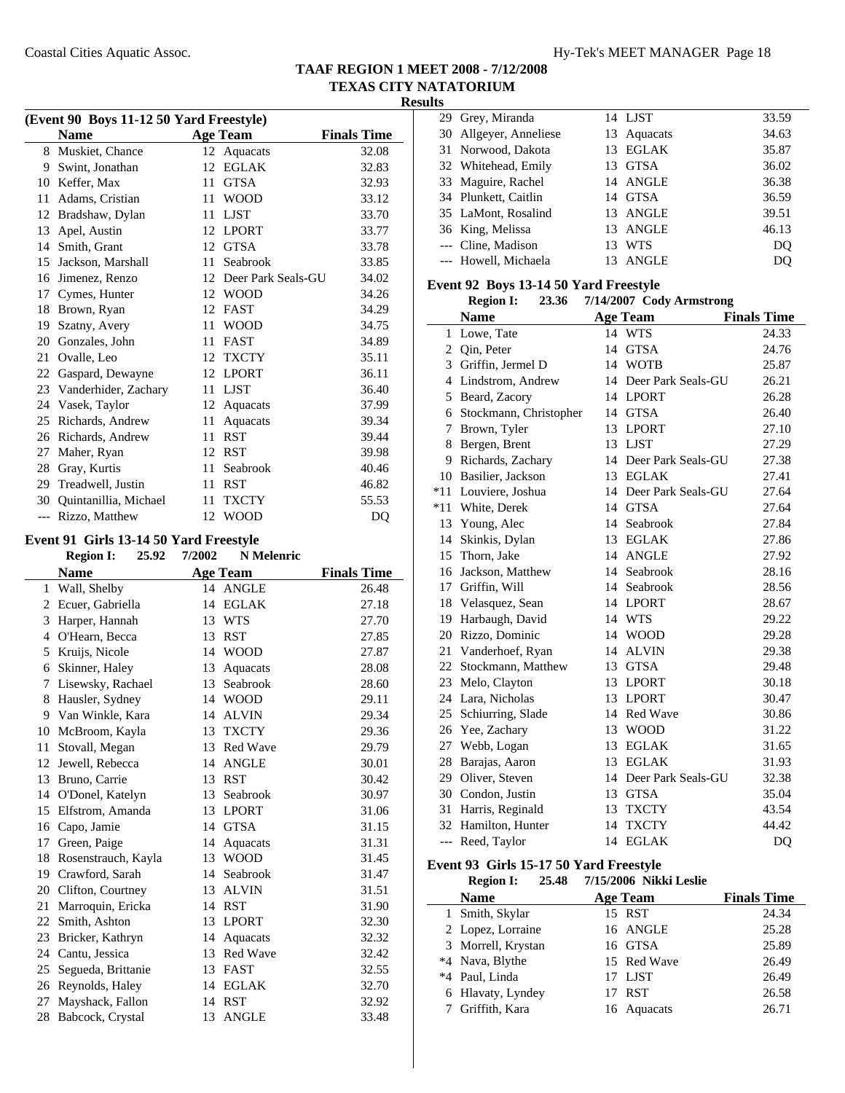| (Event 90 Boys 11-12 50 Yard Freestyle) |                       |    |                    |                    |  |  |
|-----------------------------------------|-----------------------|----|--------------------|--------------------|--|--|
|                                         | <b>Name</b>           |    | <b>Age Team</b>    | <b>Finals Time</b> |  |  |
| 8                                       | Muskiet, Chance       |    | 12 Aquacats        | 32.08              |  |  |
| 9                                       | Swint, Jonathan       | 12 | <b>EGLAK</b>       | 32.83              |  |  |
| 10                                      | Keffer, Max           | 11 | <b>GTSA</b>        | 32.93              |  |  |
| 11                                      | Adams, Cristian       | 11 | <b>WOOD</b>        | 33.12              |  |  |
| 12                                      | Bradshaw, Dylan       | 11 | <b>LJST</b>        | 33.70              |  |  |
| 13                                      | Apel, Austin          | 12 | <b>LPORT</b>       | 33.77              |  |  |
| 14                                      | Smith, Grant          | 12 | <b>GTSA</b>        | 33.78              |  |  |
| 15                                      | Jackson, Marshall     | 11 | Seabrook           | 33.85              |  |  |
| 16                                      | Jimenez, Renzo        | 12 | Deer Park Seals-GU | 34.02              |  |  |
| 17                                      | Cymes, Hunter         | 12 | <b>WOOD</b>        | 34.26              |  |  |
| 18                                      | Brown, Ryan           | 12 | <b>FAST</b>        | 34.29              |  |  |
| 19                                      | Szatny, Avery         | 11 | <b>WOOD</b>        | 34.75              |  |  |
| 20                                      | Gonzales, John        | 11 | <b>FAST</b>        | 34.89              |  |  |
| 21                                      | Ovalle, Leo           | 12 | <b>TXCTY</b>       | 35.11              |  |  |
| 22                                      | Gaspard, Dewayne      | 12 | <b>LPORT</b>       | 36.11              |  |  |
| 23                                      | Vanderhider, Zachary  | 11 | <b>LJST</b>        | 36.40              |  |  |
| 24                                      | Vasek, Taylor         | 12 | Aquacats           | 37.99              |  |  |
| 25                                      | Richards, Andrew      | 11 | Aquacats           | 39.34              |  |  |
| 26                                      | Richards, Andrew      | 11 | <b>RST</b>         | 39.44              |  |  |
| 27                                      | Maher, Ryan           | 12 | <b>RST</b>         | 39.98              |  |  |
| 28                                      | Gray, Kurtis          | 11 | Seabrook           | 40.46              |  |  |
| 29                                      | Treadwell, Justin     | 11 | <b>RST</b>         | 46.82              |  |  |
| 30                                      | Quintanillia, Michael | 11 | <b>TXCTY</b>       | 55.53              |  |  |
| $---$                                   | Rizzo, Matthew        | 12 | <b>WOOD</b>        | DQ                 |  |  |

### **Event 91 Girls 13-14 50 Yard Freestyle**

|    | <b>Region I:</b>    | 25.92 | 7/2002 | <b>N</b> Melenric |                    |
|----|---------------------|-------|--------|-------------------|--------------------|
|    | <b>Name</b>         |       |        | <b>Age Team</b>   | <b>Finals Time</b> |
| 1  | Wall, Shelby        |       |        | 14 ANGLE          | 26.48              |
| 2  | Ecuer, Gabriella    |       | 14     | <b>EGLAK</b>      | 27.18              |
| 3  | Harper, Hannah      |       | 13     | <b>WTS</b>        | 27.70              |
| 4  | O'Hearn, Becca      |       | 13     | <b>RST</b>        | 27.85              |
| 5  | Kruijs, Nicole      |       | 14     | <b>WOOD</b>       | 27.87              |
| 6  | Skinner, Haley      |       | 13     | Aquacats          | 28.08              |
| 7  | Lisewsky, Rachael   |       | 13     | Seabrook          | 28.60              |
| 8  | Hausler, Sydney     |       | 14     | <b>WOOD</b>       | 29.11              |
| 9  | Van Winkle, Kara    |       | 14     | <b>ALVIN</b>      | 29.34              |
| 10 | McBroom, Kayla      |       | 13     | <b>TXCTY</b>      | 29.36              |
| 11 | Stovall, Megan      |       | 13     | <b>Red Wave</b>   | 29.79              |
| 12 | Jewell, Rebecca     |       | 14     | <b>ANGLE</b>      | 30.01              |
| 13 | Bruno, Carrie       |       | 13     | <b>RST</b>        | 30.42              |
| 14 | O'Donel, Katelyn    |       | 13     | Seabrook          | 30.97              |
| 15 | Elfstrom, Amanda    |       | 13     | <b>LPORT</b>      | 31.06              |
| 16 | Capo, Jamie         |       | 14     | <b>GTSA</b>       | 31.15              |
| 17 | Green, Paige        |       | 14     | Aquacats          | 31.31              |
| 18 | Rosenstrauch, Kayla |       | 13     | <b>WOOD</b>       | 31.45              |
| 19 | Crawford, Sarah     |       | 14     | Seabrook          | 31.47              |
| 20 | Clifton, Courtney   |       |        | 13 ALVIN          | 31.51              |
| 21 | Marroquin, Ericka   |       | 14     | <b>RST</b>        | 31.90              |
| 22 | Smith, Ashton       |       | 13     | <b>LPORT</b>      | 32.30              |
| 23 | Bricker, Kathryn    |       | 14     | Aquacats          | 32.32              |
| 24 | Cantu, Jessica      |       |        | 13 Red Wave       | 32.42              |
| 25 | Segueda, Brittanie  |       | 13     | <b>FAST</b>       | 32.55              |
| 26 | Reynolds, Haley     |       | 14     | <b>EGLAK</b>      | 32.70              |
| 27 | Mayshack, Fallon    |       | 14     | <b>RST</b>        | 32.92              |
| 28 | Babcock, Crystal    |       | 13     | <b>ANGLE</b>      | 33.48              |
|    |                     |       |        |                   |                    |

|  | 29 Grey, Miranda       |    | 14 LJST     | 33.59          |
|--|------------------------|----|-------------|----------------|
|  | 30 Allgeyer, Anneliese |    | 13 Aquacats | 34.63          |
|  | 31 Norwood, Dakota     |    | 13 EGLAK    | 35.87          |
|  | 32 Whitehead, Emily    | 13 | GTSA        | 36.02          |
|  | 33 Maguire, Rachel     |    | 14 ANGLE    | 36.38          |
|  | 34 Plunkett, Caitlin   |    | 14 GTSA     | 36.59          |
|  | 35 LaMont, Rosalind    |    | 13 ANGLE    | 39.51          |
|  | 36 King, Melissa       |    | 13 ANGLE    | 46.13          |
|  | --- Cline, Madison     | 13 | <b>WTS</b>  | D <sub>O</sub> |
|  | --- Howell, Michaela   | 13 | ANGLE       | DO             |
|  |                        |    |             |                |

#### **Event 92 Boys 13-14 50 Yard Freestyle**

|       | 7/14/2007 Cody Armstrong<br><b>Region I:</b><br>23.36 |    |                       |                    |  |
|-------|-------------------------------------------------------|----|-----------------------|--------------------|--|
|       | <b>Name</b>                                           |    | <b>Age Team</b>       | <b>Finals Time</b> |  |
| 1     | Lowe, Tate                                            | 14 | <b>WTS</b>            | 24.33              |  |
| 2     | Qin, Peter                                            | 14 | <b>GTSA</b>           | 24.76              |  |
| 3     | Griffin, Jermel D                                     | 14 | <b>WOTB</b>           | 25.87              |  |
| 4     | Lindstrom, Andrew                                     |    | 14 Deer Park Seals-GU | 26.21              |  |
| 5     | Beard, Zacory                                         |    | 14 LPORT              | 26.28              |  |
|       | 6 Stockmann, Christopher                              |    | 14 GTSA               | 26.40              |  |
| 7     | Brown, Tyler                                          |    | 13 LPORT              | 27.10              |  |
| 8     | Bergen, Brent                                         |    | 13 LJST               | 27.29              |  |
| 9     | Richards, Zachary                                     |    | 14 Deer Park Seals-GU | 27.38              |  |
| 10    | Basilier, Jackson                                     |    | 13 EGLAK              | 27.41              |  |
| $*11$ | Louviere, Joshua                                      |    | 14 Deer Park Seals-GU | 27.64              |  |
| $*11$ | White, Derek                                          | 14 | <b>GTSA</b>           | 27.64              |  |
|       | 13 Young, Alec                                        |    | 14 Seabrook           | 27.84              |  |
| 14    | Skinkis, Dylan                                        |    | 13 EGLAK              | 27.86              |  |
|       | 15 Thorn, Jake                                        |    | 14 ANGLE              | 27.92              |  |
|       | 16 Jackson, Matthew                                   | 14 | Seabrook              | 28.16              |  |
|       | 17 Griffin, Will                                      | 14 | Seabrook              | 28.56              |  |
|       | 18 Velasquez, Sean                                    |    | 14 LPORT              | 28.67              |  |
|       | 19 Harbaugh, David                                    |    | 14 WTS                | 29.22              |  |
|       | 20 Rizzo, Dominic                                     |    | 14 WOOD               | 29.28              |  |
|       | 21 Vanderhoef, Ryan                                   | 14 | <b>ALVIN</b>          | 29.38              |  |
|       | 22 Stockmann, Matthew                                 |    | 13 GTSA               | 29.48              |  |
|       | 23 Melo, Clayton                                      | 13 | <b>LPORT</b>          | 30.18              |  |
|       | 24 Lara, Nicholas                                     | 13 | <b>LPORT</b>          | 30.47              |  |
| 25    | Schiurring, Slade                                     | 14 | Red Wave              | 30.86              |  |
|       | 26 Yee, Zachary                                       | 13 | <b>WOOD</b>           | 31.22              |  |
| 27    | Webb, Logan                                           |    | 13 EGLAK              | 31.65              |  |
| 28    | Barajas, Aaron                                        |    | 13 EGLAK              | 31.93              |  |
|       | 29 Oliver, Steven                                     |    | 14 Deer Park Seals-GU | 32.38              |  |
|       | 30 Condon, Justin                                     |    | 13 GTSA               | 35.04              |  |
| 31    | Harris, Reginald                                      | 13 | <b>TXCTY</b>          | 43.54              |  |
| 32    | Hamilton, Hunter                                      | 14 | <b>TXCTY</b>          | 44.42              |  |
| $---$ | Reed, Taylor                                          |    | 14 EGLAK              | DQ                 |  |

# **Event 93 Girls 15-17 50 Yard Freestyle**

l,

| <b>Region I:</b><br>25.48 | 7/15/2006 Nikki Leslie |                    |
|---------------------------|------------------------|--------------------|
| <b>Name</b>               | <b>Age Team</b>        | <b>Finals Time</b> |
| 1 Smith, Skylar           | 15 RST                 | 24.34              |
| 2 Lopez, Lorraine         | 16 ANGLE               | 25.28              |
| 3 Morrell, Krystan        | 16 GTSA                | 25.89              |
| *4 Nava, Blythe           | 15 Red Wave            | 26.49              |
| *4 Paul, Linda            | 17 LJST                | 26.49              |
| 6 Hlavaty, Lyndey         | 17 RST                 | 26.58              |
| 7 Griffith, Kara          | 16 Aquacats            | 26.71              |
|                           |                        |                    |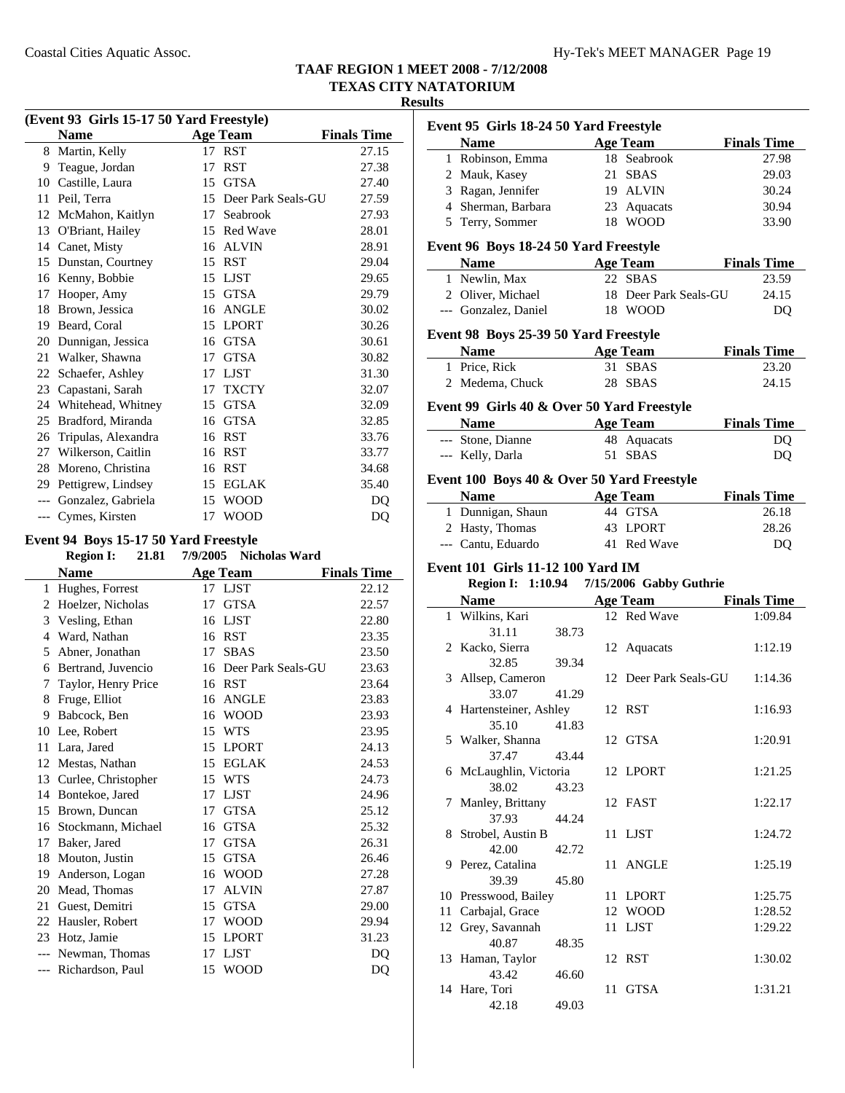#### **Results**

| (Event 93 Girls 15-17 50 Yard Freestyle) |                                       |    |                        |                    |  |
|------------------------------------------|---------------------------------------|----|------------------------|--------------------|--|
|                                          | <b>Name</b>                           |    | <b>Age Team</b>        | <b>Finals Time</b> |  |
|                                          | 8 Martin, Kelly                       | 17 | <b>RST</b>             | 27.15              |  |
| 9                                        | Teague, Jordan                        | 17 | <b>RST</b>             | 27.38              |  |
| 10                                       | Castille, Laura                       | 15 | <b>GTSA</b>            | 27.40              |  |
| 11                                       | Peil, Terra                           | 15 | Deer Park Seals-GU     | 27.59              |  |
| 12                                       | McMahon, Kaitlyn                      | 17 | Seabrook               | 27.93              |  |
| 13                                       | O'Briant, Hailey                      |    | 15 Red Wave            | 28.01              |  |
|                                          | 14 Canet, Misty                       | 16 | ALVIN                  | 28.91              |  |
| 15                                       | Dunstan, Courtney                     | 15 | <b>RST</b>             | 29.04              |  |
|                                          | 16 Kenny, Bobbie                      | 15 | LJST                   | 29.65              |  |
| 17                                       | Hooper, Amy                           | 15 | <b>GTSA</b>            | 29.79              |  |
| 18                                       | Brown, Jessica                        | 16 | ANGLE                  | 30.02              |  |
| 19                                       | Beard, Coral                          | 15 | <b>LPORT</b>           | 30.26              |  |
| 20                                       | Dunnigan, Jessica                     | 16 | <b>GTSA</b>            | 30.61              |  |
| 21                                       | Walker, Shawna                        | 17 | <b>GTSA</b>            | 30.82              |  |
| 22                                       | Schaefer, Ashley                      | 17 | <b>LJST</b>            | 31.30              |  |
| 23                                       | Capastani, Sarah                      |    | 17 TXCTY               | 32.07              |  |
|                                          | 24 Whitehead, Whitney                 | 15 | <b>GTSA</b>            | 32.09              |  |
| 25                                       | Bradford, Miranda                     | 16 | <b>GTSA</b>            | 32.85              |  |
| 26                                       | Tripulas, Alexandra                   | 16 | RST                    | 33.76              |  |
|                                          | 27 Wilkerson, Caitlin                 |    | 16 RST                 | 33.77              |  |
| 28                                       | Moreno, Christina                     | 16 | RST                    | 34.68              |  |
| 29                                       | Pettigrew, Lindsey                    | 15 | EGLAK                  | 35.40              |  |
|                                          | --- Gonzalez, Gabriela                |    | 15 WOOD                | DQ                 |  |
|                                          | --- Cymes, Kirsten                    | 17 | <b>WOOD</b>            | DQ                 |  |
|                                          | Event 94 Boys 15-17 50 Yard Freestyle |    |                        |                    |  |
|                                          | <b>Region I:</b><br>21.81             |    | 7/9/2005 Nicholas Ward |                    |  |
|                                          | Name                                  |    | $\Delta$ oe Team       | <b>Finals Time</b> |  |

|       | <b>Region I:</b><br>21.81 | 7/9/2005 | Nicholas Ward      |                    |
|-------|---------------------------|----------|--------------------|--------------------|
|       | <b>Name</b>               |          | <b>Age Team</b>    | <b>Finals Time</b> |
| 1     | Hughes, Forrest           | 17       | <b>LJST</b>        | 22.12              |
| 2     | Hoelzer, Nicholas         | 17       | <b>GTSA</b>        | 22.57              |
| 3     | Vesling, Ethan            | 16       | <b>LJST</b>        | 22.80              |
| 4     | Ward, Nathan              | 16       | <b>RST</b>         | 23.35              |
| 5     | Abner, Jonathan           | 17       | <b>SBAS</b>        | 23.50              |
| 6     | Bertrand, Juvencio        | 16       | Deer Park Seals-GU | 23.63              |
| 7     | Taylor, Henry Price       | 16       | <b>RST</b>         | 23.64              |
| 8     | Fruge, Elliot             | 16       | <b>ANGLE</b>       | 23.83              |
| 9     | Babcock, Ben              | 16       | <b>WOOD</b>        | 23.93              |
| 10    | Lee, Robert               | 15       | <b>WTS</b>         | 23.95              |
| 11    | Lara, Jared               | 15       | <b>LPORT</b>       | 24.13              |
| 12    | Mestas, Nathan            | 15       | <b>EGLAK</b>       | 24.53              |
| 13    | Curlee, Christopher       | 15       | <b>WTS</b>         | 24.73              |
| 14    | Bontekoe, Jared           | 17       | <b>LJST</b>        | 24.96              |
| 15    | Brown, Duncan             | 17       | <b>GTSA</b>        | 25.12              |
| 16    | Stockmann, Michael        | 16       | <b>GTSA</b>        | 25.32              |
| 17    | Baker, Jared              | 17       | <b>GTSA</b>        | 26.31              |
| 18    | Mouton, Justin            | 15       | <b>GTSA</b>        | 26.46              |
| 19    | Anderson, Logan           | 16       | <b>WOOD</b>        | 27.28              |
| 20    | Mead, Thomas              | 17       | <b>ALVIN</b>       | 27.87              |
| 21    | Guest, Demitri            | 15       | <b>GTSA</b>        | 29.00              |
| 22    | Hausler, Robert           | 17       | <b>WOOD</b>        | 29.94              |
| 23    | Hotz, Jamie               | 15       | <b>LPORT</b>       | 31.23              |
|       | Newman, Thomas            | 17       | <b>LJST</b>        | DO                 |
| $---$ | Richardson, Paul          | 15       | <b>WOOD</b>        | DQ                 |
|       |                           |          |                    |                    |

| Event 95 Girls 18-24 50 Yard Freestyle |                                            |       |    |                                           |                    |  |
|----------------------------------------|--------------------------------------------|-------|----|-------------------------------------------|--------------------|--|
|                                        | Name Age Team                              |       |    |                                           | <b>Finals Time</b> |  |
|                                        | 1 Robinson, Emma                           |       |    | 18 Seabrook                               | 27.98              |  |
|                                        | 2 Mauk, Kasey                              |       |    | 21 SBAS                                   | 29.03              |  |
|                                        | 3 Ragan, Jennifer                          |       |    | 19 ALVIN                                  | 30.24              |  |
|                                        | 4 Sherman, Barbara                         |       |    | 23 Aquacats                               | 30.94              |  |
|                                        |                                            |       |    | 18 WOOD                                   |                    |  |
|                                        | 5 Terry, Sommer                            |       |    |                                           | 33.90              |  |
|                                        | Event 96 Boys 18-24 50 Yard Freestyle      |       |    |                                           |                    |  |
|                                        | Name                                       |       |    | <b>Age Team</b>                           | <b>Finals Time</b> |  |
|                                        | 1 Newlin, Max                              |       |    | 22 SBAS                                   | 23.59              |  |
|                                        | 2 Oliver, Michael                          |       |    | 18 Deer Park Seals-GU                     | 24.15              |  |
|                                        | --- Gonzalez, Daniel                       |       |    | 18 WOOD                                   | D <sub>O</sub>     |  |
|                                        | Event 98 Boys 25-39 50 Yard Freestyle      |       |    |                                           |                    |  |
|                                        | Name Age Team                              |       |    |                                           | <b>Finals Time</b> |  |
|                                        | 1 Price, Rick                              |       |    | 31 SBAS                                   | 23.20              |  |
|                                        | 2 Medema, Chuck                            |       |    | 28 SBAS                                   | 24.15              |  |
|                                        |                                            |       |    |                                           |                    |  |
|                                        | Event 99 Girls 40 & Over 50 Yard Freestyle |       |    |                                           |                    |  |
|                                        | <b>Solution Age Team</b>                   |       |    |                                           | <b>Finals Time</b> |  |
|                                        | --- Stone, Dianne                          |       |    | 48 Aquacats                               | DQ                 |  |
|                                        | --- Kelly, Darla                           |       |    | 51 SBAS                                   | DQ                 |  |
|                                        | Event 100 Boys 40 & Over 50 Yard Freestyle |       |    |                                           |                    |  |
|                                        |                                            |       |    |                                           |                    |  |
|                                        | Name                                       |       |    | <b>Example 2</b> Age Team                 | <b>Finals Time</b> |  |
|                                        | 1 Dunnigan, Shaun                          |       |    | 44 GTSA                                   | 26.18              |  |
|                                        | 2 Hasty, Thomas                            |       |    | 43 LPORT                                  | 28.26              |  |
|                                        | --- Cantu, Eduardo                         |       |    | 41 Red Wave                               | DQ                 |  |
|                                        | Event 101 Girls 11-12 100 Yard IM          |       |    |                                           |                    |  |
|                                        |                                            |       |    | Region I: 1:10.94 7/15/2006 Gabby Guthrie |                    |  |
|                                        | Name Age Team                              |       |    |                                           | <b>Finals Time</b> |  |
|                                        | 1 Wilkins, Kari                            |       |    | 12 Red Wave                               | 1:09.84            |  |
|                                        | 31.11                                      | 38.73 |    |                                           |                    |  |
|                                        | 2 Kacko, Sierra                            |       |    | 12 Aquacats                               | 1:12.19            |  |
|                                        | 32.85                                      | 39.34 |    |                                           |                    |  |
|                                        | 3 Allsep, Cameron                          |       |    | 12 Deer Park Seals-GU                     | 1:14.36            |  |
|                                        | 33.07                                      | 41.29 |    |                                           |                    |  |
|                                        | 4 Hartensteiner, Ashley                    |       |    | 12 RST                                    | 1:16.93            |  |
|                                        | 35.10                                      | 41.83 |    |                                           |                    |  |
|                                        | 5 Walker, Shanna                           |       |    | 12 GTSA                                   | 1:20.91            |  |
|                                        | 37.47                                      | 43.44 |    |                                           |                    |  |
|                                        | 6 McLaughlin, Victoria                     |       |    | 12 LPORT                                  | 1:21.25            |  |
|                                        | 38.02                                      | 43.23 |    |                                           |                    |  |
| 7                                      | Manley, Brittany                           |       |    | 12 FAST                                   | 1:22.17            |  |
|                                        | 37.93                                      | 44.24 |    |                                           |                    |  |
| 8                                      | Strobel, Austin B                          |       | 11 | <b>LJST</b>                               | 1:24.72            |  |
|                                        | 42.00                                      | 42.72 |    |                                           |                    |  |
| 9                                      | Perez, Catalina                            |       | 11 | <b>ANGLE</b>                              | 1:25.19            |  |
|                                        | 39.39                                      | 45.80 |    |                                           |                    |  |
|                                        | 10 Presswood, Bailey                       |       | 11 |                                           |                    |  |
|                                        |                                            |       |    | <b>LPORT</b>                              | 1:25.75            |  |
| 11                                     | Carbajal, Grace                            |       |    | 12 WOOD                                   | 1:28.52            |  |
| 12                                     | Grey, Savannah                             |       | 11 | <b>LJST</b>                               | 1:29.22            |  |
|                                        | 40.87                                      | 48.35 |    |                                           |                    |  |
|                                        | 13 Haman, Taylor                           |       |    | 12 RST                                    | 1:30.02            |  |
|                                        | 43.42                                      | 46.60 |    |                                           |                    |  |
|                                        | 14 Hare, Tori                              |       | 11 | <b>GTSA</b>                               | 1:31.21            |  |
|                                        | 42.18                                      | 49.03 |    |                                           |                    |  |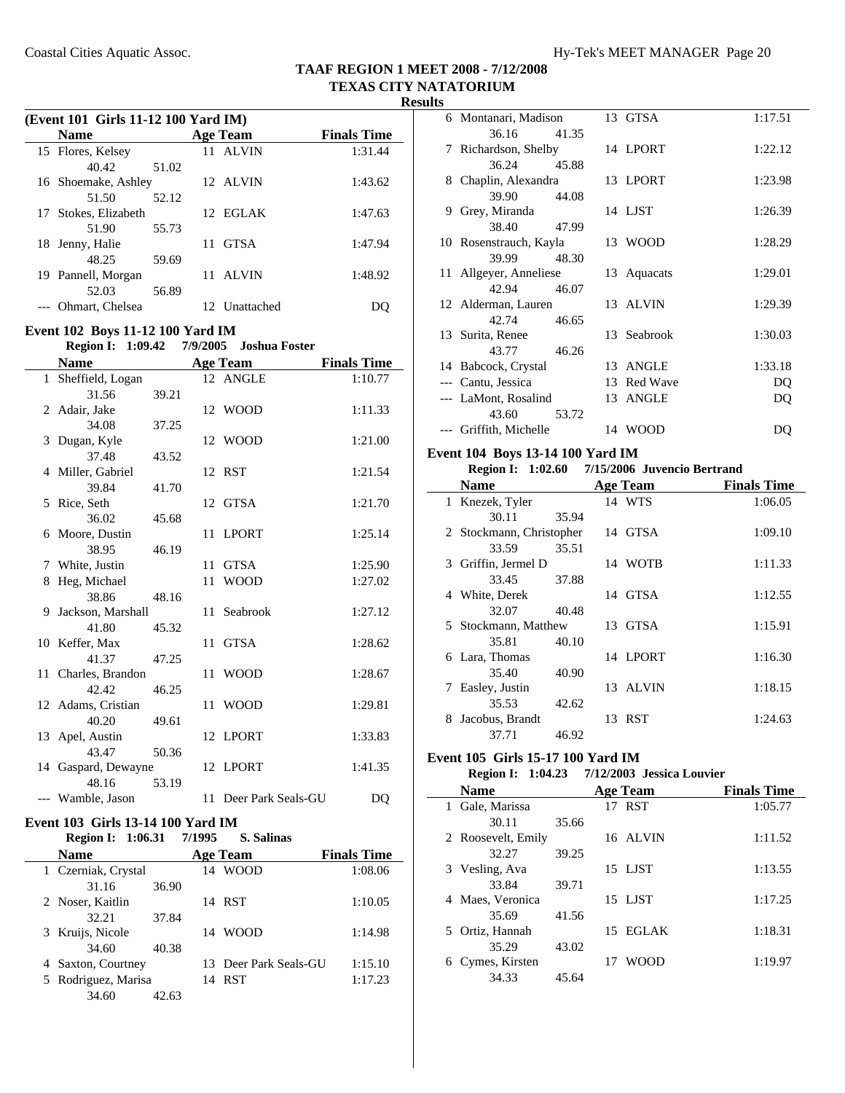|                                                                                        | (Event 101 Girls 11-12 100 Yard IM)<br><b>Name</b>                            |       |    | <b>Age Team</b>             | <b>Finals Time</b>            |  |
|----------------------------------------------------------------------------------------|-------------------------------------------------------------------------------|-------|----|-----------------------------|-------------------------------|--|
|                                                                                        | 15 Flores, Kelsey                                                             |       |    | 11 ALVIN                    | 1:31.44                       |  |
|                                                                                        | 40.42                                                                         | 51.02 |    |                             |                               |  |
|                                                                                        | 16 Shoemake, Ashley                                                           |       |    | 12 ALVIN                    | 1:43.62                       |  |
|                                                                                        | 51.50                                                                         | 52.12 |    |                             |                               |  |
| 17                                                                                     | Stokes, Elizabeth                                                             |       |    | 12 EGLAK                    | 1:47.63                       |  |
|                                                                                        | 51.90                                                                         | 55.73 |    |                             |                               |  |
|                                                                                        | 18 Jenny, Halie                                                               |       | 11 | GTSA                        | 1:47.94                       |  |
|                                                                                        | 48.25                                                                         | 59.69 |    |                             |                               |  |
|                                                                                        | 19 Pannell, Morgan                                                            |       |    | 11 ALVIN                    | 1:48.92                       |  |
|                                                                                        | 52.03                                                                         | 56.89 |    |                             |                               |  |
|                                                                                        | --- Ohmart, Chelsea                                                           |       |    | 12 Unattached               | DQ                            |  |
|                                                                                        |                                                                               |       |    |                             |                               |  |
| Event 102 Boys 11-12 100 Yard IM<br><b>Region I: 1:09.42</b><br>7/9/2005 Joshua Foster |                                                                               |       |    |                             |                               |  |
|                                                                                        |                                                                               |       |    |                             |                               |  |
|                                                                                        | <b>Name</b><br>1 Sheffield, Logan                                             |       |    | <b>Age Team</b><br>12 ANGLE | <b>Finals Time</b><br>1:10.77 |  |
|                                                                                        | 31.56                                                                         | 39.21 |    |                             |                               |  |
|                                                                                        | 2 Adair, Jake                                                                 |       |    | 12 WOOD                     | 1:11.33                       |  |
|                                                                                        | 34.08                                                                         | 37.25 |    |                             |                               |  |
| 3                                                                                      | Dugan, Kyle                                                                   |       |    | 12 WOOD                     | 1:21.00                       |  |
|                                                                                        | 37.48                                                                         | 43.52 |    |                             |                               |  |
|                                                                                        | 4 Miller, Gabriel                                                             |       | 12 | RST                         | 1:21.54                       |  |
|                                                                                        | 39.84                                                                         | 41.70 |    |                             |                               |  |
| 5                                                                                      | Rice, Seth                                                                    |       |    | 12 GTSA                     | 1:21.70                       |  |
|                                                                                        | 36.02                                                                         | 45.68 |    |                             |                               |  |
|                                                                                        | 6 Moore, Dustin                                                               |       | 11 | LPORT                       | 1:25.14                       |  |
|                                                                                        | 38.95                                                                         | 46.19 |    |                             |                               |  |
|                                                                                        | 7 White, Justin                                                               |       | 11 | GTSA                        | 1:25.90                       |  |
|                                                                                        | 8 Heg, Michael                                                                |       | 11 | <b>WOOD</b>                 | 1:27.02                       |  |
|                                                                                        | 38.86                                                                         | 48.16 |    |                             |                               |  |
| 9                                                                                      | Jackson, Marshall                                                             |       | 11 | Seabrook                    | 1:27.12                       |  |
|                                                                                        | 41.80                                                                         | 45.32 |    |                             |                               |  |
|                                                                                        | 10 Keffer, Max                                                                |       | 11 | <b>GTSA</b>                 | 1:28.62                       |  |
|                                                                                        | 41.37                                                                         | 47.25 |    |                             |                               |  |
|                                                                                        | 11 Charles, Brandon                                                           |       | 11 | <b>WOOD</b>                 | 1:28.67                       |  |
|                                                                                        | 42.42                                                                         | 46.25 |    |                             |                               |  |
|                                                                                        | 12 Adams, Cristian                                                            |       | 11 | <b>WOOD</b>                 | 1:29.81                       |  |
|                                                                                        | 40.20<br>13 Apel, Austin                                                      | 49.61 |    | 12 LPORT                    | 1:33.83                       |  |
|                                                                                        | 43.47                                                                         | 50.36 |    |                             |                               |  |
|                                                                                        | 14 Gaspard, Dewayne                                                           |       |    | 12 LPORT                    | 1:41.35                       |  |
|                                                                                        | 48.16                                                                         | 53.19 |    |                             |                               |  |
|                                                                                        | --- Wamble, Jason                                                             |       |    | 11 Deer Park Seals-GU       | DQ                            |  |
|                                                                                        |                                                                               |       |    |                             |                               |  |
|                                                                                        | Event 103 Girls 13-14 100 Yard IM<br>Degion L. $1.06.21$ $7/1005$ C. Colinear |       |    |                             |                               |  |

| <b>Region I: 1:06.31</b> | 7/1995<br>S. Salinas  |                    |
|--------------------------|-----------------------|--------------------|
| <b>Name</b>              | <b>Age Team</b>       | <b>Finals Time</b> |
| 1 Czerniak, Crystal      | 14 WOOD               | 1:08.06            |
| 31.16<br>36.90           |                       |                    |
| 2 Noser, Kaitlin         | 14 RST                | 1:10.05            |
| 32.21<br>37.84           |                       |                    |
| 3 Kruijs, Nicole         | 14 WOOD               | 1:14.98            |
| 34.60<br>40.38           |                       |                    |
| 4 Saxton, Courtney       | 13 Deer Park Seals-GU | 1:15.10            |
| 5 Rodriguez, Marisa      | 14 RST                | 1:17.23            |
| 34.60<br>42.63           |                       |                    |

|    | 6 Montanari, Madison   | 13 GTSA     | 1:17.51 |
|----|------------------------|-------------|---------|
|    | 36.16<br>41.35         |             |         |
|    | 7 Richardson, Shelby   | 14 LPORT    | 1:22.12 |
|    | 36.24<br>45.88         |             |         |
| 8. | Chaplin, Alexandra     | 13 LPORT    | 1:23.98 |
|    | 39.90<br>44.08         |             |         |
| 9  | Grey, Miranda          | 14 LJST     | 1:26.39 |
|    | 38.40<br>47.99         |             |         |
|    | 10 Rosenstrauch, Kayla | 13 WOOD     | 1:28.29 |
|    | 39.99<br>48.30         |             |         |
|    | 11 Allgeyer, Anneliese | 13 Aquacats | 1:29.01 |
|    | 42.94<br>46.07         |             |         |
|    | 12 Alderman, Lauren    | 13 ALVIN    | 1:29.39 |
|    | 42.74<br>46.65         |             |         |
|    | 13 Surita, Renee       | 13 Seabrook | 1:30.03 |
|    | 43.77<br>46.26         |             |         |
|    | 14 Babcock, Crystal    | 13 ANGLE    | 1:33.18 |
|    | --- Cantu, Jessica     | 13 Red Wave | DQ      |
|    | --- LaMont, Rosalind   | 13 ANGLE    | DQ      |
|    | 43.60<br>53.72         |             |         |
|    | --- Griffith, Michelle | 14 WOOD     | DO      |

#### **Event 104 Boys 13-14 100 Yard IM**

|              | <b>Region I:</b> 1:02.60 |       | 7/15/2006 Juvencio Bertrand |                    |
|--------------|--------------------------|-------|-----------------------------|--------------------|
|              | <b>Name</b>              |       | <b>Age Team</b>             | <b>Finals Time</b> |
| $\mathbf{1}$ | Knezek, Tyler            |       | 14 WTS                      | 1:06.05            |
|              | 30.11                    | 35.94 |                             |                    |
|              | 2 Stockmann, Christopher |       | 14 GTSA                     | 1:09.10            |
|              | 33.59                    | 35.51 |                             |                    |
|              | 3 Griffin, Jermel D      |       | 14 WOTB                     | 1:11.33            |
|              | 33.45                    | 37.88 |                             |                    |
|              | 4 White, Derek           |       | 14 GTSA                     | 1:12.55            |
|              | 32.07                    | 40.48 |                             |                    |
|              | 5 Stockmann, Matthew     |       | 13 GTSA                     | 1:15.91            |
|              | 35.81                    | 40.10 |                             |                    |
| 6            | Lara, Thomas             |       | 14 LPORT                    | 1:16.30            |
|              | 35.40                    | 40.90 |                             |                    |
| 7            | Easley, Justin           |       | 13 ALVIN                    | 1:18.15            |
|              | 35.53                    | 42.62 |                             |                    |
| 8            | Jacobus, Brandt          |       | 13 RST                      | 1:24.63            |
|              | 37.71                    | 46.92 |                             |                    |

### **Event 105 Girls 15-17 100 Yard IM**

|                    |       | Region I: 1:04.23 7/12/2003 Jessica Louvier |                    |
|--------------------|-------|---------------------------------------------|--------------------|
| <b>Name</b>        |       | Age Team                                    | <b>Finals Time</b> |
| 1 Gale, Marissa    |       | 17 RST                                      | 1:05.77            |
| 30.11              | 35.66 |                                             |                    |
| 2 Roosevelt, Emily |       | 16 ALVIN                                    | 1:11.52            |
| 32.27              | 39.25 |                                             |                    |
| 3 Vesling, Ava     |       | 15 LJST                                     | 1:13.55            |
| 33.84              | 39.71 |                                             |                    |
| 4 Maes, Veronica   |       | 15 LJST                                     | 1:17.25            |
| 35.69              | 41.56 |                                             |                    |
| 5 Ortiz, Hannah    |       | 15 EGLAK                                    | 1:18.31            |
| 35.29              | 43.02 |                                             |                    |
| 6 Cymes, Kirsten   |       | <b>WOOD</b>                                 | 1:19.97            |
| 34.33              | 45.64 |                                             |                    |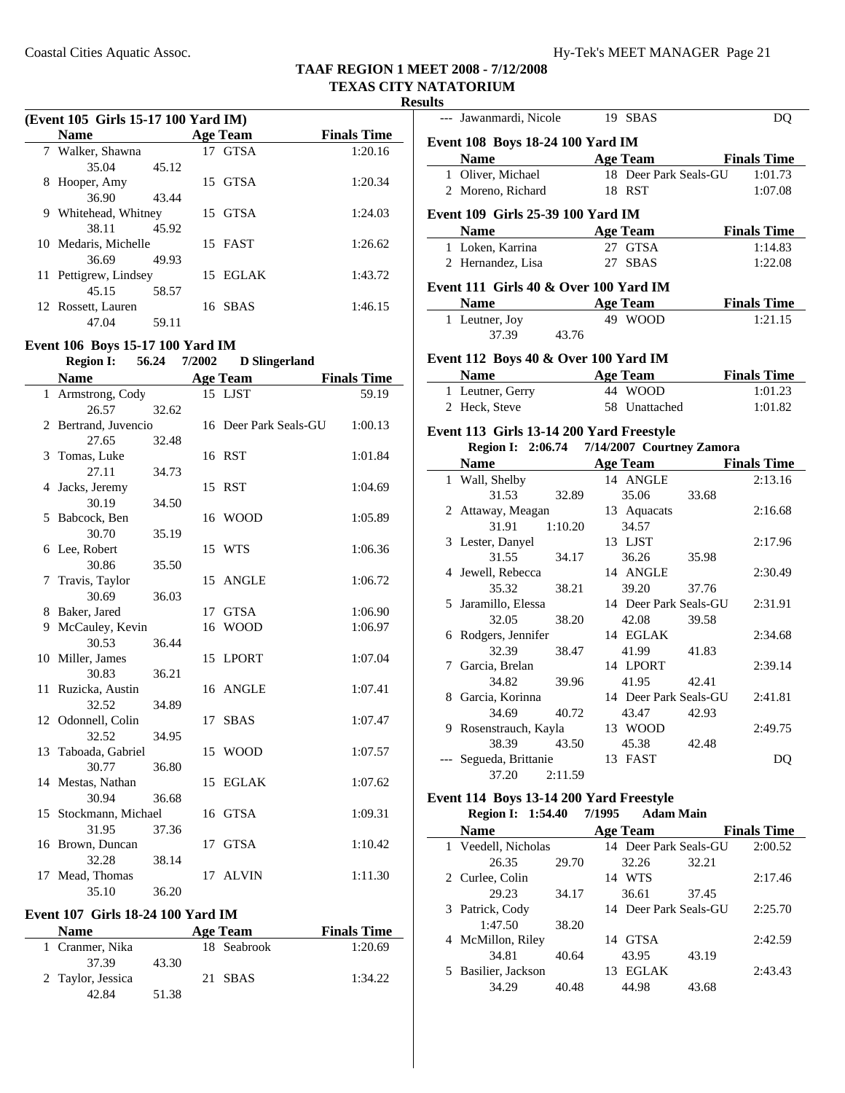**Results**

| (Event 105 Girls 15-17 100 Yard IM) |                                  |       |              |                       |                    |
|-------------------------------------|----------------------------------|-------|--------------|-----------------------|--------------------|
|                                     | <b>Name</b>                      |       |              | <b>Age Team</b>       | <b>Finals Time</b> |
|                                     | 7 Walker, Shawna                 |       |              | 17 GTSA               | 1:20.16            |
|                                     | 35.04                            | 45.12 |              |                       |                    |
| 8                                   | Hooper, Amy                      |       |              | 15 GTSA               | 1:20.34            |
|                                     | 36.90                            | 43.44 |              |                       |                    |
|                                     | 9 Whitehead, Whitney             |       |              | 15 GTSA               | 1:24.03            |
|                                     | 38.11                            | 45.92 |              |                       |                    |
|                                     | 10 Medaris, Michelle             |       |              | 15 FAST               | 1:26.62            |
|                                     | 36.69                            | 49.93 |              |                       |                    |
|                                     | 11 Pettigrew, Lindsey            |       |              | 15 EGLAK              | 1:43.72            |
|                                     | 45.15                            | 58.57 |              |                       |                    |
|                                     | 12 Rossett, Lauren               |       |              | 16 SBAS               | 1:46.15            |
|                                     | 47.04                            | 59.11 |              |                       |                    |
|                                     | Event 106 Boys 15-17 100 Yard IM |       |              |                       |                    |
|                                     | <b>Region I:</b>                 |       | 56.24 7/2002 | <b>D</b> Slingerland  |                    |
|                                     | <b>Name</b>                      |       |              | Age Team              | <b>Finals Time</b> |
|                                     | 1 Armstrong, Cody                |       |              | 15 LJST               | 59.19              |
|                                     | 26.57                            | 32.62 |              |                       |                    |
|                                     | 2 Bertrand, Juvencio             |       |              | 16 Deer Park Seals-GU | 1:00.13            |
|                                     | 27.65                            | 32.48 |              |                       |                    |
|                                     | 3 Tomas, Luke                    |       |              | 16 RST                | 1:01.84            |
|                                     | 27.11                            | 34.73 |              |                       |                    |
|                                     | 4 Jacks, Jeremy                  |       |              | 15 RST                | 1:04.69            |
|                                     | 30.19                            | 34.50 |              |                       |                    |
| 5                                   | Babcock, Ben                     |       |              | 16 WOOD               | 1:05.89            |
|                                     | 30.70                            | 35.19 |              |                       |                    |
|                                     | 6 Lee, Robert                    |       |              | 15 WTS                | 1:06.36            |
|                                     | 30.86                            | 35.50 |              |                       |                    |
|                                     | 7 Travis, Taylor                 |       |              | 15 ANGLE              | 1:06.72            |
|                                     | 30.69                            | 36.03 |              |                       |                    |
|                                     | 8 Baker, Jared                   |       |              | 17 GTSA               | 1:06.90            |
|                                     | 9 McCauley, Kevin                |       |              | 16 WOOD               | 1:06.97            |
|                                     | 30.53                            | 36.44 |              |                       |                    |
|                                     | 10 Miller, James                 |       |              | 15 LPORT              | 1:07.04            |
|                                     | 30.83<br>11 Ruzicka, Austin      | 36.21 |              | 16 ANGLE              | 1:07.41            |
|                                     | 32.52                            | 34.89 |              |                       |                    |
|                                     | 12 Odonnell, Colin               |       |              | 17 SBAS               | 1:07.47            |
|                                     | 32.52                            | 34.95 |              |                       |                    |
|                                     | 13 Taboada, Gabriel              |       |              | 15 WOOD               | 1:07.57            |
|                                     | 30.77                            | 36.80 |              |                       |                    |
| 14                                  | Mestas, Nathan                   |       | 15           | EGLAK                 | 1:07.62            |
|                                     | 30.94                            | 36.68 |              |                       |                    |
| 15                                  | Stockmann, Michael               |       |              | 16 GTSA               | 1:09.31            |
|                                     | 31.95                            | 37.36 |              |                       |                    |
| 16                                  | Brown, Duncan                    |       | 17           | GTSA                  | 1:10.42            |
|                                     | 32.28                            | 38.14 |              |                       |                    |
| 17                                  | Mead, Thomas                     |       |              | 17 ALVIN              | 1:11.30            |
|                                     | 35.10                            | 36.20 |              |                       |                    |
|                                     |                                  |       |              |                       |                    |

### **Event 107 Girls 18-24 100 Yard IM**

| <b>Name</b>       |       | Age Team    | <b>Finals Time</b> |
|-------------------|-------|-------------|--------------------|
| 1 Cranmer, Nika   |       | 18 Seabrook | 1:20.69            |
| 37.39             | 43.30 |             |                    |
| 2 Taylor, Jessica |       | 21 SBAS     | 1:34.22            |
| 42. R4            | 51.38 |             |                    |

| uits |                                             |                            |                    |
|------|---------------------------------------------|----------------------------|--------------------|
|      | --- Jawanmardi, Nicole                      | 19 SBAS                    | DQ                 |
|      | Event 108 Boys 18-24 100 Yard IM            |                            |                    |
|      | <b>Name Age Team Finals Time</b>            |                            |                    |
|      | 1 Oliver, Michael                           | 18 Deer Park Seals-GU      | 1:01.73            |
|      | 2 Moreno, Richard                           | 18 RST                     | 1:07.08            |
|      |                                             |                            |                    |
|      | Event 109 Girls 25-39 100 Yard IM           |                            |                    |
|      | Name Age Team                               |                            | <b>Finals Time</b> |
|      | 1 Loken, Karrina                            | 27 GTSA                    | 1:14.83            |
|      | 2 Hernandez, Lisa                           | 27 SBAS                    | 1:22.08            |
|      | Event 111 Girls 40 & Over 100 Yard IM       |                            |                    |
|      | <b>Name</b>                                 | <b>Age Team</b>            | <b>Finals Time</b> |
|      | 1 Leutner, Joy                              | 49 WOOD                    | 1:21.15            |
|      | 37.39<br>43.76                              |                            |                    |
|      | Event 112 Boys 40 & Over 100 Yard IM        |                            |                    |
|      | <b>Name</b>                                 | <b>Age Team</b>            | <b>Finals Time</b> |
|      | 1 Leutner, Gerry                            | 44 WOOD                    | 1:01.23            |
|      | 2 Heck, Steve                               | 58 Unattached              | 1:01.82            |
|      |                                             |                            |                    |
|      | Event 113 Girls 13-14 200 Yard Freestyle    |                            |                    |
|      | Region I: 2:06.74 7/14/2007 Courtney Zamora |                            |                    |
|      | Name Age Team Finals Time                   |                            |                    |
|      | 1 Wall, Shelby                              | 14 ANGLE                   | 2:13.16            |
|      | 32.89<br>31.53                              | 35.06<br>33.68             |                    |
|      | 2 Attaway, Meagan                           | 13 Aquacats                | 2:16.68            |
|      | 31.91<br>1:10.20                            | 34.57                      |                    |
|      | 3 Lester, Danyel                            | 13 LJST                    | 2:17.96            |
|      | 31.55<br>34.17                              | 36.26<br>35.98             |                    |
|      | 4 Jewell, Rebecca                           | 14 ANGLE                   | 2:30.49            |
|      | 35.32<br>38.21                              | 39.20<br>37.76             |                    |
|      | 5 Jaramillo, Elessa                         | 14 Deer Park Seals-GU      | 2:31.91            |
|      | 38.20<br>32.05                              | 42.08<br>39.58             |                    |
|      | 6 Rodgers, Jennifer                         | 14 EGLAK                   | 2:34.68            |
|      | 32.39<br>38.47                              | 41.99<br>41.83             |                    |
|      | 7 Garcia, Brelan                            | 14 LPORT                   | 2:39.14            |
|      | 34.82<br>39.96                              | 42.41<br>41.95             |                    |
|      | 8 Garcia, Korinna                           | 14 Deer Park Seals-GU      | 2:41.81            |
|      | 34.69<br>40.72                              | 43.47<br>42.93             |                    |
|      | 9 Rosenstrauch, Kayla                       | 13 WOOD                    | 2:49.75            |
|      | 38.39<br>43.50                              | 45.38<br>42.48<br>13 FAST  |                    |
|      | Segueda, Brittanie<br>37.20                 |                            | DQ                 |
|      | 2:11.59                                     |                            |                    |
|      | Event 114 Boys 13-14 200 Yard Freestyle     |                            |                    |
|      | Region I: 1:54.40                           | 7/1995<br><b>Adam Main</b> |                    |
|      | <b>Name</b>                                 | <b>Age Team</b>            | <b>Finals Time</b> |
|      | 1 Veedell, Nicholas                         | 14 Deer Park Seals-GU      | 2:00.52            |
|      | 26.35<br>29.70                              | 32.26<br>32.21             |                    |
|      | 2. Curlee Colin                             | 14 WTS                     | 2.1746             |

| 26.35               | 29.70 | 32.26                 | 32.21 |         |
|---------------------|-------|-----------------------|-------|---------|
| 2 Curlee, Colin     |       | <b>WTS</b><br>14      |       | 2:17.46 |
| 29.23               | 34.17 | 36.61                 | 37.45 |         |
| 3 Patrick, Cody     |       | 14 Deer Park Seals-GU |       | 2:25.70 |
| 1:47.50             | 38.20 |                       |       |         |
| 4 McMillon, Riley   |       | 14 GTSA               |       | 2:42.59 |
| 34.81               | 40.64 | 43.95                 | 43.19 |         |
| 5 Basilier, Jackson |       | <b>EGLAK</b>          |       | 2:43.43 |
| 34.29               | 40.48 | 44.98                 | 43.68 |         |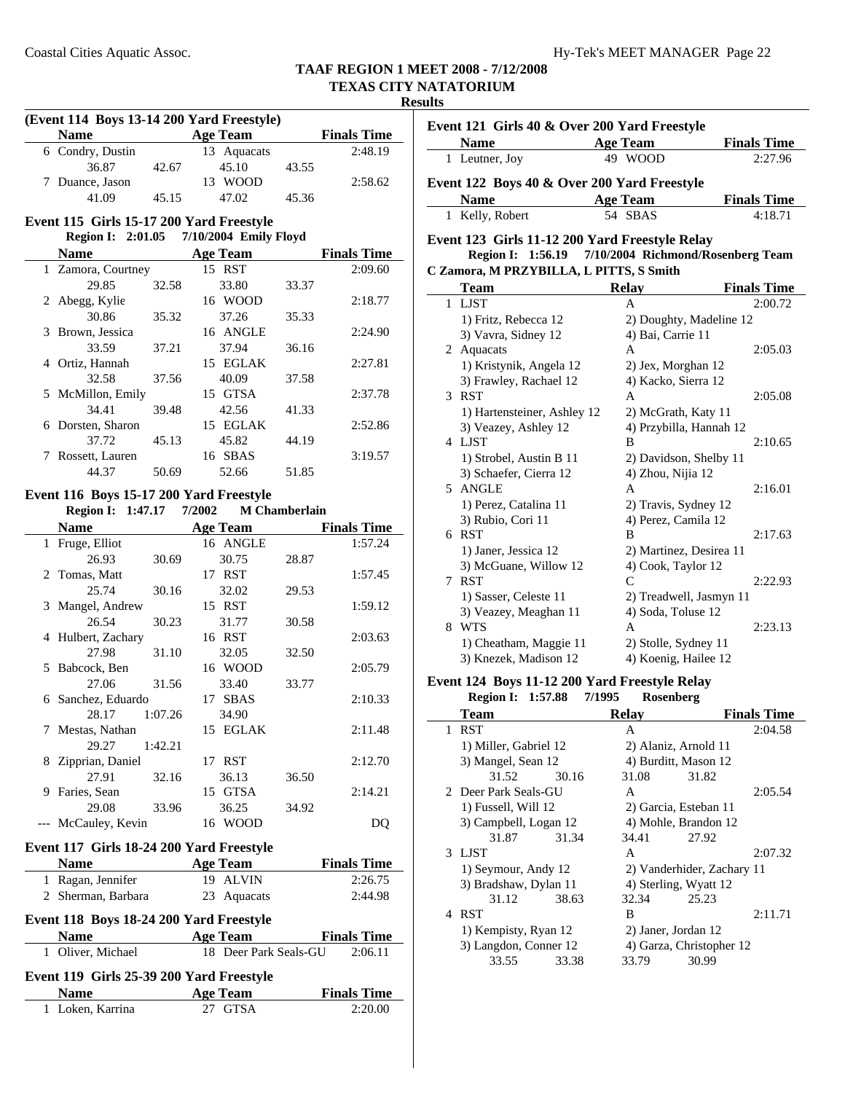### **Results**

|                | (Event 114 Boys 13-14 200 Yard Freestyle)                     |         |        |                       |                      |                    |
|----------------|---------------------------------------------------------------|---------|--------|-----------------------|----------------------|--------------------|
|                | <b>Name</b><br><b>Age Team</b>                                |         |        |                       |                      | <b>Finals Time</b> |
|                | 6 Condry, Dustin                                              |         |        | 13 Aquacats           |                      | 2:48.19            |
|                | 36.87                                                         | 42.67   |        | 45.10                 | 43.55                |                    |
|                | 7 Duance, Jason                                               |         |        | 13 WOOD               |                      | 2:58.62            |
|                | 41.09                                                         | 45.15   |        | 47.02                 | 45.36                |                    |
|                |                                                               |         |        |                       |                      |                    |
|                | Event 115 Girls 15-17 200 Yard Freestyle<br>Region I: 2:01.05 |         |        | 7/10/2004 Emily Floyd |                      |                    |
|                |                                                               |         |        |                       |                      |                    |
|                | <b>Name</b>                                                   |         |        | <b>Age Team</b>       |                      | <b>Finals Time</b> |
|                | 1 Zamora, Courtney                                            |         |        | 15 RST                |                      | 2:09.60            |
|                | 29.85                                                         | 32.58   |        | 33.80                 | 33.37                |                    |
| 2              | Abegg, Kylie                                                  |         |        | 16 WOOD               |                      | 2:18.77            |
|                | 30.86                                                         | 35.32   |        | 37.26                 | 35.33                |                    |
| 3              | Brown, Jessica                                                |         |        | 16 ANGLE              |                      | 2:24.90            |
|                | 33.59                                                         | 37.21   |        | 37.94                 | 36.16                |                    |
|                | 4 Ortiz, Hannah                                               |         |        | 15 EGLAK              |                      | 2:27.81            |
|                | 32.58                                                         | 37.56   |        | 40.09                 | 37.58                |                    |
|                | 5 McMillon, Emily                                             |         |        | 15 GTSA               |                      | 2:37.78            |
|                | 34.41                                                         | 39.48   |        | 42.56                 | 41.33                |                    |
|                | 6 Dorsten, Sharon                                             |         |        | 15 EGLAK              |                      | 2:52.86            |
|                | 37.72                                                         | 45.13   |        | 45.82                 | 44.19                |                    |
| 7              | Rossett, Lauren                                               |         |        | 16 SBAS               |                      | 3:19.57            |
|                | 44.37                                                         | 50.69   |        | 52.66                 | 51.85                |                    |
|                | Event 116 Boys 15-17 200 Yard Freestyle                       |         |        |                       |                      |                    |
|                | <b>Region I:</b> 1:47.17                                      |         | 7/2002 |                       | <b>M</b> Chamberlain |                    |
|                | <b>Name</b>                                                   |         |        | <b>Age Team</b>       |                      | <b>Finals Time</b> |
|                |                                                               |         |        | 16 ANGLE              |                      | 1:57.24            |
|                | 1 Fruge, Elliot<br>26.93                                      | 30.69   |        | 30.75                 |                      |                    |
|                |                                                               |         |        |                       | 28.87                |                    |
| $\overline{2}$ | Tomas, Matt                                                   |         |        | 17 RST                |                      | 1:57.45            |
|                | 25.74                                                         | 30.16   |        | 32.02                 | 29.53                |                    |
| 3              | Mangel, Andrew                                                |         |        | 15 RST                |                      | 1:59.12            |
|                | 26.54                                                         | 30.23   |        | 31.77                 | 30.58                |                    |
|                | 4 Hulbert, Zachary                                            |         |        | 16 RST                |                      | 2:03.63            |
|                | 27.98                                                         | 31.10   |        | 32.05                 | 32.50                |                    |
| 5              | Babcock, Ben                                                  |         |        | 16 WOOD               |                      | 2:05.79            |
|                | 27.06                                                         | 31.56   |        | 33.40                 | 33.77                |                    |
|                | 6 Sanchez, Eduardo                                            |         |        | 17 SBAS               |                      | 2:10.33            |
|                | 28.17                                                         | 1:07.26 |        | 34.90                 |                      |                    |
| $\mathcal{L}$  | Mestas, Nathan                                                |         |        | 15 EGLAK              |                      | 2:11.48            |
|                | 29.27                                                         | 1:42.21 |        |                       |                      |                    |
| 8              | Zipprian, Daniel                                              |         |        | 17 RST                |                      | 2:12.70            |
|                | 27.91                                                         | 32.16   |        | 36.13                 | 36.50                |                    |
|                | 9 Faries, Sean                                                |         |        | 15 GTSA               |                      | 2:14.21            |
|                | 29.08                                                         | 33.96   |        | 36.25                 | 34.92                |                    |
|                | --- McCauley, Kevin                                           |         |        | 16 WOOD               |                      | DQ                 |
|                | Event 117 Girls 18-24 200 Yard Freestyle                      |         |        |                       |                      |                    |
|                | <b>Name</b>                                                   |         |        | <b>Age Team</b>       |                      | <b>Finals Time</b> |
|                | 1 Ragan, Jennifer                                             |         |        | 19 ALVIN              |                      | 2:26.75            |
|                | 2 Sherman, Barbara                                            |         |        | 23 Aquacats           |                      | 2:44.98            |
|                |                                                               |         |        |                       |                      |                    |
|                | Event 118 Boys 18-24 200 Yard Freestyle                       |         |        |                       |                      |                    |
|                | <b>Name</b>                                                   |         |        | <b>Age Team</b>       |                      | <b>Finals Time</b> |
| 1              | Oliver, Michael                                               |         |        | 18 Deer Park Seals-GU |                      | 2:06.11            |
|                | Event 119 Girls 25-39 200 Yard Freestyle                      |         |        |                       |                      |                    |
|                | <b>Name</b>                                                   |         |        | <b>Age Team</b>       |                      | <b>Finals Time</b> |
|                | 1 Loken, Karrina                                              |         |        | 27 GTSA               |                      | 2:20.00            |

| Event 121 Girls 40 & Over 200 Yard Freestyle        |                         |                    |
|-----------------------------------------------------|-------------------------|--------------------|
| <b>Name</b>                                         | <b>Age Team</b>         | <b>Finals Time</b> |
| 1 Leutner, Joy                                      | 49 WOOD                 | 2:27.96            |
| Event 122 Boys 40 & Over 200 Yard Freestyle         |                         |                    |
| <b>Name</b>                                         | <b>Age Team</b>         | <b>Finals Time</b> |
| 1 Kelly, Robert                                     | 54 SBAS                 | 4:18.71            |
| Event 123 Girls 11-12 200 Yard Freestyle Relay      |                         |                    |
| Region I: 1:56.19 7/10/2004 Richmond/Rosenberg Team |                         |                    |
| C Zamora, M PRZYBILLA, L PITTS, S Smith             |                         |                    |
| Team                                                | <b>Relay</b>            | <b>Finals Time</b> |
| 1 LJST                                              | A                       | 2:00.72            |
| 1) Fritz, Rebecca 12                                | 2) Doughty, Madeline 12 |                    |
| 3) Vavra, Sidney 12                                 | 4) Bai, Carrie 11       |                    |
| 2 Aquacats                                          | A                       | 2:05.03            |
| 1) Kristynik, Angela 12                             | 2) Jex, Morghan 12      |                    |
| 3) Frawley, Rachael 12                              | 4) Kacko, Sierra 12     |                    |
| 3 RST                                               | A                       | 2:05.08            |
| 1) Hartensteiner, Ashley 12                         | 2) McGrath, Katy 11     |                    |
| 3) Veazey, Ashley 12                                | 4) Przybilla, Hannah 12 |                    |
| 4 LJST                                              | B                       | 2:10.65            |
| 1) Strobel, Austin B 11                             | 2) Davidson, Shelby 11  |                    |
| 3) Schaefer, Cierra 12                              | 4) Zhou, Nijia 12       |                    |
| 5 ANGLE                                             | A                       | 2:16.01            |
| 1) Perez, Catalina 11                               | 2) Travis, Sydney 12    |                    |
| 3) Rubio, Cori 11                                   | 4) Perez, Camila 12     |                    |
| 6 RST                                               | B                       | 2:17.63            |
| 1) Janer, Jessica 12                                | 2) Martinez, Desirea 11 |                    |
| 3) McGuane, Willow 12                               | 4) Cook, Taylor 12      |                    |
| 7 RST                                               | $\mathcal{C}$           | 2:22.93            |
| 1) Sasser, Celeste 11                               | 2) Treadwell, Jasmyn 11 |                    |
| 3) Veazey, Meaghan 11                               | 4) Soda, Toluse 12      |                    |

### 8 WTS A 2:23.13 1) Cheatham, Maggie 11 2) Stolle, Sydney 11 3) Knezek, Madison 12 4) Koenig, Hailee 12

# **Event 124 Boys 11-12 200 Yard Freestyle Relay**

|                            | <b>Region I: 1:57.88</b> | 7/1995       | Rosenberg                  |
|----------------------------|--------------------------|--------------|----------------------------|
| Team                       |                          | <b>Relay</b> | <b>Finals Time</b>         |
| <b>RST</b><br>$\mathbf{1}$ |                          | A            | 2:04.58                    |
|                            | 1) Miller, Gabriel 12    |              | 2) Alaniz, Arnold 11       |
|                            | 3) Mangel, Sean 12       |              | 4) Burditt, Mason 12       |
|                            | 31.52<br>30.16           | 31.08        | 31.82                      |
|                            | 2 Deer Park Seals-GU     | A            | 2:05.54                    |
|                            | 1) Fussell, Will 12      |              | 2) Garcia, Esteban 11      |
|                            | 3) Campbell, Logan 12    |              | 4) Mohle, Brandon 12       |
|                            | 31.87<br>31.34           | 34.41        | 27.92                      |
| 3 LIST                     |                          | A            | 2:07.32                    |
|                            | 1) Seymour, Andy 12      |              | 2) Vanderhider, Zachary 11 |
|                            | 3) Bradshaw, Dylan 11    |              | 4) Sterling, Wyatt 12      |
|                            | 31.12<br>38.63           | 32.34        | 25.23                      |
| 4 RST                      |                          | B            | 2:11.71                    |
|                            | 1) Kempisty, Ryan 12     |              | 2) Janer, Jordan 12        |
|                            | 3) Langdon, Conner 12    |              | 4) Garza, Christopher 12   |
|                            | 33.55<br>33.38           | 33.79        | 30.99                      |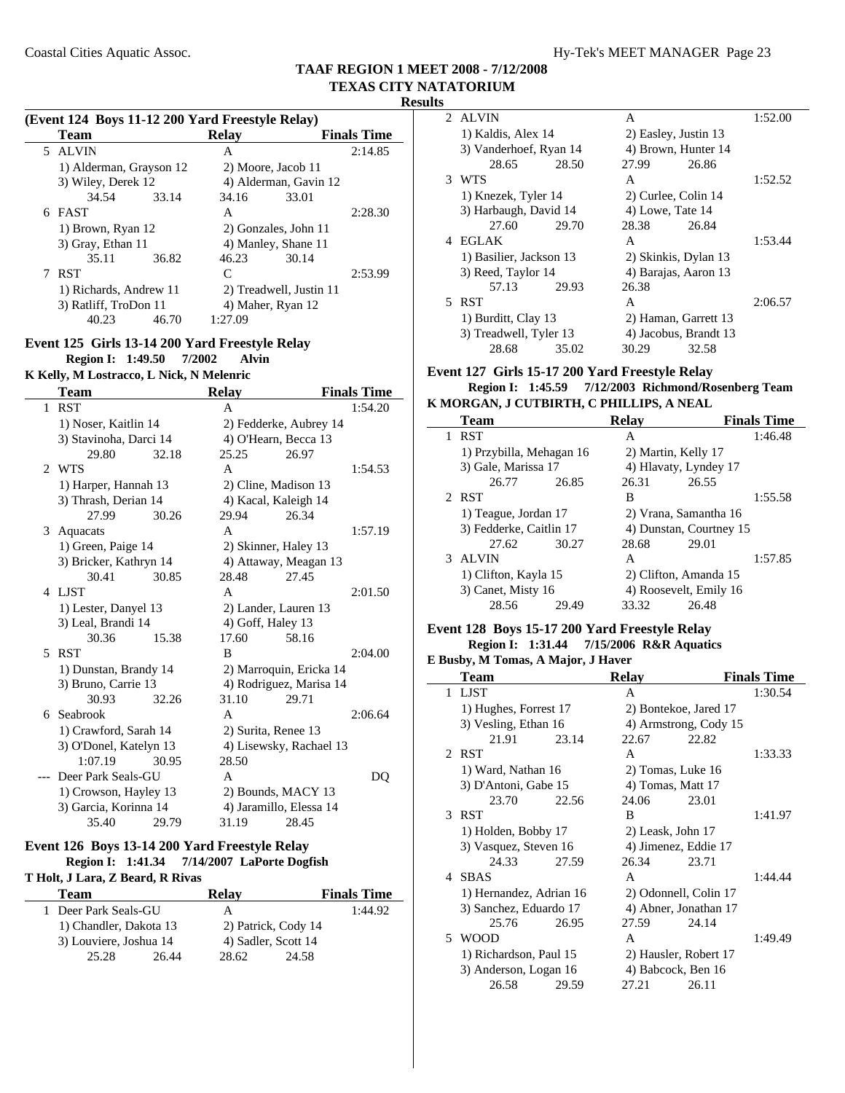#### **(Event 124 Boys 11-12 200 Yard Freestyle Relay)**

|        | <b>Team</b>             |       | <b>Relay</b>         |                         | <b>Finals Time</b> |
|--------|-------------------------|-------|----------------------|-------------------------|--------------------|
|        | 5 ALVIN                 |       | А                    |                         | 2:14.85            |
|        | 1) Alderman, Grayson 12 |       | 2) Moore, Jacob 11   |                         |                    |
|        | 3) Wiley, Derek 12      |       |                      | 4) Alderman, Gavin 12   |                    |
|        | 34.54                   | 33.14 | 34.16                | 33.01                   |                    |
| 6 FAST |                         |       | A                    |                         | 2:28.30            |
|        | 1) Brown, Ryan 12       |       | 2) Gonzales, John 11 |                         |                    |
|        | 3) Gray, Ethan 11       |       | 4) Manley, Shane 11  |                         |                    |
|        | 35.11                   | 36.82 | 46.23                | 30.14                   |                    |
|        | <b>RST</b>              |       | C                    |                         | 2:53.99            |
|        | 1) Richards, Andrew 11  |       |                      | 2) Treadwell, Justin 11 |                    |
|        | 3) Ratliff, TroDon 11   |       | 4) Maher, Ryan 12    |                         |                    |
|        | 40.23                   | 46.70 | 1:27.09              |                         |                    |
|        |                         |       |                      |                         |                    |

#### **Event 125 Girls 13-14 200 Yard Freestyle Relay Region I: 1:49.50 Alvin 7/2002**

## **K Kelly, M Lostracco, L Nick, N Melenric**

|                | <b>Team</b>            |       | <b>Relay</b>      |                         | <b>Finals Time</b> |
|----------------|------------------------|-------|-------------------|-------------------------|--------------------|
| 1              | <b>RST</b>             |       | A                 |                         | 1:54.20            |
|                | 1) Noser, Kaitlin 14   |       |                   | 2) Fedderke, Aubrey 14  |                    |
|                | 3) Stavinoha, Darci 14 |       |                   | 4) O'Hearn, Becca 13    |                    |
|                | 29.80                  | 32.18 | 25.25             | 26.97                   |                    |
| $\mathfrak{D}$ | <b>WTS</b>             |       | A                 |                         | 1:54.53            |
|                | 1) Harper, Hannah 13   |       |                   | 2) Cline, Madison 13    |                    |
|                | 3) Thrash, Derian 14   |       |                   | 4) Kacal, Kaleigh 14    |                    |
|                | 27.99                  | 30.26 | 29.94             | 26.34                   |                    |
| 3              | Aquacats               |       | A                 |                         | 1:57.19            |
|                | 1) Green, Paige 14     |       |                   | 2) Skinner, Haley 13    |                    |
|                | 3) Bricker, Kathryn 14 |       |                   | 4) Attaway, Meagan 13   |                    |
|                | 30.41                  | 30.85 | 28.48             | 27.45                   |                    |
| 4              | LJST                   |       | A                 |                         | 2:01.50            |
|                | 1) Lester, Danyel 13   |       |                   | 2) Lander, Lauren 13    |                    |
|                | 3) Leal, Brandi 14     |       | 4) Goff, Haley 13 |                         |                    |
|                | 30.36                  | 15.38 | 17.60             | 58.16                   |                    |
| 5              | <b>RST</b>             |       | B                 |                         | 2:04.00            |
|                | 1) Dunstan, Brandy 14  |       |                   | 2) Marroquin, Ericka 14 |                    |
|                | 3) Bruno, Carrie 13    |       |                   | 4) Rodriguez, Marisa 14 |                    |
|                | 30.93                  | 32.26 | 31.10             | 29.71                   |                    |
| 6              | Seabrook               |       | A                 |                         | 2:06.64            |
|                | 1) Crawford, Sarah 14  |       |                   | 2) Surita, Renee 13     |                    |
|                | 3) O'Donel, Katelyn 13 |       |                   | 4) Lisewsky, Rachael 13 |                    |
|                | 1:07.19                | 30.95 | 28.50             |                         |                    |
|                | Deer Park Seals-GU     |       | A                 |                         | DQ                 |
|                | 1) Crowson, Hayley 13  |       |                   | 2) Bounds, MACY 13      |                    |
|                | 3) Garcia, Korinna 14  |       |                   | 4) Jaramillo, Elessa 14 |                    |
|                | 35.40                  | 29.79 | 31.19             | 28.45                   |                    |

### **Event 126 Boys 13-14 200 Yard Freestyle Relay Region I: 1:41.34 7/14/2007** LaPorte Dogfish

#### **T Holt, J Lara, Z Beard, R Rivas**

| Team                     | Relav               | <b>Finals Time</b> |
|--------------------------|---------------------|--------------------|
| Deer Park Seals-GU<br>1. | А                   | 1:44.92            |
| 1) Chandler, Dakota 13   | 2) Patrick, Cody 14 |                    |
| 3) Louviere, Joshua 14   | 4) Sadler, Scott 14 |                    |
| 25.28<br>26.44           | 28.62<br>24.58      |                    |

| ᅛ |                         |       |                    |                       |         |
|---|-------------------------|-------|--------------------|-----------------------|---------|
|   | 2 ALVIN                 |       | A                  |                       | 1:52.00 |
|   | 1) Kaldis, Alex 14      |       |                    | 2) Easley, Justin 13  |         |
|   | 3) Vanderhoef, Ryan 14  |       |                    | 4) Brown, Hunter 14   |         |
|   | 28.65                   | 28.50 | 27.99              | 26.86                 |         |
|   | 3 WTS                   |       | A                  |                       | 1:52.52 |
|   | 1) Knezek, Tyler 14     |       |                    | 2) Curlee, Colin 14   |         |
|   | 3) Harbaugh, David 14   |       | $4)$ Lowe, Tate 14 |                       |         |
|   | 27.60                   | 29.70 | 28.38              | 26.84                 |         |
|   | 4 EGLAK                 |       | A                  |                       | 1:53.44 |
|   | 1) Basilier, Jackson 13 |       |                    | 2) Skinkis, Dylan 13  |         |
|   | 3) Reed, Taylor 14      |       |                    | 4) Barajas, Aaron 13  |         |
|   | 57.13                   | 29.93 | 26.38              |                       |         |
|   | 5 RST                   |       | A                  |                       | 2:06.57 |
|   | 1) Burditt, Clay 13     |       |                    | 2) Haman, Garrett 13  |         |
|   | 3) Treadwell, Tyler 13  |       |                    | 4) Jacobus, Brandt 13 |         |
|   | 28.68                   | 35.02 | 30.29              | 32.58                 |         |
|   |                         |       |                    |                       |         |

#### **Event 127 Girls 15-17 200 Yard Freestyle Relay Region I: 1:45.59 Richmond/Rosenberg Team 7/12/2003 K MORGAN, J CUTBIRTH, C PHILLIPS, A NEAL**

| <b>Team</b>     |                          |       | <b>Relay</b> |                         | <b>Finals Time</b> |
|-----------------|--------------------------|-------|--------------|-------------------------|--------------------|
| <b>RST</b><br>1 |                          |       | A            |                         | 1:46.48            |
|                 | 1) Przybilla, Mehagan 16 |       |              | 2) Martin, Kelly 17     |                    |
|                 | 3) Gale, Marissa 17      |       |              | 4) Hlavaty, Lyndey 17   |                    |
|                 | 26.77                    | 26.85 | 26.31        | 26.55                   |                    |
| 2 RST           |                          |       | В            |                         | 1:55.58            |
|                 | 1) Teague, Jordan 17     |       |              | 2) Vrana, Samantha 16   |                    |
|                 | 3) Fedderke, Caitlin 17  |       |              | 4) Dunstan, Courtney 15 |                    |
|                 | 27.62                    | 30.27 | 28.68        | 29.01                   |                    |
| ALVIN<br>3      |                          |       | A            |                         | 1:57.85            |
|                 | 1) Clifton, Kayla 15     |       |              | 2) Clifton, Amanda 15   |                    |
|                 | 3) Canet, Misty 16       |       |              | 4) Roosevelt, Emily 16  |                    |
|                 | 28.56                    | 29.49 | 33.32        | 26.48                   |                    |

#### **Event 128 Boys 15-17 200 Yard Freestyle Relay Region I: 1:31.44 7/15/2006 R&R Aquatics**

### **E Busby, M Tomas, A Major, J Haver**

|               | $_{\text{Dus}$ , $_{\text{N}}$ is a child $_{\text{N}}$ and $_{\text{N}}$ and $_{\text{N}}$ and $_{\text{N}}$ and $_{\text{N}}$ |       |                       |                       |                    |
|---------------|---------------------------------------------------------------------------------------------------------------------------------|-------|-----------------------|-----------------------|--------------------|
|               | <b>Team</b>                                                                                                                     |       | <b>Relay</b>          |                       | <b>Finals Time</b> |
|               | 1 LJST                                                                                                                          |       | A                     |                       | 1:30.54            |
|               | 1) Hughes, Forrest 17                                                                                                           |       | 2) Bontekoe, Jared 17 |                       |                    |
|               | 3) Vesling, Ethan 16                                                                                                            |       |                       | 4) Armstrong, Cody 15 |                    |
|               | 21.91                                                                                                                           | 23.14 | 22.67                 | 22.82                 |                    |
|               | 2 RST                                                                                                                           |       | A                     |                       | 1:33.33            |
|               | 1) Ward, Nathan 16                                                                                                              |       | 2) Tomas, Luke 16     |                       |                    |
|               | 3) D'Antoni, Gabe 15                                                                                                            |       | 4) Tomas, Matt 17     |                       |                    |
|               | 23.70                                                                                                                           | 22.56 | 24.06                 | 23.01                 |                    |
| $\mathcal{R}$ | <b>RST</b>                                                                                                                      |       | B                     |                       | 1:41.97            |
|               | 1) Holden, Bobby 17                                                                                                             |       | 2) Leask, John 17     |                       |                    |
|               | 3) Vasquez, Steven 16                                                                                                           |       | 4) Jimenez, Eddie 17  |                       |                    |
|               | 24.33                                                                                                                           | 27.59 | 26.34                 | 23.71                 |                    |
|               | 4 SBAS                                                                                                                          |       | A                     |                       | 1:44.44            |
|               | 1) Hernandez, Adrian 16                                                                                                         |       | 2) Odonnell, Colin 17 |                       |                    |
|               | 3) Sanchez, Eduardo 17                                                                                                          |       |                       | 4) Abner, Jonathan 17 |                    |
|               | 25.76                                                                                                                           | 26.95 | 27.59                 | 24.14                 |                    |
| 5.            | <b>WOOD</b>                                                                                                                     |       | A                     |                       | 1:49.49            |
|               | 1) Richardson, Paul 15                                                                                                          |       | 2) Hausler, Robert 17 |                       |                    |
|               | 3) Anderson, Logan 16                                                                                                           |       | 4) Babcock, Ben 16    |                       |                    |
|               | 26.58                                                                                                                           | 29.59 | 27.21                 | 26.11                 |                    |